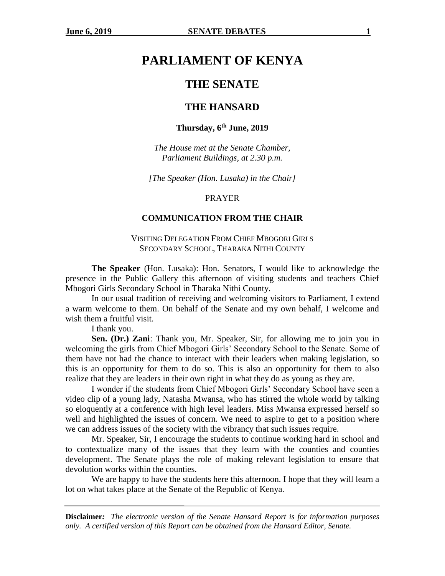# **PARLIAMENT OF KENYA**

## **THE SENATE**

### **THE HANSARD**

### **Thursday, 6th June, 2019**

*The House met at the Senate Chamber, Parliament Buildings, at 2.30 p.m.*

*[The Speaker (Hon. Lusaka) in the Chair]*

#### PRAYER

#### **COMMUNICATION FROM THE CHAIR**

### VISITING DELEGATION FROM CHIEF MBOGORI GIRLS SECONDARY SCHOOL, THARAKA NITHI COUNTY

**The Speaker** (Hon. Lusaka): Hon. Senators, I would like to acknowledge the presence in the Public Gallery this afternoon of visiting students and teachers Chief Mbogori Girls Secondary School in Tharaka Nithi County.

In our usual tradition of receiving and welcoming visitors to Parliament, I extend a warm welcome to them. On behalf of the Senate and my own behalf, I welcome and wish them a fruitful visit.

I thank you.

**Sen. (Dr.) Zani**: Thank you, Mr. Speaker, Sir, for allowing me to join you in welcoming the girls from Chief Mbogori Girls' Secondary School to the Senate. Some of them have not had the chance to interact with their leaders when making legislation, so this is an opportunity for them to do so. This is also an opportunity for them to also realize that they are leaders in their own right in what they do as young as they are.

I wonder if the students from Chief Mbogori Girls' Secondary School have seen a video clip of a young lady, Natasha Mwansa, who has stirred the whole world by talking so eloquently at a conference with high level leaders. Miss Mwansa expressed herself so well and highlighted the issues of concern. We need to aspire to get to a position where we can address issues of the society with the vibrancy that such issues require.

Mr. Speaker, Sir, I encourage the students to continue working hard in school and to contextualize many of the issues that they learn with the counties and counties development. The Senate plays the role of making relevant legislation to ensure that devolution works within the counties.

We are happy to have the students here this afternoon. I hope that they will learn a lot on what takes place at the Senate of the Republic of Kenya.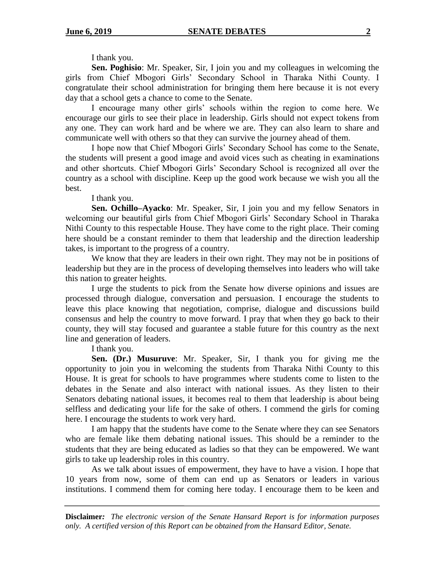I thank you.

**Sen. Poghisio**: Mr. Speaker, Sir, I join you and my colleagues in welcoming the girls from Chief Mbogori Girls' Secondary School in Tharaka Nithi County. I congratulate their school administration for bringing them here because it is not every day that a school gets a chance to come to the Senate.

I encourage many other girls' schools within the region to come here. We encourage our girls to see their place in leadership. Girls should not expect tokens from any one. They can work hard and be where we are. They can also learn to share and communicate well with others so that they can survive the journey ahead of them.

I hope now that Chief Mbogori Girls' Secondary School has come to the Senate, the students will present a good image and avoid vices such as cheating in examinations and other shortcuts. Chief Mbogori Girls' Secondary School is recognized all over the country as a school with discipline. Keep up the good work because we wish you all the best.

I thank you.

**Sen. Ochillo–Ayacko**: Mr. Speaker, Sir, I join you and my fellow Senators in welcoming our beautiful girls from Chief Mbogori Girls' Secondary School in Tharaka Nithi County to this respectable House. They have come to the right place. Their coming here should be a constant reminder to them that leadership and the direction leadership takes, is important to the progress of a country.

We know that they are leaders in their own right. They may not be in positions of leadership but they are in the process of developing themselves into leaders who will take this nation to greater heights.

I urge the students to pick from the Senate how diverse opinions and issues are processed through dialogue, conversation and persuasion. I encourage the students to leave this place knowing that negotiation, comprise, dialogue and discussions build consensus and help the country to move forward. I pray that when they go back to their county, they will stay focused and guarantee a stable future for this country as the next line and generation of leaders.

I thank you.

**Sen. (Dr.) Musuruve**: Mr. Speaker, Sir, I thank you for giving me the opportunity to join you in welcoming the students from Tharaka Nithi County to this House. It is great for schools to have programmes where students come to listen to the debates in the Senate and also interact with national issues. As they listen to their Senators debating national issues, it becomes real to them that leadership is about being selfless and dedicating your life for the sake of others. I commend the girls for coming here. I encourage the students to work very hard.

I am happy that the students have come to the Senate where they can see Senators who are female like them debating national issues. This should be a reminder to the students that they are being educated as ladies so that they can be empowered. We want girls to take up leadership roles in this country.

As we talk about issues of empowerment, they have to have a vision. I hope that 10 years from now, some of them can end up as Senators or leaders in various institutions. I commend them for coming here today. I encourage them to be keen and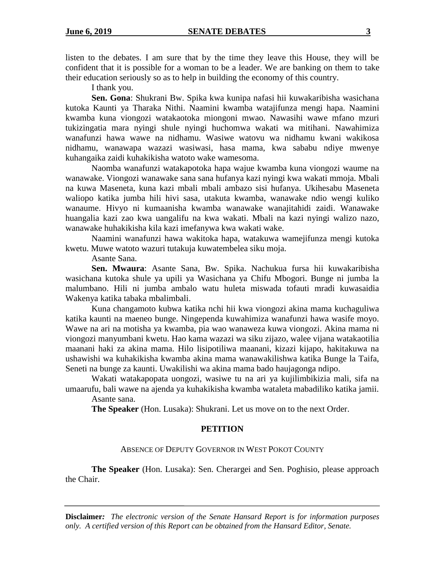listen to the debates. I am sure that by the time they leave this House, they will be confident that it is possible for a woman to be a leader. We are banking on them to take their education seriously so as to help in building the economy of this country.

I thank you.

**Sen. Gona**: Shukrani Bw. Spika kwa kunipa nafasi hii kuwakaribisha wasichana kutoka Kaunti ya Tharaka Nithi. Naamini kwamba watajifunza mengi hapa. Naamini kwamba kuna viongozi watakaotoka miongoni mwao. Nawasihi wawe mfano mzuri tukizingatia mara nyingi shule nyingi huchomwa wakati wa mitihani. Nawahimiza wanafunzi hawa wawe na nidhamu. Wasiwe watovu wa nidhamu kwani wakikosa nidhamu, wanawapa wazazi wasiwasi, hasa mama, kwa sababu ndiye mwenye kuhangaika zaidi kuhakikisha watoto wake wamesoma.

Naomba wanafunzi watakapotoka hapa wajue kwamba kuna viongozi waume na wanawake. Viongozi wanawake sana sana hufanya kazi nyingi kwa wakati mmoja. Mbali na kuwa Maseneta, kuna kazi mbali mbali ambazo sisi hufanya. Ukihesabu Maseneta waliopo katika jumba hili hivi sasa, utakuta kwamba, wanawake ndio wengi kuliko wanaume. Hivyo ni kumaanisha kwamba wanawake wanajitahidi zaidi. Wanawake huangalia kazi zao kwa uangalifu na kwa wakati. Mbali na kazi nyingi walizo nazo, wanawake huhakikisha kila kazi imefanywa kwa wakati wake.

Naamini wanafunzi hawa wakitoka hapa, watakuwa wamejifunza mengi kutoka kwetu. Muwe watoto wazuri tutakuja kuwatembelea siku moja.

Asante Sana.

**Sen. Mwaura**: Asante Sana, Bw. Spika. Nachukua fursa hii kuwakaribisha wasichana kutoka shule ya upili ya Wasichana ya Chifu Mbogori. Bunge ni jumba la malumbano. Hili ni jumba ambalo watu huleta miswada tofauti mradi kuwasaidia Wakenya katika tabaka mbalimbali.

Kuna changamoto kubwa katika nchi hii kwa viongozi akina mama kuchaguliwa katika kaunti na maeneo bunge. Ningependa kuwahimiza wanafunzi hawa wasife moyo. Wawe na ari na motisha ya kwamba, pia wao wanaweza kuwa viongozi. Akina mama ni viongozi manyumbani kwetu. Hao kama wazazi wa siku zijazo, walee vijana watakaotilia maanani haki za akina mama. Hilo lisipotiliwa maanani, kizazi kijapo, hakitakuwa na ushawishi wa kuhakikisha kwamba akina mama wanawakilishwa katika Bunge la Taifa, Seneti na bunge za kaunti. Uwakilishi wa akina mama bado haujagonga ndipo.

Wakati watakapopata uongozi, wasiwe tu na ari ya kujilimbikizia mali, sifa na umaarufu, bali wawe na ajenda ya kuhakikisha kwamba wataleta mabadiliko katika jamii.

Asante sana.

**The Speaker** (Hon. Lusaka): Shukrani. Let us move on to the next Order.

#### **PETITION**

### ABSENCE OF DEPUTY GOVERNOR IN WEST POKOT COUNTY

**The Speaker** (Hon. Lusaka): Sen. Cherargei and Sen. Poghisio, please approach the Chair.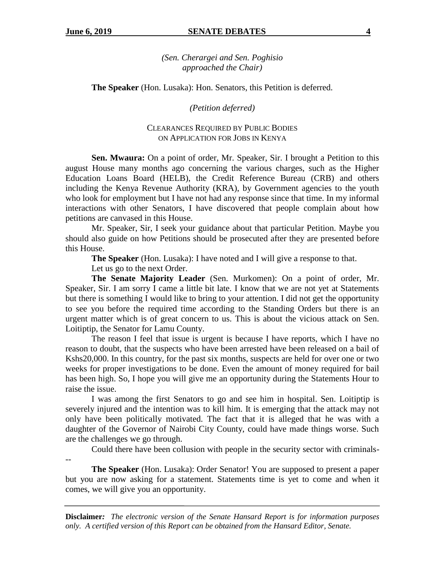*(Sen. Cherargei and Sen. Poghisio approached the Chair)*

**The Speaker** (Hon. Lusaka): Hon. Senators, this Petition is deferred.

*(Petition deferred)*

### CLEARANCES REQUIRED BY PUBLIC BODIES ON APPLICATION FOR JOBS IN KENYA

**Sen. Mwaura:** On a point of order, Mr. Speaker, Sir. I brought a Petition to this august House many months ago concerning the various charges, such as the Higher Education Loans Board (HELB), the Credit Reference Bureau (CRB) and others including the Kenya Revenue Authority (KRA), by Government agencies to the youth who look for employment but I have not had any response since that time. In my informal interactions with other Senators, I have discovered that people complain about how petitions are canvased in this House.

Mr. Speaker, Sir, I seek your guidance about that particular Petition. Maybe you should also guide on how Petitions should be prosecuted after they are presented before this House.

**The Speaker** (Hon. Lusaka): I have noted and I will give a response to that.

Let us go to the next Order.

**The Senate Majority Leader** (Sen. Murkomen): On a point of order, Mr. Speaker, Sir. I am sorry I came a little bit late. I know that we are not yet at Statements but there is something I would like to bring to your attention. I did not get the opportunity to see you before the required time according to the Standing Orders but there is an urgent matter which is of great concern to us. This is about the vicious attack on Sen. Loitiptip, the Senator for Lamu County.

The reason I feel that issue is urgent is because I have reports, which I have no reason to doubt, that the suspects who have been arrested have been released on a bail of Kshs20,000. In this country, for the past six months, suspects are held for over one or two weeks for proper investigations to be done. Even the amount of money required for bail has been high. So, I hope you will give me an opportunity during the Statements Hour to raise the issue.

I was among the first Senators to go and see him in hospital. Sen. Loitiptip is severely injured and the intention was to kill him. It is emerging that the attack may not only have been politically motivated. The fact that it is alleged that he was with a daughter of the Governor of Nairobi City County, could have made things worse. Such are the challenges we go through.

Could there have been collusion with people in the security sector with criminals-

--

**The Speaker** (Hon. Lusaka): Order Senator! You are supposed to present a paper but you are now asking for a statement. Statements time is yet to come and when it comes, we will give you an opportunity.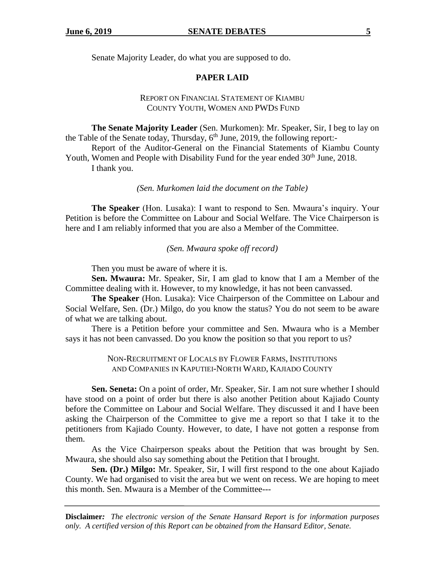Senate Majority Leader, do what you are supposed to do.

### **PAPER LAID**

### REPORT ON FINANCIAL STATEMENT OF KIAMBU COUNTY YOUTH, WOMEN AND PWDS FUND

**The Senate Majority Leader** (Sen. Murkomen): Mr. Speaker, Sir, I beg to lay on the Table of the Senate today, Thursday,  $6<sup>th</sup>$  June, 2019, the following report:-

Report of the Auditor-General on the Financial Statements of Kiambu County Youth, Women and People with Disability Fund for the year ended 30<sup>th</sup> June, 2018. I thank you.

*(Sen. Murkomen laid the document on the Table)*

**The Speaker** (Hon. Lusaka): I want to respond to Sen. Mwaura's inquiry. Your Petition is before the Committee on Labour and Social Welfare. The Vice Chairperson is here and I am reliably informed that you are also a Member of the Committee.

*(Sen. Mwaura spoke off record)*

Then you must be aware of where it is.

**Sen. Mwaura:** Mr. Speaker, Sir, I am glad to know that I am a Member of the Committee dealing with it. However, to my knowledge, it has not been canvassed.

**The Speaker** (Hon. Lusaka): Vice Chairperson of the Committee on Labour and Social Welfare, Sen. (Dr.) Milgo, do you know the status? You do not seem to be aware of what we are talking about.

There is a Petition before your committee and Sen. Mwaura who is a Member says it has not been canvassed. Do you know the position so that you report to us?

> NON-RECRUITMENT OF LOCALS BY FLOWER FARMS, INSTITUTIONS AND COMPANIES IN KAPUTIEI-NORTH WARD, KAJIADO COUNTY

**Sen. Seneta:** On a point of order, Mr. Speaker, Sir. I am not sure whether I should have stood on a point of order but there is also another Petition about Kajiado County before the Committee on Labour and Social Welfare. They discussed it and I have been asking the Chairperson of the Committee to give me a report so that I take it to the petitioners from Kajiado County. However, to date, I have not gotten a response from them.

As the Vice Chairperson speaks about the Petition that was brought by Sen. Mwaura, she should also say something about the Petition that I brought.

**Sen. (Dr.) Milgo:** Mr. Speaker, Sir, I will first respond to the one about Kajiado County. We had organised to visit the area but we went on recess. We are hoping to meet this month. Sen. Mwaura is a Member of the Committee---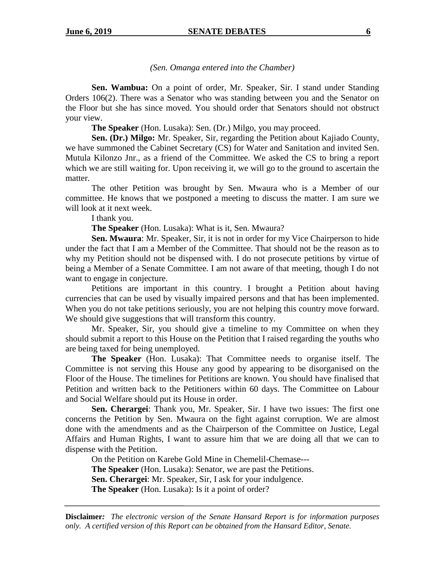### *(Sen. Omanga entered into the Chamber)*

**Sen. Wambua:** On a point of order, Mr. Speaker, Sir. I stand under Standing Orders 106(2). There was a Senator who was standing between you and the Senator on the Floor but she has since moved. You should order that Senators should not obstruct your view.

**The Speaker** (Hon. Lusaka): Sen. (Dr.) Milgo, you may proceed.

**Sen. (Dr.) Milgo:** Mr. Speaker, Sir, regarding the Petition about Kajiado County, we have summoned the Cabinet Secretary (CS) for Water and Sanitation and invited Sen. Mutula Kilonzo Jnr., as a friend of the Committee. We asked the CS to bring a report which we are still waiting for. Upon receiving it, we will go to the ground to ascertain the matter.

The other Petition was brought by Sen. Mwaura who is a Member of our committee. He knows that we postponed a meeting to discuss the matter. I am sure we will look at it next week.

I thank you.

**The Speaker** (Hon. Lusaka): What is it, Sen. Mwaura?

**Sen. Mwaura**: Mr. Speaker, Sir, it is not in order for my Vice Chairperson to hide under the fact that I am a Member of the Committee. That should not be the reason as to why my Petition should not be dispensed with. I do not prosecute petitions by virtue of being a Member of a Senate Committee. I am not aware of that meeting, though I do not want to engage in conjecture.

Petitions are important in this country. I brought a Petition about having currencies that can be used by visually impaired persons and that has been implemented. When you do not take petitions seriously, you are not helping this country move forward. We should give suggestions that will transform this country.

Mr. Speaker, Sir, you should give a timeline to my Committee on when they should submit a report to this House on the Petition that I raised regarding the youths who are being taxed for being unemployed.

**The Speaker** (Hon. Lusaka): That Committee needs to organise itself. The Committee is not serving this House any good by appearing to be disorganised on the Floor of the House. The timelines for Petitions are known. You should have finalised that Petition and written back to the Petitioners within 60 days. The Committee on Labour and Social Welfare should put its House in order.

**Sen. Cherargei**: Thank you, Mr. Speaker, Sir. I have two issues: The first one concerns the Petition by Sen. Mwaura on the fight against corruption. We are almost done with the amendments and as the Chairperson of the Committee on Justice, Legal Affairs and Human Rights, I want to assure him that we are doing all that we can to dispense with the Petition.

On the Petition on Karebe Gold Mine in Chemelil-Chemase--- **The Speaker** (Hon. Lusaka): Senator, we are past the Petitions. **Sen. Cherargei**: Mr. Speaker, Sir, I ask for your indulgence.

**The Speaker** (Hon. Lusaka): Is it a point of order?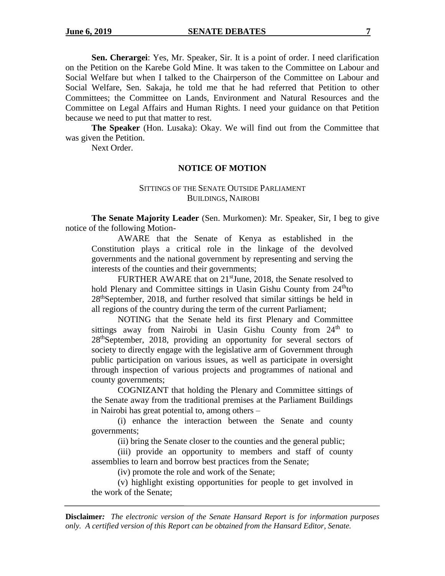**Sen. Cherargei**: Yes, Mr. Speaker, Sir. It is a point of order. I need clarification on the Petition on the Karebe Gold Mine. It was taken to the Committee on Labour and Social Welfare but when I talked to the Chairperson of the Committee on Labour and Social Welfare, Sen. Sakaja, he told me that he had referred that Petition to other Committees; the Committee on Lands, Environment and Natural Resources and the Committee on Legal Affairs and Human Rights. I need your guidance on that Petition because we need to put that matter to rest.

**The Speaker** (Hon. Lusaka): Okay. We will find out from the Committee that was given the Petition.

Next Order.

#### **NOTICE OF MOTION**

### SITTINGS OF THE SENATE OUTSIDE PARLIAMENT BUILDINGS, NAIROBI

**The Senate Majority Leader** (Sen. Murkomen): Mr. Speaker, Sir, I beg to give notice of the following Motion-

AWARE that the Senate of Kenya as established in the Constitution plays a critical role in the linkage of the devolved governments and the national government by representing and serving the interests of the counties and their governments;

FURTHER AWARE that on 21<sup>st</sup>June, 2018, the Senate resolved to hold Plenary and Committee sittings in Uasin Gishu County from  $24<sup>th</sup>$ to 28<sup>th</sup>September, 2018, and further resolved that similar sittings be held in all regions of the country during the term of the current Parliament;

NOTING that the Senate held its first Plenary and Committee sittings away from Nairobi in Uasin Gishu County from  $24<sup>th</sup>$  to 28<sup>th</sup>September, 2018, providing an opportunity for several sectors of society to directly engage with the legislative arm of Government through public participation on various issues, as well as participate in oversight through inspection of various projects and programmes of national and county governments;

COGNIZANT that holding the Plenary and Committee sittings of the Senate away from the traditional premises at the Parliament Buildings in Nairobi has great potential to, among others –

(i) enhance the interaction between the Senate and county governments;

(ii) bring the Senate closer to the counties and the general public;

(iii) provide an opportunity to members and staff of county assemblies to learn and borrow best practices from the Senate;

(iv) promote the role and work of the Senate;

(v) highlight existing opportunities for people to get involved in the work of the Senate;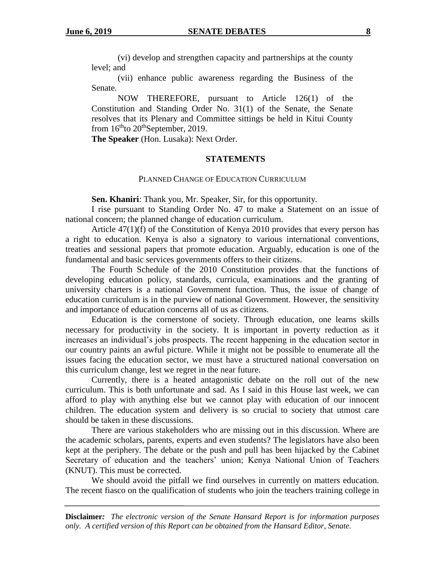(vi) develop and strengthen capacity and partnerships at the county level; and

(vii) enhance public awareness regarding the Business of the Senate.

NOW THEREFORE, pursuant to Article 126(1) of the Constitution and Standing Order No. 31(1) of the Senate, the Senate resolves that its Plenary and Committee sittings be held in Kitui County from  $16<sup>th</sup>$  to  $20<sup>th</sup>$  September, 2019.

**The Speaker** (Hon. Lusaka): Next Order.

#### **STATEMENTS**

#### PLANNED CHANGE OF EDUCATION CURRICULUM

**Sen. Khaniri**: Thank you, Mr. Speaker, Sir, for this opportunity.

I rise pursuant to Standing Order No. 47 to make a Statement on an issue of national concern; the planned change of education curriculum.

Article 47(1)(f) of the Constitution of Kenya 2010 provides that every person has a right to education. Kenya is also a signatory to various international conventions, treaties and sessional papers that promote education. Arguably, education is one of the fundamental and basic services governments offers to their citizens.

The Fourth Schedule of the 2010 Constitution provides that the functions of developing education policy, standards, curricula, examinations and the granting of university charters is a national Government function. Thus, the issue of change of education curriculum is in the purview of national Government. However, the sensitivity and importance of education concerns all of us as citizens.

Education is the cornerstone of society. Through education, one learns skills necessary for productivity in the society. It is important in poverty reduction as it increases an individual's jobs prospects. The recent happening in the education sector in our country paints an awful picture. While it might not be possible to enumerate all the issues facing the education sector, we must have a structured national conversation on this curriculum change, lest we regret in the near future.

Currently, there is a heated antagonistic debate on the roll out of the new curriculum. This is both unfortunate and sad. As I said in this House last week, we can afford to play with anything else but we cannot play with education of our innocent children. The education system and delivery is so crucial to society that utmost care should be taken in these discussions.

There are various stakeholders who are missing out in this discussion. Where are the academic scholars, parents, experts and even students? The legislators have also been kept at the periphery. The debate or the push and pull has been hijacked by the Cabinet Secretary of education and the teachers' union; Kenya National Union of Teachers (KNUT). This must be corrected.

We should avoid the pitfall we find ourselves in currently on matters education. The recent fiasco on the qualification of students who join the teachers training college in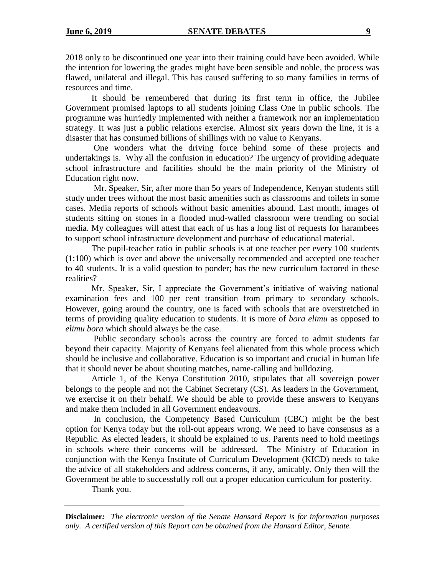2018 only to be discontinued one year into their training could have been avoided. While the intention for lowering the grades might have been sensible and noble, the process was flawed, unilateral and illegal. This has caused suffering to so many families in terms of resources and time.

It should be remembered that during its first term in office, the Jubilee Government promised laptops to all students joining Class One in public schools. The programme was hurriedly implemented with neither a framework nor an implementation strategy. It was just a public relations exercise. Almost six years down the line, it is a disaster that has consumed billions of shillings with no value to Kenyans.

One wonders what the driving force behind some of these projects and undertakings is. Why all the confusion in education? The urgency of providing adequate school infrastructure and facilities should be the main priority of the Ministry of Education right now.

Mr. Speaker, Sir, after more than 5o years of Independence, Kenyan students still study under trees without the most basic amenities such as classrooms and toilets in some cases. Media reports of schools without basic amenities abound. Last month, images of students sitting on stones in a flooded mud-walled classroom were trending on social media. My colleagues will attest that each of us has a long list of requests for harambees to support school infrastructure development and purchase of educational material.

The pupil-teacher ratio in public schools is at one teacher per every 100 students (1:100) which is over and above the universally recommended and accepted one teacher to 40 students. It is a valid question to ponder; has the new curriculum factored in these realities?

Mr. Speaker, Sir, I appreciate the Government's initiative of waiving national examination fees and 100 per cent transition from primary to secondary schools. However, going around the country, one is faced with schools that are overstretched in terms of providing quality education to students. It is more of *bora elimu* as opposed to *elimu bora* which should always be the case.

Public secondary schools across the country are forced to admit students far beyond their capacity. Majority of Kenyans feel alienated from this whole process which should be inclusive and collaborative. Education is so important and crucial in human life that it should never be about shouting matches, name-calling and bulldozing.

Article 1, of the Kenya Constitution 2010, stipulates that all sovereign power belongs to the people and not the Cabinet Secretary (CS). As leaders in the Government, we exercise it on their behalf. We should be able to provide these answers to Kenyans and make them included in all Government endeavours.

In conclusion, the Competency Based Curriculum (CBC) might be the best option for Kenya today but the roll-out appears wrong. We need to have consensus as a Republic. As elected leaders, it should be explained to us. Parents need to hold meetings in schools where their concerns will be addressed. The Ministry of Education in conjunction with the Kenya Institute of Curriculum Development (KICD) needs to take the advice of all stakeholders and address concerns, if any, amicably. Only then will the Government be able to successfully roll out a proper education curriculum for posterity.

Thank you.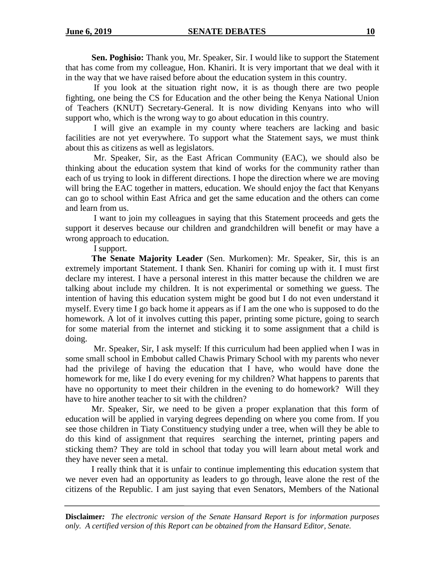**Sen. Poghisio:** Thank you, Mr. Speaker, Sir. I would like to support the Statement that has come from my colleague, Hon. Khaniri. It is very important that we deal with it in the way that we have raised before about the education system in this country.

If you look at the situation right now, it is as though there are two people fighting, one being the CS for Education and the other being the Kenya National Union of Teachers (KNUT) Secretary-General. It is now dividing Kenyans into who will support who, which is the wrong way to go about education in this country.

I will give an example in my county where teachers are lacking and basic facilities are not yet everywhere. To support what the Statement says, we must think about this as citizens as well as legislators.

Mr. Speaker, Sir, as the East African Community (EAC), we should also be thinking about the education system that kind of works for the community rather than each of us trying to look in different directions. I hope the direction where we are moving will bring the EAC together in matters, education. We should enjoy the fact that Kenyans can go to school within East Africa and get the same education and the others can come and learn from us.

I want to join my colleagues in saying that this Statement proceeds and gets the support it deserves because our children and grandchildren will benefit or may have a wrong approach to education.

I support.

**The Senate Majority Leader** (Sen. Murkomen): Mr. Speaker, Sir, this is an extremely important Statement. I thank Sen. Khaniri for coming up with it. I must first declare my interest. I have a personal interest in this matter because the children we are talking about include my children. It is not experimental or something we guess. The intention of having this education system might be good but I do not even understand it myself. Every time I go back home it appears as if I am the one who is supposed to do the homework. A lot of it involves cutting this paper, printing some picture, going to search for some material from the internet and sticking it to some assignment that a child is doing.

Mr. Speaker, Sir, I ask myself: If this curriculum had been applied when I was in some small school in Embobut called Chawis Primary School with my parents who never had the privilege of having the education that I have, who would have done the homework for me, like I do every evening for my children? What happens to parents that have no opportunity to meet their children in the evening to do homework? Will they have to hire another teacher to sit with the children?

Mr. Speaker, Sir, we need to be given a proper explanation that this form of education will be applied in varying degrees depending on where you come from. If you see those children in Tiaty Constituency studying under a tree, when will they be able to do this kind of assignment that requires searching the internet, printing papers and sticking them? They are told in school that today you will learn about metal work and they have never seen a metal.

I really think that it is unfair to continue implementing this education system that we never even had an opportunity as leaders to go through, leave alone the rest of the citizens of the Republic. I am just saying that even Senators, Members of the National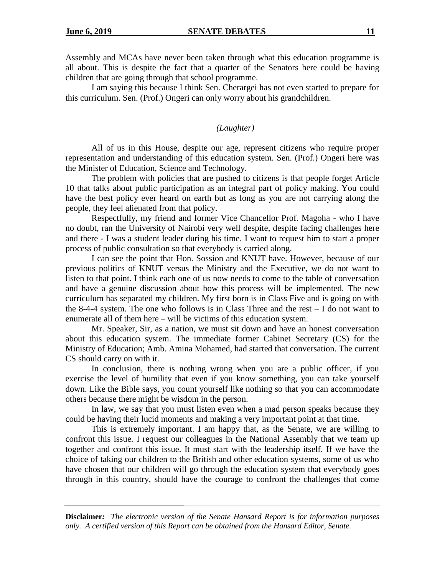Assembly and MCAs have never been taken through what this education programme is all about. This is despite the fact that a quarter of the Senators here could be having children that are going through that school programme.

I am saying this because I think Sen. Cherargei has not even started to prepare for this curriculum. Sen. (Prof.) Ongeri can only worry about his grandchildren.

*(Laughter)*

All of us in this House, despite our age, represent citizens who require proper representation and understanding of this education system. Sen. (Prof.) Ongeri here was the Minister of Education, Science and Technology.

The problem with policies that are pushed to citizens is that people forget Article 10 that talks about public participation as an integral part of policy making. You could have the best policy ever heard on earth but as long as you are not carrying along the people, they feel alienated from that policy.

Respectfully, my friend and former Vice Chancellor Prof. Magoha - who I have no doubt, ran the University of Nairobi very well despite, despite facing challenges here and there - I was a student leader during his time. I want to request him to start a proper process of public consultation so that everybody is carried along.

I can see the point that Hon. Sossion and KNUT have. However, because of our previous politics of KNUT versus the Ministry and the Executive, we do not want to listen to that point. I think each one of us now needs to come to the table of conversation and have a genuine discussion about how this process will be implemented. The new curriculum has separated my children. My first born is in Class Five and is going on with the 8-4-4 system. The one who follows is in Class Three and the rest – I do not want to enumerate all of them here – will be victims of this education system.

Mr. Speaker, Sir, as a nation, we must sit down and have an honest conversation about this education system. The immediate former Cabinet Secretary (CS) for the Ministry of Education; Amb. Amina Mohamed, had started that conversation. The current CS should carry on with it.

In conclusion, there is nothing wrong when you are a public officer, if you exercise the level of humility that even if you know something, you can take yourself down. Like the Bible says, you count yourself like nothing so that you can accommodate others because there might be wisdom in the person.

In law, we say that you must listen even when a mad person speaks because they could be having their lucid moments and making a very important point at that time.

This is extremely important. I am happy that, as the Senate, we are willing to confront this issue. I request our colleagues in the National Assembly that we team up together and confront this issue. It must start with the leadership itself. If we have the choice of taking our children to the British and other education systems, some of us who have chosen that our children will go through the education system that everybody goes through in this country, should have the courage to confront the challenges that come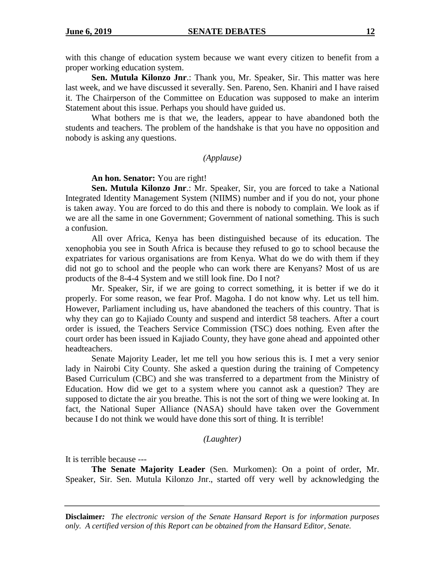with this change of education system because we want every citizen to benefit from a proper working education system.

**Sen. Mutula Kilonzo Jnr**.: Thank you, Mr. Speaker, Sir. This matter was here last week, and we have discussed it severally. Sen. Pareno, Sen. Khaniri and I have raised it. The Chairperson of the Committee on Education was supposed to make an interim Statement about this issue. Perhaps you should have guided us.

What bothers me is that we, the leaders, appear to have abandoned both the students and teachers. The problem of the handshake is that you have no opposition and nobody is asking any questions.

### *(Applause)*

#### **An hon. Senator:** You are right!

**Sen. Mutula Kilonzo Jnr**.: Mr. Speaker, Sir, you are forced to take a National Integrated Identity Management System (NIIMS) number and if you do not, your phone is taken away. You are forced to do this and there is nobody to complain. We look as if we are all the same in one Government; Government of national something. This is such a confusion.

All over Africa, Kenya has been distinguished because of its education. The xenophobia you see in South Africa is because they refused to go to school because the expatriates for various organisations are from Kenya. What do we do with them if they did not go to school and the people who can work there are Kenyans? Most of us are products of the 8-4-4 System and we still look fine. Do I not?

Mr. Speaker, Sir, if we are going to correct something, it is better if we do it properly. For some reason, we fear Prof. Magoha. I do not know why. Let us tell him. However, Parliament including us, have abandoned the teachers of this country. That is why they can go to Kajiado County and suspend and interdict 58 teachers. After a court order is issued, the Teachers Service Commission (TSC) does nothing. Even after the court order has been issued in Kajiado County, they have gone ahead and appointed other headteachers.

Senate Majority Leader, let me tell you how serious this is. I met a very senior lady in Nairobi City County. She asked a question during the training of Competency Based Curriculum (CBC) and she was transferred to a department from the Ministry of Education. How did we get to a system where you cannot ask a question? They are supposed to dictate the air you breathe. This is not the sort of thing we were looking at. In fact, the National Super Alliance (NASA) should have taken over the Government because I do not think we would have done this sort of thing. It is terrible!

#### *(Laughter)*

It is terrible because ---

**The Senate Majority Leader** (Sen. Murkomen): On a point of order, Mr. Speaker, Sir. Sen. Mutula Kilonzo Jnr., started off very well by acknowledging the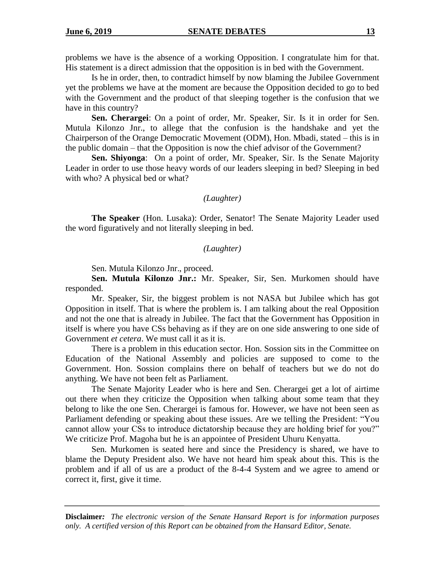problems we have is the absence of a working Opposition. I congratulate him for that. His statement is a direct admission that the opposition is in bed with the Government.

Is he in order, then, to contradict himself by now blaming the Jubilee Government yet the problems we have at the moment are because the Opposition decided to go to bed with the Government and the product of that sleeping together is the confusion that we have in this country?

**Sen. Cherargei**: On a point of order, Mr. Speaker, Sir. Is it in order for Sen. Mutula Kilonzo Jnr., to allege that the confusion is the handshake and yet the Chairperson of the Orange Democratic Movement (ODM), Hon. Mbadi, stated – this is in the public domain – that the Opposition is now the chief advisor of the Government?

**Sen. Shiyonga**: On a point of order, Mr. Speaker, Sir. Is the Senate Majority Leader in order to use those heavy words of our leaders sleeping in bed? Sleeping in bed with who? A physical bed or what?

#### *(Laughter)*

**The Speaker** (Hon. Lusaka): Order, Senator! The Senate Majority Leader used the word figuratively and not literally sleeping in bed.

### *(Laughter)*

Sen. Mutula Kilonzo Jnr., proceed.

**Sen. Mutula Kilonzo Jnr.:** Mr. Speaker, Sir, Sen. Murkomen should have responded.

Mr. Speaker, Sir, the biggest problem is not NASA but Jubilee which has got Opposition in itself. That is where the problem is. I am talking about the real Opposition and not the one that is already in Jubilee. The fact that the Government has Opposition in itself is where you have CSs behaving as if they are on one side answering to one side of Government *et cetera*. We must call it as it is.

There is a problem in this education sector. Hon. Sossion sits in the Committee on Education of the National Assembly and policies are supposed to come to the Government. Hon. Sossion complains there on behalf of teachers but we do not do anything. We have not been felt as Parliament.

The Senate Majority Leader who is here and Sen. Cherargei get a lot of airtime out there when they criticize the Opposition when talking about some team that they belong to like the one Sen. Cherargei is famous for. However, we have not been seen as Parliament defending or speaking about these issues. Are we telling the President: "You cannot allow your CSs to introduce dictatorship because they are holding brief for you?" We criticize Prof. Magoha but he is an appointee of President Uhuru Kenyatta.

Sen. Murkomen is seated here and since the Presidency is shared, we have to blame the Deputy President also. We have not heard him speak about this. This is the problem and if all of us are a product of the 8-4-4 System and we agree to amend or correct it, first, give it time.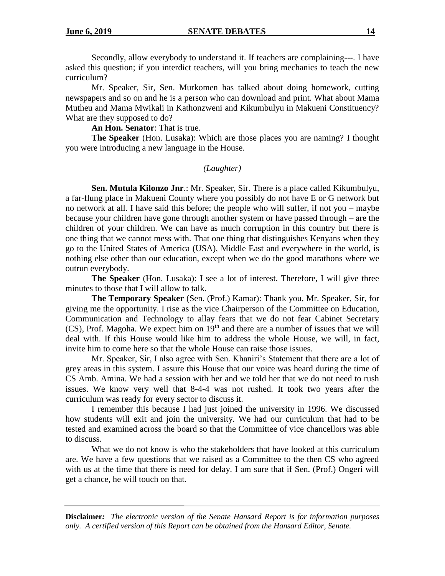Secondly, allow everybody to understand it. If teachers are complaining---. I have asked this question; if you interdict teachers, will you bring mechanics to teach the new curriculum?

Mr. Speaker, Sir, Sen. Murkomen has talked about doing homework, cutting newspapers and so on and he is a person who can download and print. What about Mama Mutheu and Mama Mwikali in Kathonzweni and Kikumbulyu in Makueni Constituency? What are they supposed to do?

**An Hon. Senator**: That is true.

**The Speaker** (Hon. Lusaka): Which are those places you are naming? I thought you were introducing a new language in the House.

#### *(Laughter)*

**Sen. Mutula Kilonzo Jnr**.: Mr. Speaker, Sir. There is a place called Kikumbulyu, a far-flung place in Makueni County where you possibly do not have E or G network but no network at all. I have said this before; the people who will suffer, if not you – maybe because your children have gone through another system or have passed through – are the children of your children. We can have as much corruption in this country but there is one thing that we cannot mess with. That one thing that distinguishes Kenyans when they go to the United States of America (USA), Middle East and everywhere in the world, is nothing else other than our education, except when we do the good marathons where we outrun everybody.

**The Speaker** (Hon. Lusaka): I see a lot of interest. Therefore, I will give three minutes to those that I will allow to talk.

**The Temporary Speaker** (Sen. (Prof.) Kamar): Thank you, Mr. Speaker, Sir, for giving me the opportunity. I rise as the vice Chairperson of the Committee on Education, Communication and Technology to allay fears that we do not fear Cabinet Secretary  $(CS)$ , Prof. Magoha. We expect him on  $19<sup>th</sup>$  and there are a number of issues that we will deal with. If this House would like him to address the whole House, we will, in fact, invite him to come here so that the whole House can raise those issues.

Mr. Speaker, Sir, I also agree with Sen. Khaniri's Statement that there are a lot of grey areas in this system. I assure this House that our voice was heard during the time of CS Amb. Amina. We had a session with her and we told her that we do not need to rush issues. We know very well that 8-4-4 was not rushed. It took two years after the curriculum was ready for every sector to discuss it.

I remember this because I had just joined the university in 1996. We discussed how students will exit and join the university. We had our curriculum that had to be tested and examined across the board so that the Committee of vice chancellors was able to discuss.

What we do not know is who the stakeholders that have looked at this curriculum are. We have a few questions that we raised as a Committee to the then CS who agreed with us at the time that there is need for delay. I am sure that if Sen. (Prof.) Ongeri will get a chance, he will touch on that.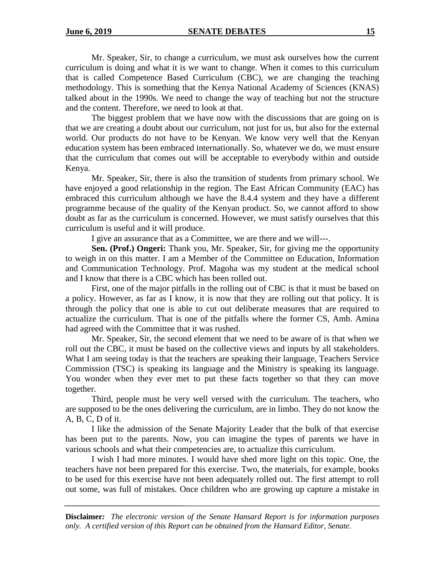Mr. Speaker, Sir, to change a curriculum, we must ask ourselves how the current curriculum is doing and what it is we want to change. When it comes to this curriculum that is called Competence Based Curriculum (CBC), we are changing the teaching methodology. This is something that the Kenya National Academy of Sciences (KNAS) talked about in the 1990s. We need to change the way of teaching but not the structure and the content. Therefore, we need to look at that.

The biggest problem that we have now with the discussions that are going on is that we are creating a doubt about our curriculum, not just for us, but also for the external world. Our products do not have to be Kenyan. We know very well that the Kenyan education system has been embraced internationally. So, whatever we do, we must ensure that the curriculum that comes out will be acceptable to everybody within and outside Kenya.

Mr. Speaker, Sir, there is also the transition of students from primary school. We have enjoyed a good relationship in the region. The East African Community (EAC) has embraced this curriculum although we have the 8.4.4 system and they have a different programme because of the quality of the Kenyan product. So, we cannot afford to show doubt as far as the curriculum is concerned. However, we must satisfy ourselves that this curriculum is useful and it will produce.

I give an assurance that as a Committee, we are there and we will---.

**Sen. (Prof.) Ongeri:** Thank you, Mr. Speaker, Sir, for giving me the opportunity to weigh in on this matter. I am a Member of the Committee on Education, Information and Communication Technology. Prof. Magoha was my student at the medical school and I know that there is a CBC which has been rolled out.

First, one of the major pitfalls in the rolling out of CBC is that it must be based on a policy. However, as far as I know, it is now that they are rolling out that policy. It is through the policy that one is able to cut out deliberate measures that are required to actualize the curriculum. That is one of the pitfalls where the former CS, Amb. Amina had agreed with the Committee that it was rushed.

Mr. Speaker, Sir, the second element that we need to be aware of is that when we roll out the CBC, it must be based on the collective views and inputs by all stakeholders. What I am seeing today is that the teachers are speaking their language, Teachers Service Commission (TSC) is speaking its language and the Ministry is speaking its language. You wonder when they ever met to put these facts together so that they can move together.

Third, people must be very well versed with the curriculum. The teachers, who are supposed to be the ones delivering the curriculum, are in limbo. They do not know the A, B, C, D of it.

I like the admission of the Senate Majority Leader that the bulk of that exercise has been put to the parents. Now, you can imagine the types of parents we have in various schools and what their competencies are, to actualize this curriculum.

I wish I had more minutes. I would have shed more light on this topic. One, the teachers have not been prepared for this exercise. Two, the materials, for example, books to be used for this exercise have not been adequately rolled out. The first attempt to roll out some, was full of mistakes. Once children who are growing up capture a mistake in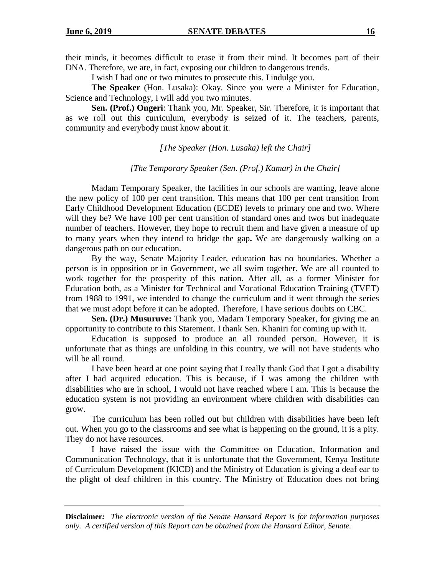their minds, it becomes difficult to erase it from their mind. It becomes part of their DNA. Therefore, we are, in fact, exposing our children to dangerous trends.

I wish I had one or two minutes to prosecute this. I indulge you.

**The Speaker** (Hon. Lusaka): Okay. Since you were a Minister for Education, Science and Technology, I will add you two minutes.

**Sen. (Prof.) Ongeri**: Thank you, Mr. Speaker, Sir. Therefore, it is important that as we roll out this curriculum, everybody is seized of it. The teachers, parents, community and everybody must know about it.

*[The Speaker (Hon. Lusaka) left the Chair]*

#### *[The Temporary Speaker (Sen. (Prof.) Kamar) in the Chair]*

Madam Temporary Speaker, the facilities in our schools are wanting, leave alone the new policy of 100 per cent transition. This means that 100 per cent transition from Early Childhood Development Education (ECDE) levels to primary one and two. Where will they be? We have 100 per cent transition of standard ones and twos but inadequate number of teachers. However, they hope to recruit them and have given a measure of up to many years when they intend to bridge the gap**.** We are dangerously walking on a dangerous path on our education.

By the way, Senate Majority Leader, education has no boundaries. Whether a person is in opposition or in Government, we all swim together. We are all counted to work together for the prosperity of this nation. After all, as a former Minister for Education both, as a Minister for Technical and Vocational Education Training (TVET) from 1988 to 1991, we intended to change the curriculum and it went through the series that we must adopt before it can be adopted. Therefore, I have serious doubts on CBC.

**Sen. (Dr.) Musuruve:** Thank you, Madam Temporary Speaker, for giving me an opportunity to contribute to this Statement. I thank Sen. Khaniri for coming up with it.

Education is supposed to produce an all rounded person. However, it is unfortunate that as things are unfolding in this country, we will not have students who will be all round.

I have been heard at one point saying that I really thank God that I got a disability after I had acquired education. This is because, if I was among the children with disabilities who are in school, I would not have reached where I am. This is because the education system is not providing an environment where children with disabilities can grow.

The curriculum has been rolled out but children with disabilities have been left out. When you go to the classrooms and see what is happening on the ground, it is a pity. They do not have resources.

I have raised the issue with the Committee on Education, Information and Communication Technology, that it is unfortunate that the Government, Kenya Institute of Curriculum Development (KICD) and the Ministry of Education is giving a deaf ear to the plight of deaf children in this country. The Ministry of Education does not bring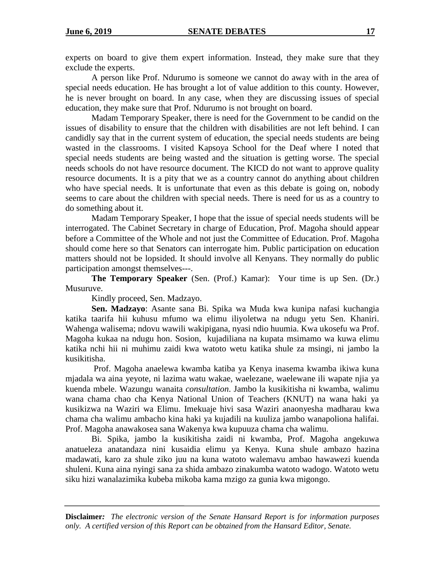experts on board to give them expert information. Instead, they make sure that they exclude the experts.

A person like Prof. Ndurumo is someone we cannot do away with in the area of special needs education. He has brought a lot of value addition to this county. However, he is never brought on board. In any case, when they are discussing issues of special education, they make sure that Prof. Ndurumo is not brought on board.

Madam Temporary Speaker, there is need for the Government to be candid on the issues of disability to ensure that the children with disabilities are not left behind. I can candidly say that in the current system of education, the special needs students are being wasted in the classrooms. I visited Kapsoya School for the Deaf where I noted that special needs students are being wasted and the situation is getting worse. The special needs schools do not have resource document. The KICD do not want to approve quality resource documents. It is a pity that we as a country cannot do anything about children who have special needs. It is unfortunate that even as this debate is going on, nobody seems to care about the children with special needs. There is need for us as a country to do something about it.

Madam Temporary Speaker, I hope that the issue of special needs students will be interrogated. The Cabinet Secretary in charge of Education, Prof. Magoha should appear before a Committee of the Whole and not just the Committee of Education. Prof. Magoha should come here so that Senators can interrogate him. Public participation on education matters should not be lopsided. It should involve all Kenyans. They normally do public participation amongst themselves---.

**The Temporary Speaker** (Sen. (Prof.) Kamar): Your time is up Sen. (Dr.) Musuruve.

Kindly proceed, Sen. Madzayo.

**Sen. Madzayo**: Asante sana Bi. Spika wa Muda kwa kunipa nafasi kuchangia katika taarifa hii kuhusu mfumo wa elimu iliyoletwa na ndugu yetu Sen. Khaniri. Wahenga walisema; ndovu wawili wakipigana, nyasi ndio huumia. Kwa ukosefu wa Prof. Magoha kukaa na ndugu hon. Sosion, kujadiliana na kupata msimamo wa kuwa elimu katika nchi hii ni muhimu zaidi kwa watoto wetu katika shule za msingi, ni jambo la kusikitisha.

Prof. Magoha anaelewa kwamba katiba ya Kenya inasema kwamba ikiwa kuna mjadala wa aina yeyote, ni lazima watu wakae, waelezane, waelewane ili wapate njia ya kuenda mbele. Wazungu wanaita *consultation*. Jambo la kusikitisha ni kwamba, walimu wana chama chao cha Kenya National Union of Teachers (KNUT) na wana haki ya kusikizwa na Waziri wa Elimu. Imekuaje hivi sasa Waziri anaonyesha madharau kwa chama cha walimu ambacho kina haki ya kujadili na kuuliza jambo wanapoliona halifai. Prof. Magoha anawakosea sana Wakenya kwa kupuuza chama cha walimu.

Bi. Spika, jambo la kusikitisha zaidi ni kwamba, Prof. Magoha angekuwa anatueleza anatandaza nini kusaidia elimu ya Kenya. Kuna shule ambazo hazina madawati, karo za shule ziko juu na kuna watoto walemavu ambao hawawezi kuenda shuleni. Kuna aina nyingi sana za shida ambazo zinakumba watoto wadogo. Watoto wetu siku hizi wanalazimika kubeba mikoba kama mzigo za gunia kwa migongo.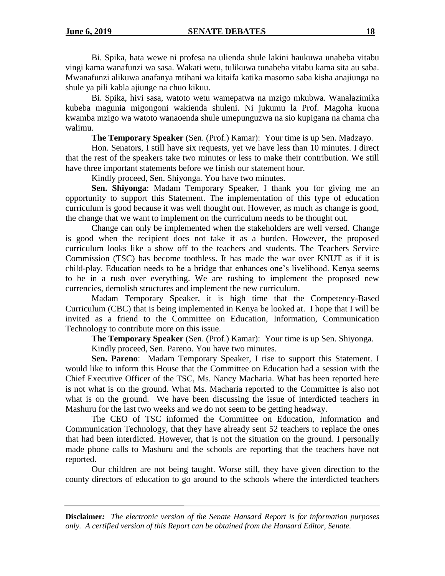Bi. Spika, hata wewe ni profesa na ulienda shule lakini haukuwa unabeba vitabu vingi kama wanafunzi wa sasa. Wakati wetu, tulikuwa tunabeba vitabu kama sita au saba. Mwanafunzi alikuwa anafanya mtihani wa kitaifa katika masomo saba kisha anajiunga na shule ya pili kabla ajiunge na chuo kikuu.

Bi. Spika, hivi sasa, watoto wetu wamepatwa na mzigo mkubwa. Wanalazimika kubeba magunia migongoni wakienda shuleni. Ni jukumu la Prof. Magoha kuona kwamba mzigo wa watoto wanaoenda shule umepunguzwa na sio kupigana na chama cha walimu.

**The Temporary Speaker** (Sen. (Prof.) Kamar): Your time is up Sen. Madzayo.

Hon. Senators, I still have six requests, yet we have less than 10 minutes. I direct that the rest of the speakers take two minutes or less to make their contribution. We still have three important statements before we finish our statement hour.

Kindly proceed, Sen. Shiyonga. You have two minutes.

**Sen. Shiyonga**: Madam Temporary Speaker, I thank you for giving me an opportunity to support this Statement. The implementation of this type of education curriculum is good because it was well thought out. However, as much as change is good, the change that we want to implement on the curriculum needs to be thought out.

Change can only be implemented when the stakeholders are well versed. Change is good when the recipient does not take it as a burden. However, the proposed curriculum looks like a show off to the teachers and students. The Teachers Service Commission (TSC) has become toothless. It has made the war over KNUT as if it is child-play. Education needs to be a bridge that enhances one's livelihood. Kenya seems to be in a rush over everything. We are rushing to implement the proposed new currencies, demolish structures and implement the new curriculum.

Madam Temporary Speaker, it is high time that the Competency-Based Curriculum (CBC) that is being implemented in Kenya be looked at. I hope that I will be invited as a friend to the Committee on Education, Information, Communication Technology to contribute more on this issue.

**The Temporary Speaker** (Sen. (Prof.) Kamar): Your time is up Sen. Shiyonga.

Kindly proceed, Sen. Pareno. You have two minutes.

**Sen. Pareno**: Madam Temporary Speaker, I rise to support this Statement. I would like to inform this House that the Committee on Education had a session with the Chief Executive Officer of the TSC, Ms. Nancy Macharia. What has been reported here is not what is on the ground. What Ms. Macharia reported to the Committee is also not what is on the ground. We have been discussing the issue of interdicted teachers in Mashuru for the last two weeks and we do not seem to be getting headway.

The CEO of TSC informed the Committee on Education, Information and Communication Technology, that they have already sent 52 teachers to replace the ones that had been interdicted. However, that is not the situation on the ground. I personally made phone calls to Mashuru and the schools are reporting that the teachers have not reported.

Our children are not being taught. Worse still, they have given direction to the county directors of education to go around to the schools where the interdicted teachers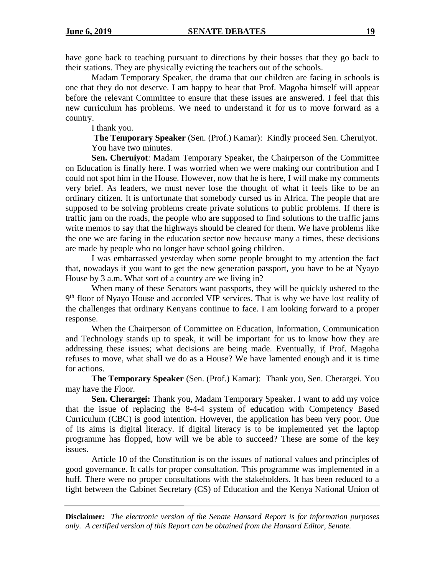have gone back to teaching pursuant to directions by their bosses that they go back to their stations. They are physically evicting the teachers out of the schools.

Madam Temporary Speaker, the drama that our children are facing in schools is one that they do not deserve. I am happy to hear that Prof. Magoha himself will appear before the relevant Committee to ensure that these issues are answered. I feel that this new curriculum has problems. We need to understand it for us to move forward as a country.

I thank you.

**The Temporary Speaker** (Sen. (Prof.) Kamar): Kindly proceed Sen. Cheruiyot. You have two minutes.

**Sen. Cheruiyot**: Madam Temporary Speaker, the Chairperson of the Committee on Education is finally here. I was worried when we were making our contribution and I could not spot him in the House. However, now that he is here, I will make my comments very brief. As leaders, we must never lose the thought of what it feels like to be an ordinary citizen. It is unfortunate that somebody cursed us in Africa. The people that are supposed to be solving problems create private solutions to public problems. If there is traffic jam on the roads, the people who are supposed to find solutions to the traffic jams write memos to say that the highways should be cleared for them. We have problems like the one we are facing in the education sector now because many a times, these decisions are made by people who no longer have school going children.

I was embarrassed yesterday when some people brought to my attention the fact that, nowadays if you want to get the new generation passport, you have to be at Nyayo House by 3 a.m. What sort of a country are we living in?

When many of these Senators want passports, they will be quickly ushered to the 9<sup>th</sup> floor of Nyayo House and accorded VIP services. That is why we have lost reality of the challenges that ordinary Kenyans continue to face. I am looking forward to a proper response.

When the Chairperson of Committee on Education, Information, Communication and Technology stands up to speak, it will be important for us to know how they are addressing these issues; what decisions are being made. Eventually, if Prof. Magoha refuses to move, what shall we do as a House? We have lamented enough and it is time for actions.

**The Temporary Speaker** (Sen. (Prof.) Kamar): Thank you, Sen. Cherargei. You may have the Floor.

**Sen. Cherargei:** Thank you, Madam Temporary Speaker. I want to add my voice that the issue of replacing the 8-4-4 system of education with Competency Based Curriculum (CBC) is good intention. However, the application has been very poor. One of its aims is digital literacy. If digital literacy is to be implemented yet the laptop programme has flopped, how will we be able to succeed? These are some of the key issues.

Article 10 of the Constitution is on the issues of national values and principles of good governance. It calls for proper consultation. This programme was implemented in a huff. There were no proper consultations with the stakeholders. It has been reduced to a fight between the Cabinet Secretary (CS) of Education and the Kenya National Union of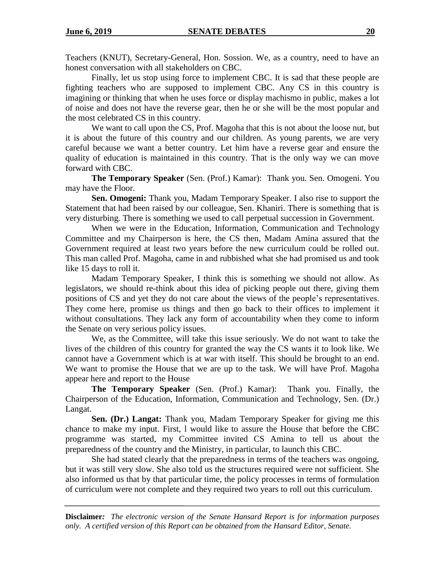Teachers (KNUT), Secretary-General, Hon. Sossion. We, as a country, need to have an honest conversation with all stakeholders on CBC.

Finally, let us stop using force to implement CBC. It is sad that these people are fighting teachers who are supposed to implement CBC. Any CS in this country is imagining or thinking that when he uses force or display machismo in public, makes a lot of noise and does not have the reverse gear, then he or she will be the most popular and the most celebrated CS in this country.

We want to call upon the CS, Prof. Magoha that this is not about the loose nut, but it is about the future of this country and our children. As young parents, we are very careful because we want a better country. Let him have a reverse gear and ensure the quality of education is maintained in this country. That is the only way we can move forward with CBC.

**The Temporary Speaker** (Sen. (Prof.) Kamar): Thank you. Sen. Omogeni. You may have the Floor.

**Sen. Omogeni:** Thank you, Madam Temporary Speaker. I also rise to support the Statement that had been raised by our colleague, Sen. Khaniri. There is something that is very disturbing. There is something we used to call perpetual succession in Government.

When we were in the Education, Information, Communication and Technology Committee and my Chairperson is here, the CS then, Madam Amina assured that the Government required at least two years before the new curriculum could be rolled out. This man called Prof. Magoha, came in and rubbished what she had promised us and took like 15 days to roll it.

Madam Temporary Speaker, I think this is something we should not allow. As legislators, we should re-think about this idea of picking people out there, giving them positions of CS and yet they do not care about the views of the people's representatives. They come here, promise us things and then go back to their offices to implement it without consultations. They lack any form of accountability when they come to inform the Senate on very serious policy issues.

We, as the Committee, will take this issue seriously. We do not want to take the lives of the children of this country for granted the way the CS wants it to look like. We cannot have a Government which is at war with itself. This should be brought to an end. We want to promise the House that we are up to the task. We will have Prof. Magoha appear here and report to the House

**The Temporary Speaker** (Sen. (Prof.) Kamar): Thank you. Finally, the Chairperson of the Education, Information, Communication and Technology, Sen. (Dr.) Langat.

**Sen. (Dr.) Langat:** Thank you, Madam Temporary Speaker for giving me this chance to make my input. First, l would like to assure the House that before the CBC programme was started, my Committee invited CS Amina to tell us about the preparedness of the country and the Ministry, in particular, to launch this CBC.

She had stated clearly that the preparedness in terms of the teachers was ongoing, but it was still very slow. She also told us the structures required were not sufficient. She also informed us that by that particular time, the policy processes in terms of formulation of curriculum were not complete and they required two years to roll out this curriculum.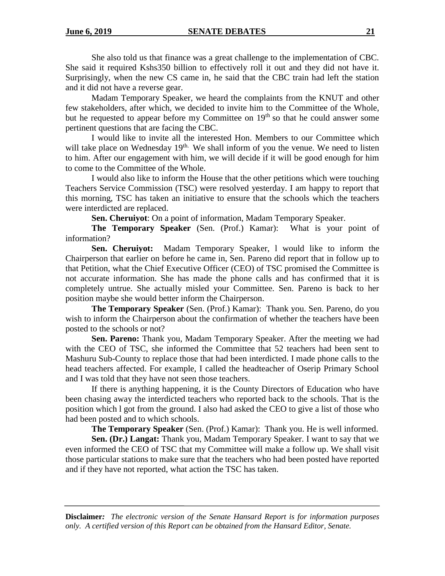She also told us that finance was a great challenge to the implementation of CBC. She said it required Kshs350 billion to effectively roll it out and they did not have it. Surprisingly, when the new CS came in, he said that the CBC train had left the station and it did not have a reverse gear.

Madam Temporary Speaker, we heard the complaints from the KNUT and other few stakeholders, after which, we decided to invite him to the Committee of the Whole, but he requested to appear before my Committee on  $19<sup>th</sup>$  so that he could answer some pertinent questions that are facing the CBC.

I would like to invite all the interested Hon. Members to our Committee which will take place on Wednesday  $19<sup>th</sup>$ . We shall inform of you the venue. We need to listen to him. After our engagement with him, we will decide if it will be good enough for him to come to the Committee of the Whole.

I would also like to inform the House that the other petitions which were touching Teachers Service Commission (TSC) were resolved yesterday. I am happy to report that this morning, TSC has taken an initiative to ensure that the schools which the teachers were interdicted are replaced.

**Sen. Cheruiyot**: On a point of information, Madam Temporary Speaker.

**The Temporary Speaker** (Sen. (Prof.) Kamar): What is your point of information?

**Sen. Cheruiyot:** Madam Temporary Speaker, l would like to inform the Chairperson that earlier on before he came in, Sen. Pareno did report that in follow up to that Petition, what the Chief Executive Officer (CEO) of TSC promised the Committee is not accurate information. She has made the phone calls and has confirmed that it is completely untrue. She actually misled your Committee. Sen. Pareno is back to her position maybe she would better inform the Chairperson.

**The Temporary Speaker** (Sen. (Prof.) Kamar): Thank you. Sen. Pareno, do you wish to inform the Chairperson about the confirmation of whether the teachers have been posted to the schools or not?

**Sen. Pareno:** Thank you, Madam Temporary Speaker. After the meeting we had with the CEO of TSC, she informed the Committee that 52 teachers had been sent to Mashuru Sub-County to replace those that had been interdicted. I made phone calls to the head teachers affected. For example, I called the headteacher of Oserip Primary School and I was told that they have not seen those teachers.

If there is anything happening, it is the County Directors of Education who have been chasing away the interdicted teachers who reported back to the schools. That is the position which l got from the ground. I also had asked the CEO to give a list of those who had been posted and to which schools.

**The Temporary Speaker** (Sen. (Prof.) Kamar): Thank you. He is well informed.

**Sen. (Dr.) Langat:** Thank you, Madam Temporary Speaker. I want to say that we even informed the CEO of TSC that my Committee will make a follow up. We shall visit those particular stations to make sure that the teachers who had been posted have reported and if they have not reported, what action the TSC has taken.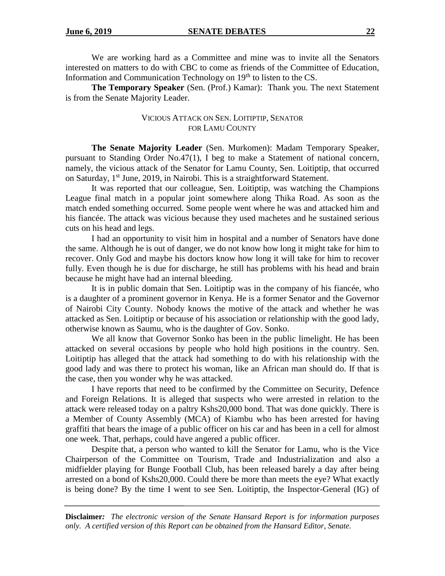We are working hard as a Committee and mine was to invite all the Senators interested on matters to do with CBC to come as friends of the Committee of Education, Information and Communication Technology on 19<sup>th</sup> to listen to the CS.

**The Temporary Speaker** (Sen. (Prof.) Kamar): Thank you. The next Statement is from the Senate Majority Leader.

### VICIOUS ATTACK ON SEN. LOITIPTIP, SENATOR FOR LAMU COUNTY

**The Senate Majority Leader** (Sen. Murkomen): Madam Temporary Speaker, pursuant to Standing Order No.47(1), I beg to make a Statement of national concern, namely, the vicious attack of the Senator for Lamu County, Sen. Loitiptip, that occurred on Saturday, 1st June, 2019, in Nairobi. This is a straightforward Statement.

It was reported that our colleague, Sen. Loitiptip, was watching the Champions League final match in a popular joint somewhere along Thika Road. As soon as the match ended something occurred. Some people went where he was and attacked him and his fiancée. The attack was vicious because they used machetes and he sustained serious cuts on his head and legs.

I had an opportunity to visit him in hospital and a number of Senators have done the same. Although he is out of danger, we do not know how long it might take for him to recover. Only God and maybe his doctors know how long it will take for him to recover fully. Even though he is due for discharge, he still has problems with his head and brain because he might have had an internal bleeding.

It is in public domain that Sen. Loitiptip was in the company of his fiancée, who is a daughter of a prominent governor in Kenya. He is a former Senator and the Governor of Nairobi City County. Nobody knows the motive of the attack and whether he was attacked as Sen. Loitiptip or because of his association or relationship with the good lady, otherwise known as Saumu, who is the daughter of Gov. Sonko.

We all know that Governor Sonko has been in the public limelight. He has been attacked on several occasions by people who hold high positions in the country. Sen. Loitiptip has alleged that the attack had something to do with his relationship with the good lady and was there to protect his woman, like an African man should do. If that is the case, then you wonder why he was attacked.

I have reports that need to be confirmed by the Committee on Security, Defence and Foreign Relations. It is alleged that suspects who were arrested in relation to the attack were released today on a paltry Kshs20,000 bond. That was done quickly. There is a Member of County Assembly (MCA) of Kiambu who has been arrested for having graffiti that bears the image of a public officer on his car and has been in a cell for almost one week. That, perhaps, could have angered a public officer.

Despite that, a person who wanted to kill the Senator for Lamu, who is the Vice Chairperson of the Committee on Tourism, Trade and Industrialization and also a midfielder playing for Bunge Football Club, has been released barely a day after being arrested on a bond of Kshs20,000. Could there be more than meets the eye? What exactly is being done? By the time I went to see Sen. Loitiptip, the Inspector-General (IG) of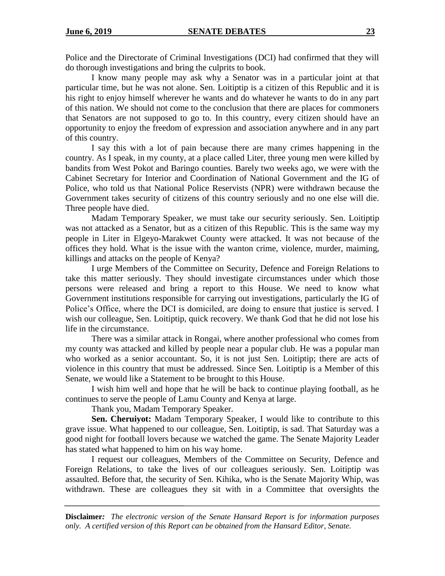Police and the Directorate of Criminal Investigations (DCI) had confirmed that they will do thorough investigations and bring the culprits to book.

I know many people may ask why a Senator was in a particular joint at that particular time, but he was not alone. Sen. Loitiptip is a citizen of this Republic and it is his right to enjoy himself wherever he wants and do whatever he wants to do in any part of this nation. We should not come to the conclusion that there are places for commoners that Senators are not supposed to go to. In this country, every citizen should have an opportunity to enjoy the freedom of expression and association anywhere and in any part of this country.

I say this with a lot of pain because there are many crimes happening in the country. As I speak, in my county, at a place called Liter, three young men were killed by bandits from West Pokot and Baringo counties. Barely two weeks ago, we were with the Cabinet Secretary for Interior and Coordination of National Government and the IG of Police, who told us that National Police Reservists (NPR) were withdrawn because the Government takes security of citizens of this country seriously and no one else will die. Three people have died.

Madam Temporary Speaker, we must take our security seriously. Sen. Loitiptip was not attacked as a Senator, but as a citizen of this Republic. This is the same way my people in Liter in Elgeyo-Marakwet County were attacked. It was not because of the offices they hold. What is the issue with the wanton crime, violence, murder, maiming, killings and attacks on the people of Kenya?

I urge Members of the Committee on Security, Defence and Foreign Relations to take this matter seriously. They should investigate circumstances under which those persons were released and bring a report to this House. We need to know what Government institutions responsible for carrying out investigations, particularly the IG of Police's Office, where the DCI is domiciled, are doing to ensure that justice is served. I wish our colleague, Sen. Loitiptip, quick recovery. We thank God that he did not lose his life in the circumstance.

There was a similar attack in Rongai, where another professional who comes from my county was attacked and killed by people near a popular club. He was a popular man who worked as a senior accountant. So, it is not just Sen. Loitiptip; there are acts of violence in this country that must be addressed. Since Sen. Loitiptip is a Member of this Senate, we would like a Statement to be brought to this House.

I wish him well and hope that he will be back to continue playing football, as he continues to serve the people of Lamu County and Kenya at large.

Thank you, Madam Temporary Speaker.

**Sen. Cheruiyot:** Madam Temporary Speaker, I would like to contribute to this grave issue. What happened to our colleague, Sen. Loitiptip, is sad. That Saturday was a good night for football lovers because we watched the game. The Senate Majority Leader has stated what happened to him on his way home.

I request our colleagues, Members of the Committee on Security, Defence and Foreign Relations, to take the lives of our colleagues seriously. Sen. Loitiptip was assaulted. Before that, the security of Sen. Kihika, who is the Senate Majority Whip, was withdrawn. These are colleagues they sit with in a Committee that oversights the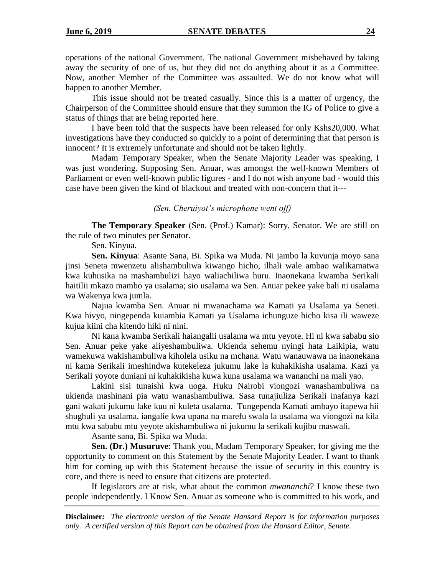operations of the national Government. The national Government misbehaved by taking away the security of one of us, but they did not do anything about it as a Committee. Now, another Member of the Committee was assaulted. We do not know what will happen to another Member.

This issue should not be treated casually. Since this is a matter of urgency, the Chairperson of the Committee should ensure that they summon the IG of Police to give a status of things that are being reported here.

I have been told that the suspects have been released for only Kshs20,000. What investigations have they conducted so quickly to a point of determining that that person is innocent? It is extremely unfortunate and should not be taken lightly.

Madam Temporary Speaker, when the Senate Majority Leader was speaking, I was just wondering. Supposing Sen. Anuar, was amongst the well-known Members of Parliament or even well-known public figures - and I do not wish anyone bad - would this case have been given the kind of blackout and treated with non-concern that it---

### *(Sen. Cheruiyot's microphone went off)*

**The Temporary Speaker** (Sen. (Prof.) Kamar): Sorry, Senator. We are still on the rule of two minutes per Senator.

Sen. Kinyua.

**Sen. Kinyua**: Asante Sana, Bi. Spika wa Muda. Ni jambo la kuvunja moyo sana jinsi Seneta mwenzetu alishambuliwa kiwango hicho, ilhali wale ambao walikamatwa kwa kuhusika na mashambulizi hayo waliachiliwa huru. Inaonekana kwamba Serikali haitilii mkazo mambo ya usalama; sio usalama wa Sen. Anuar pekee yake bali ni usalama wa Wakenya kwa jumla.

Najua kwamba Sen. Anuar ni mwanachama wa Kamati ya Usalama ya Seneti. Kwa hivyo, ningependa kuiambia Kamati ya Usalama ichunguze hicho kisa ili waweze kujua kiini cha kitendo hiki ni nini.

Ni kana kwamba Serikali haiangalii usalama wa mtu yeyote. Hi ni kwa sababu sio Sen. Anuar peke yake aliyeshambuliwa. Ukienda sehemu nyingi hata Laikipia, watu wamekuwa wakishambuliwa kiholela usiku na mchana. Watu wanauwawa na inaonekana ni kama Serikali imeshindwa kutekeleza jukumu lake la kuhakikisha usalama. Kazi ya Serikali yoyote duniani ni kuhakikisha kuwa kuna usalama wa wananchi na mali yao.

Lakini sisi tunaishi kwa uoga. Huku Nairobi viongozi wanashambuliwa na ukienda mashinani pia watu wanashambuliwa. Sasa tunajiuliza Serikali inafanya kazi gani wakati jukumu lake kuu ni kuleta usalama. Tungependa Kamati ambayo itapewa hii shughuli ya usalama, iangalie kwa upana na marefu swala la usalama wa viongozi na kila mtu kwa sababu mtu yeyote akishambuliwa ni jukumu la serikali kujibu maswali.

Asante sana, Bi. Spika wa Muda.

**Sen. (Dr.) Musuruve**: Thank you, Madam Temporary Speaker, for giving me the opportunity to comment on this Statement by the Senate Majority Leader. I want to thank him for coming up with this Statement because the issue of security in this country is core, and there is need to ensure that citizens are protected.

If legislators are at risk, what about the common *mwananchi*? I know these two people independently. I Know Sen. Anuar as someone who is committed to his work, and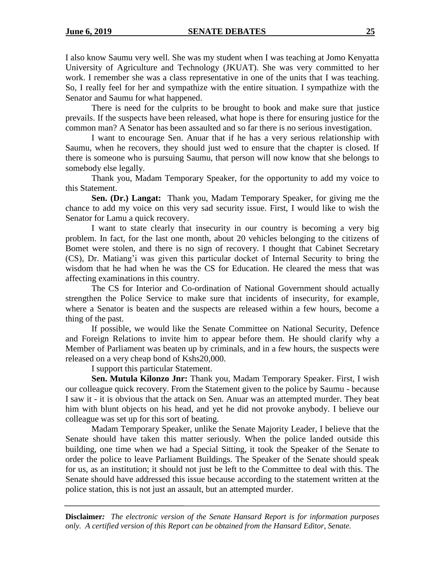I also know Saumu very well. She was my student when I was teaching at Jomo Kenyatta University of Agriculture and Technology (JKUAT). She was very committed to her work. I remember she was a class representative in one of the units that I was teaching. So, I really feel for her and sympathize with the entire situation. I sympathize with the Senator and Saumu for what happened.

There is need for the culprits to be brought to book and make sure that justice prevails. If the suspects have been released, what hope is there for ensuring justice for the common man? A Senator has been assaulted and so far there is no serious investigation.

I want to encourage Sen. Anuar that if he has a very serious relationship with Saumu, when he recovers, they should just wed to ensure that the chapter is closed. If there is someone who is pursuing Saumu, that person will now know that she belongs to somebody else legally.

Thank you, Madam Temporary Speaker, for the opportunity to add my voice to this Statement.

**Sen. (Dr.) Langat:** Thank you, Madam Temporary Speaker, for giving me the chance to add my voice on this very sad security issue. First, I would like to wish the Senator for Lamu a quick recovery.

I want to state clearly that insecurity in our country is becoming a very big problem. In fact, for the last one month, about 20 vehicles belonging to the citizens of Bomet were stolen, and there is no sign of recovery. I thought that Cabinet Secretary (CS), Dr. Matiang'i was given this particular docket of Internal Security to bring the wisdom that he had when he was the CS for Education. He cleared the mess that was affecting examinations in this country.

The CS for Interior and Co-ordination of National Government should actually strengthen the Police Service to make sure that incidents of insecurity, for example, where a Senator is beaten and the suspects are released within a few hours, become a thing of the past.

If possible, we would like the Senate Committee on National Security, Defence and Foreign Relations to invite him to appear before them. He should clarify why a Member of Parliament was beaten up by criminals, and in a few hours, the suspects were released on a very cheap bond of Kshs20,000.

I support this particular Statement.

**Sen. Mutula Kilonzo Jnr:** Thank you, Madam Temporary Speaker. First, I wish our colleague quick recovery. From the Statement given to the police by Saumu - because I saw it - it is obvious that the attack on Sen. Anuar was an attempted murder. They beat him with blunt objects on his head, and yet he did not provoke anybody. I believe our colleague was set up for this sort of beating.

Madam Temporary Speaker, unlike the Senate Majority Leader, I believe that the Senate should have taken this matter seriously. When the police landed outside this building, one time when we had a Special Sitting, it took the Speaker of the Senate to order the police to leave Parliament Buildings. The Speaker of the Senate should speak for us, as an institution; it should not just be left to the Committee to deal with this. The Senate should have addressed this issue because according to the statement written at the police station, this is not just an assault, but an attempted murder.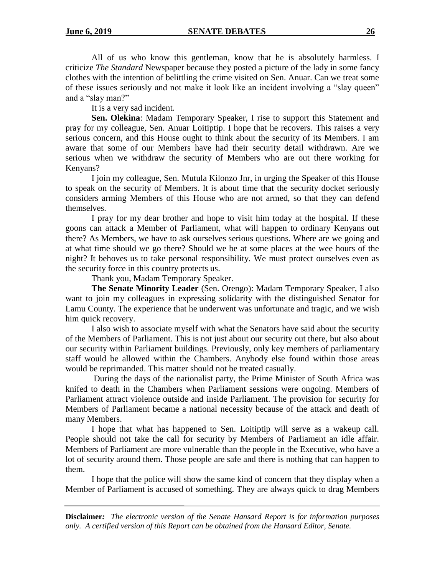All of us who know this gentleman, know that he is absolutely harmless. I criticize *The Standard* Newspaper because they posted a picture of the lady in some fancy clothes with the intention of belittling the crime visited on Sen. Anuar. Can we treat some of these issues seriously and not make it look like an incident involving a "slay queen" and a "slay man?"

It is a very sad incident.

**Sen. Olekina**: Madam Temporary Speaker, I rise to support this Statement and pray for my colleague, Sen. Anuar Loitiptip. I hope that he recovers. This raises a very serious concern, and this House ought to think about the security of its Members. I am aware that some of our Members have had their security detail withdrawn. Are we serious when we withdraw the security of Members who are out there working for Kenyans?

I join my colleague, Sen. Mutula Kilonzo Jnr, in urging the Speaker of this House to speak on the security of Members. It is about time that the security docket seriously considers arming Members of this House who are not armed, so that they can defend themselves.

I pray for my dear brother and hope to visit him today at the hospital. If these goons can attack a Member of Parliament, what will happen to ordinary Kenyans out there? As Members, we have to ask ourselves serious questions. Where are we going and at what time should we go there? Should we be at some places at the wee hours of the night? It behoves us to take personal responsibility. We must protect ourselves even as the security force in this country protects us.

Thank you, Madam Temporary Speaker.

**The Senate Minority Leader** (Sen. Orengo): Madam Temporary Speaker, I also want to join my colleagues in expressing solidarity with the distinguished Senator for Lamu County. The experience that he underwent was unfortunate and tragic, and we wish him quick recovery.

I also wish to associate myself with what the Senators have said about the security of the Members of Parliament. This is not just about our security out there, but also about our security within Parliament buildings. Previously, only key members of parliamentary staff would be allowed within the Chambers. Anybody else found within those areas would be reprimanded. This matter should not be treated casually.

During the days of the nationalist party, the Prime Minister of South Africa was knifed to death in the Chambers when Parliament sessions were ongoing. Members of Parliament attract violence outside and inside Parliament. The provision for security for Members of Parliament became a national necessity because of the attack and death of many Members.

I hope that what has happened to Sen. Loitiptip will serve as a wakeup call. People should not take the call for security by Members of Parliament an idle affair. Members of Parliament are more vulnerable than the people in the Executive, who have a lot of security around them. Those people are safe and there is nothing that can happen to them.

I hope that the police will show the same kind of concern that they display when a Member of Parliament is accused of something. They are always quick to drag Members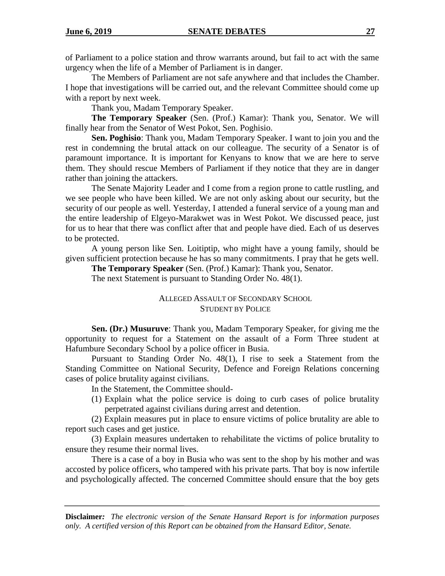of Parliament to a police station and throw warrants around, but fail to act with the same urgency when the life of a Member of Parliament is in danger.

The Members of Parliament are not safe anywhere and that includes the Chamber. I hope that investigations will be carried out, and the relevant Committee should come up with a report by next week.

Thank you, Madam Temporary Speaker.

**The Temporary Speaker** (Sen. (Prof.) Kamar): Thank you, Senator. We will finally hear from the Senator of West Pokot, Sen. Poghisio.

**Sen. Poghisio**: Thank you, Madam Temporary Speaker. I want to join you and the rest in condemning the brutal attack on our colleague. The security of a Senator is of paramount importance. It is important for Kenyans to know that we are here to serve them. They should rescue Members of Parliament if they notice that they are in danger rather than joining the attackers.

The Senate Majority Leader and I come from a region prone to cattle rustling, and we see people who have been killed. We are not only asking about our security, but the security of our people as well. Yesterday, I attended a funeral service of a young man and the entire leadership of Elgeyo-Marakwet was in West Pokot. We discussed peace, just for us to hear that there was conflict after that and people have died. Each of us deserves to be protected.

A young person like Sen. Loitiptip, who might have a young family, should be given sufficient protection because he has so many commitments. I pray that he gets well.

**The Temporary Speaker** (Sen. (Prof.) Kamar): Thank you, Senator.

The next Statement is pursuant to Standing Order No. 48(1).

### ALLEGED ASSAULT OF SECONDARY SCHOOL STUDENT BY POLICE

**Sen. (Dr.) Musuruve**: Thank you, Madam Temporary Speaker, for giving me the opportunity to request for a Statement on the assault of a Form Three student at Hafumbure Secondary School by a police officer in Busia.

Pursuant to Standing Order No. 48(1), I rise to seek a Statement from the Standing Committee on National Security, Defence and Foreign Relations concerning cases of police brutality against civilians.

In the Statement, the Committee should-

(1) Explain what the police service is doing to curb cases of police brutality perpetrated against civilians during arrest and detention.

(2) Explain measures put in place to ensure victims of police brutality are able to report such cases and get justice.

(3) Explain measures undertaken to rehabilitate the victims of police brutality to ensure they resume their normal lives.

There is a case of a boy in Busia who was sent to the shop by his mother and was accosted by police officers, who tampered with his private parts. That boy is now infertile and psychologically affected. The concerned Committee should ensure that the boy gets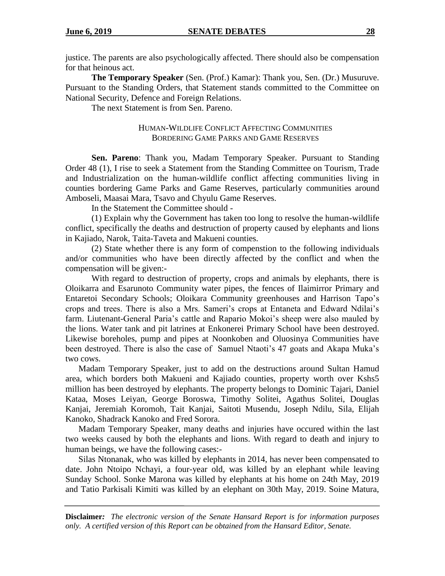justice. The parents are also psychologically affected. There should also be compensation for that heinous act.

**The Temporary Speaker** (Sen. (Prof.) Kamar): Thank you, Sen. (Dr.) Musuruve. Pursuant to the Standing Orders, that Statement stands committed to the Committee on National Security, Defence and Foreign Relations.

The next Statement is from Sen. Pareno.

### HUMAN-WILDLIFE CONFLICT AFFECTING COMMUNITIES BORDERING GAME PARKS AND GAME RESERVES

**Sen. Pareno**: Thank you, Madam Temporary Speaker. Pursuant to Standing Order 48 (1), I rise to seek a Statement from the Standing Committee on Tourism, Trade and Industrialization on the human-wildlife conflict affecting communities living in counties bordering Game Parks and Game Reserves, particularly communities around Amboseli, Maasai Mara, Tsavo and Chyulu Game Reserves.

In the Statement the Committee should -

(1) Explain why the Government has taken too long to resolve the human-wildlife conflict, specifically the deaths and destruction of property caused by elephants and lions in Kajiado, Narok, Taita-Taveta and Makueni counties.

(2) State whether there is any form of compenstion to the following individuals and/or communities who have been directly affected by the conflict and when the compensation will be given:-

With regard to destruction of property, crops and animals by elephants, there is Oloikarra and Esarunoto Community water pipes, the fences of Ilaimirror Primary and Entaretoi Secondary Schools; Oloikara Community greenhouses and Harrison Tapo's crops and trees. There is also a Mrs. Sameri's crops at Entaneta and Edward Ndilai's farm. Liutenant-General Paria's cattle and Rapario Mokoi's sheep were also mauled by the lions. Water tank and pit latrines at Enkonerei Primary School have been destroyed. Likewise boreholes, pump and pipes at Noonkoben and Oluosinya Communities have been destroyed. There is also the case of Samuel Ntaoti's 47 goats and Akapa Muka's two cows.

Madam Temporary Speaker, just to add on the destructions around Sultan Hamud area, which borders both Makueni and Kajiado counties, property worth over Kshs5 million has been destroyed by elephants. The property belongs to Dominic Tajari, Daniel Kataa, Moses Leiyan, George Boroswa, Timothy Solitei, Agathus Solitei, Douglas Kanjai, Jeremiah Koromoh, Tait Kanjai, Saitoti Musendu, Joseph Ndilu, Sila, Elijah Kanoko, Shadrack Kanoko and Fred Sorora.

Madam Temporary Speaker, many deaths and injuries have occured within the last two weeks caused by both the elephants and lions. With regard to death and injury to human beings, we have the following cases:-

Silas Ntonanak, who was killed by elephants in 2014, has never been compensated to date. John Ntoipo Nchayi, a four-year old, was killed by an elephant while leaving Sunday School. Sonke Marona was killed by elephants at his home on 24th May, 2019 and Tatio Parkisali Kimiti was killed by an elephant on 30th May, 2019. Soine Matura,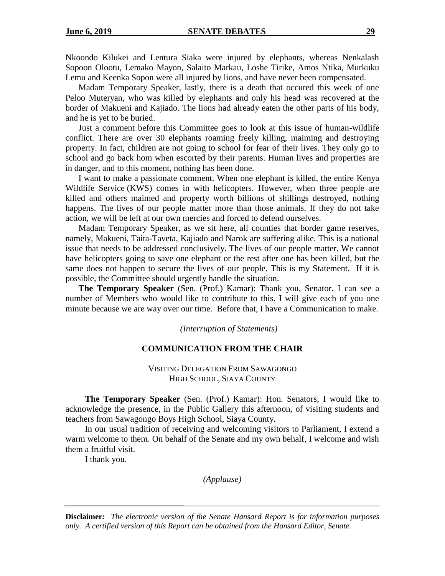Nkoondo Kilukei and Lentura Siaka were injured by elephants, whereas Nenkalash Sopoon Olootu, Lemako Mayon, Salaito Markau, Loshe Tirike, Amos Ntika, Murkuku Lemu and Keenka Sopon were all injured by lions, and have never been compensated.

Madam Temporary Speaker, lastly, there is a death that occured this week of one Peloo Muteryan, who was killed by elephants and only his head was recovered at the border of Makueni and Kajiado. The lions had already eaten the other parts of his body, and he is yet to be buried.

Just a comment before this Committee goes to look at this issue of human-wildlife conflict. There are over 30 elephants roaming freely killing, maiming and destroying property. In fact, children are not going to school for fear of their lives. They only go to school and go back hom when escorted by their parents. Human lives and properties are in danger, and to this moment, nothing has been done.

I want to make a passionate comment. When one elephant is killed, the entire Kenya Wildlife Service (KWS) comes in with helicopters. However, when three people are killed and others maimed and property worth billions of shillings destroyed, nothing happens. The lives of our people matter more than those animals. If they do not take action, we will be left at our own mercies and forced to defend ourselves.

Madam Temporary Speaker, as we sit here, all counties that border game reserves, namely, Makueni, Taita-Taveta, Kajiado and Narok are suffering alike. This is a national issue that needs to be addressed conclusively. The lives of our people matter. We cannot have helicopters going to save one elephant or the rest after one has been killed, but the same does not happen to secure the lives of our people. This is my Statement. If it is possible, the Committee should urgently handle the situation.

**The Temporary Speaker** (Sen. (Prof.) Kamar): Thank you, Senator. I can see a number of Members who would like to contribute to this. I will give each of you one minute because we are way over our time. Before that, I have a Communication to make.

*(Interruption of Statements)*

### **COMMUNICATION FROM THE CHAIR**

VISITING DELEGATION FROM SAWAGONGO HIGH SCHOOL, SIAYA COUNTY

**The Temporary Speaker** (Sen. (Prof.) Kamar): Hon. Senators, I would like to acknowledge the presence, in the Public Gallery this afternoon, of visiting students and teachers from Sawagongo Boys High School, Siaya County.

In our usual tradition of receiving and welcoming visitors to Parliament, I extend a warm welcome to them. On behalf of the Senate and my own behalf, I welcome and wish them a fruitful visit.

I thank you.

*(Applause)*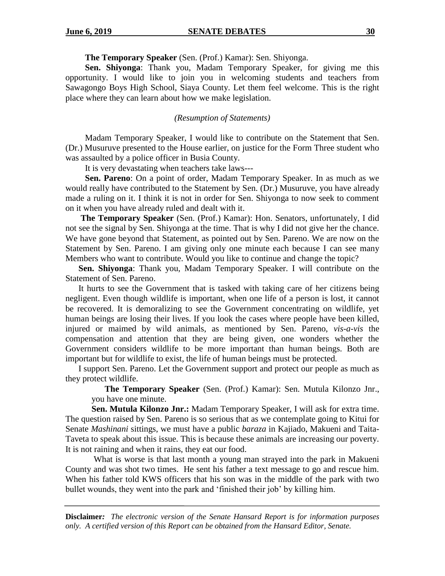**The Temporary Speaker** (Sen. (Prof.) Kamar): Sen. Shiyonga.

**Sen. Shiyonga**: Thank you, Madam Temporary Speaker, for giving me this opportunity. I would like to join you in welcoming students and teachers from Sawagongo Boys High School, Siaya County. Let them feel welcome. This is the right place where they can learn about how we make legislation.

*(Resumption of Statements)*

Madam Temporary Speaker, I would like to contribute on the Statement that Sen. (Dr.) Musuruve presented to the House earlier, on justice for the Form Three student who was assaulted by a police officer in Busia County.

It is very devastating when teachers take laws---

 **Sen. Pareno**: On a point of order, Madam Temporary Speaker. In as much as we would really have contributed to the Statement by Sen. (Dr.) Musuruve, you have already made a ruling on it. I think it is not in order for Sen. Shiyonga to now seek to comment on it when you have already ruled and dealt with it.

 **The Temporary Speaker** (Sen. (Prof.) Kamar): Hon. Senators, unfortunately, I did not see the signal by Sen. Shiyonga at the time. That is why I did not give her the chance. We have gone beyond that Statement, as pointed out by Sen. Pareno. We are now on the Statement by Sen. Pareno. I am giving only one minute each because I can see many Members who want to contribute. Would you like to continue and change the topic?

**Sen. Shiyonga**: Thank you, Madam Temporary Speaker. I will contribute on the Statement of Sen. Pareno.

It hurts to see the Government that is tasked with taking care of her citizens being negligent. Even though wildlife is important, when one life of a person is lost, it cannot be recovered. It is demoralizing to see the Government concentrating on wildlife, yet human beings are losing their lives. If you look the cases where people have been killed, injured or maimed by wild animals, as mentioned by Sen. Pareno, *vis-a-vis* the compensation and attention that they are being given, one wonders whether the Government considers wildlife to be more important than human beings. Both are important but for wildlife to exist, the life of human beings must be protected.

I support Sen. Pareno. Let the Government support and protect our people as much as they protect wildlife.

 **The Temporary Speaker** (Sen. (Prof.) Kamar): Sen. Mutula Kilonzo Jnr., you have one minute.

**Sen. Mutula Kilonzo Jnr.:** Madam Temporary Speaker, I will ask for extra time. The question raised by Sen. Pareno is so serious that as we contemplate going to Kitui for Senate *Mashinani* sittings, we must have a public *baraza* in Kajiado, Makueni and Taita-Taveta to speak about this issue. This is because these animals are increasing our poverty. It is not raining and when it rains, they eat our food.

What is worse is that last month a young man strayed into the park in Makueni County and was shot two times. He sent his father a text message to go and rescue him. When his father told KWS officers that his son was in the middle of the park with two bullet wounds, they went into the park and 'finished their job' by killing him.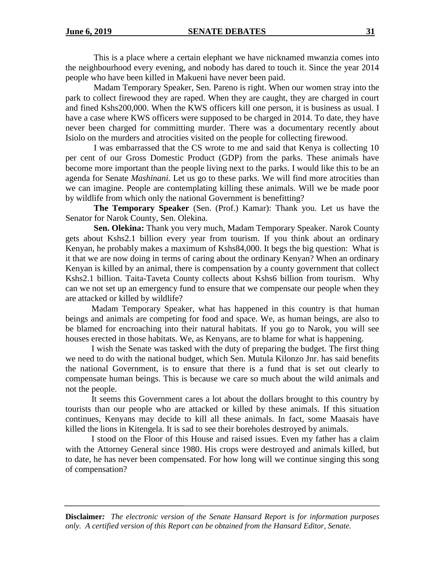This is a place where a certain elephant we have nicknamed mwanzia comes into the neighbourhood every evening, and nobody has dared to touch it. Since the year 2014 people who have been killed in Makueni have never been paid.

Madam Temporary Speaker, Sen. Pareno is right. When our women stray into the park to collect firewood they are raped. When they are caught, they are charged in court and fined Kshs200,000. When the KWS officers kill one person, it is business as usual. I have a case where KWS officers were supposed to be charged in 2014. To date, they have never been charged for committing murder. There was a documentary recently about Isiolo on the murders and atrocities visited on the people for collecting firewood.

I was embarrassed that the CS wrote to me and said that Kenya is collecting 10 per cent of our Gross Domestic Product (GDP) from the parks. These animals have become more important than the people living next to the parks. I would like this to be an agenda for Senate *Mashinani*. Let us go to these parks. We will find more atrocities than we can imagine. People are contemplating killing these animals. Will we be made poor by wildlife from which only the national Government is benefitting?

**The Temporary Speaker** (Sen. (Prof.) Kamar): Thank you. Let us have the Senator for Narok County, Sen. Olekina.

**Sen. Olekina:** Thank you very much, Madam Temporary Speaker. Narok County gets about Kshs2.1 billion every year from tourism. If you think about an ordinary Kenyan, he probably makes a maximum of Kshs84,000. It begs the big question: What is it that we are now doing in terms of caring about the ordinary Kenyan? When an ordinary Kenyan is killed by an animal, there is compensation by a county government that collect Kshs2.1 billion. Taita-Taveta County collects about Kshs6 billion from tourism. Why can we not set up an emergency fund to ensure that we compensate our people when they are attacked or killed by wildlife?

Madam Temporary Speaker, what has happened in this country is that human beings and animals are competing for food and space. We, as human beings, are also to be blamed for encroaching into their natural habitats. If you go to Narok, you will see houses erected in those habitats. We, as Kenyans, are to blame for what is happening.

I wish the Senate was tasked with the duty of preparing the budget. The first thing we need to do with the national budget, which Sen. Mutula Kilonzo Jnr. has said benefits the national Government, is to ensure that there is a fund that is set out clearly to compensate human beings. This is because we care so much about the wild animals and not the people.

It seems this Government cares a lot about the dollars brought to this country by tourists than our people who are attacked or killed by these animals. If this situation continues, Kenyans may decide to kill all these animals. In fact, some Maasais have killed the lions in Kitengela. It is sad to see their boreholes destroyed by animals.

I stood on the Floor of this House and raised issues. Even my father has a claim with the Attorney General since 1980. His crops were destroyed and animals killed, but to date, he has never been compensated. For how long will we continue singing this song of compensation?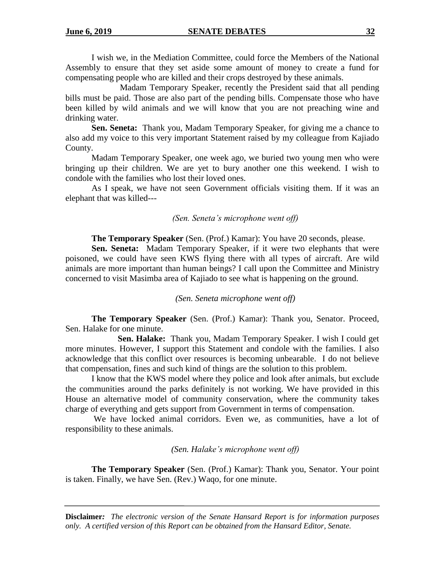I wish we, in the Mediation Committee, could force the Members of the National Assembly to ensure that they set aside some amount of money to create a fund for compensating people who are killed and their crops destroyed by these animals.

Madam Temporary Speaker, recently the President said that all pending bills must be paid. Those are also part of the pending bills. Compensate those who have been killed by wild animals and we will know that you are not preaching wine and drinking water.

**Sen. Seneta:** Thank you, Madam Temporary Speaker, for giving me a chance to also add my voice to this very important Statement raised by my colleague from Kajiado County.

Madam Temporary Speaker, one week ago, we buried two young men who were bringing up their children. We are yet to bury another one this weekend. I wish to condole with the families who lost their loved ones.

As I speak, we have not seen Government officials visiting them. If it was an elephant that was killed---

#### *(Sen. Seneta's microphone went off)*

**The Temporary Speaker** (Sen. (Prof.) Kamar): You have 20 seconds, please.

**Sen. Seneta:** Madam Temporary Speaker, if it were two elephants that were poisoned, we could have seen KWS flying there with all types of aircraft. Are wild animals are more important than human beings? I call upon the Committee and Ministry concerned to visit Masimba area of Kajiado to see what is happening on the ground.

*(Sen. Seneta microphone went off)*

**The Temporary Speaker** (Sen. (Prof.) Kamar): Thank you, Senator. Proceed, Sen. Halake for one minute.

**Sen. Halake:** Thank you, Madam Temporary Speaker. I wish I could get more minutes. However, I support this Statement and condole with the families. I also acknowledge that this conflict over resources is becoming unbearable. I do not believe that compensation, fines and such kind of things are the solution to this problem.

I know that the KWS model where they police and look after animals, but exclude the communities around the parks definitely is not working. We have provided in this House an alternative model of community conservation, where the community takes charge of everything and gets support from Government in terms of compensation.

We have locked animal corridors. Even we, as communities, have a lot of responsibility to these animals.

*(Sen. Halake's microphone went off)*

**The Temporary Speaker** (Sen. (Prof.) Kamar): Thank you, Senator. Your point is taken. Finally, we have Sen. (Rev.) Waqo, for one minute.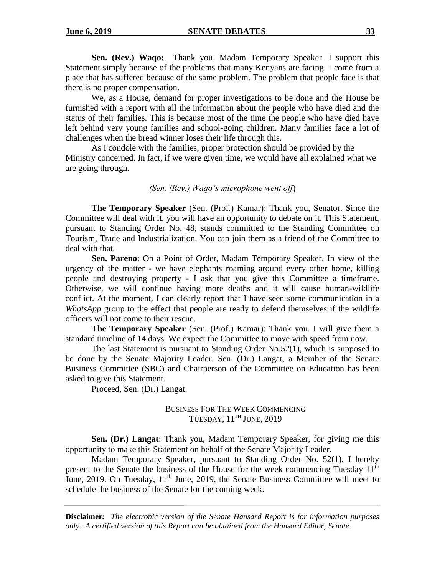**Sen. (Rev.) Waqo:** Thank you, Madam Temporary Speaker. I support this Statement simply because of the problems that many Kenyans are facing. I come from a place that has suffered because of the same problem. The problem that people face is that there is no proper compensation.

We, as a House, demand for proper investigations to be done and the House be furnished with a report with all the information about the people who have died and the status of their families. This is because most of the time the people who have died have left behind very young families and school-going children. Many families face a lot of challenges when the bread winner loses their life through this.

As I condole with the families, proper protection should be provided by the Ministry concerned. In fact, if we were given time, we would have all explained what we are going through.

#### *(Sen. (Rev.) Waqo's microphone went off*)

**The Temporary Speaker** (Sen. (Prof.) Kamar): Thank you, Senator. Since the Committee will deal with it, you will have an opportunity to debate on it. This Statement, pursuant to Standing Order No. 48, stands committed to the Standing Committee on Tourism, Trade and Industrialization. You can join them as a friend of the Committee to deal with that.

**Sen. Pareno**: On a Point of Order, Madam Temporary Speaker. In view of the urgency of the matter - we have elephants roaming around every other home, killing people and destroying property - I ask that you give this Committee a timeframe. Otherwise, we will continue having more deaths and it will cause human-wildlife conflict. At the moment, I can clearly report that I have seen some communication in a *WhatsApp* group to the effect that people are ready to defend themselves if the wildlife officers will not come to their rescue.

**The Temporary Speaker** (Sen. (Prof.) Kamar): Thank you. I will give them a standard timeline of 14 days. We expect the Committee to move with speed from now.

The last Statement is pursuant to Standing Order No.52(1), which is supposed to be done by the Senate Majority Leader. Sen. (Dr.) Langat, a Member of the Senate Business Committee (SBC) and Chairperson of the Committee on Education has been asked to give this Statement.

Proceed, Sen. (Dr.) Langat.

BUSINESS FOR THE WEEK COMMENCING TUESDAY, 11<sup>TH</sup> JUNE, 2019

**Sen. (Dr.) Langat**: Thank you, Madam Temporary Speaker, for giving me this opportunity to make this Statement on behalf of the Senate Majority Leader.

Madam Temporary Speaker, pursuant to Standing Order No. 52(1), I hereby present to the Senate the business of the House for the week commencing Tuesday 11<sup>th</sup> June, 2019. On Tuesday,  $11<sup>th</sup>$  June, 2019, the Senate Business Committee will meet to schedule the business of the Senate for the coming week.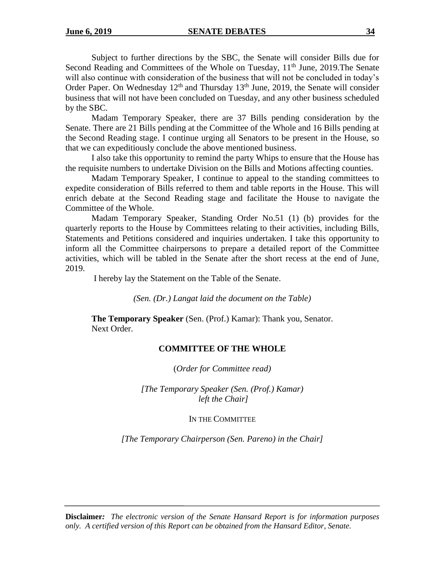Subject to further directions by the SBC, the Senate will consider Bills due for Second Reading and Committees of the Whole on Tuesday, 11<sup>th</sup> June, 2019. The Senate will also continue with consideration of the business that will not be concluded in today's Order Paper. On Wednesday 12<sup>th</sup> and Thursday 13<sup>th</sup> June, 2019, the Senate will consider business that will not have been concluded on Tuesday, and any other business scheduled by the SBC.

Madam Temporary Speaker, there are 37 Bills pending consideration by the Senate. There are 21 Bills pending at the Committee of the Whole and 16 Bills pending at the Second Reading stage. I continue urging all Senators to be present in the House, so that we can expeditiously conclude the above mentioned business.

I also take this opportunity to remind the party Whips to ensure that the House has the requisite numbers to undertake Division on the Bills and Motions affecting counties.

Madam Temporary Speaker, I continue to appeal to the standing committees to expedite consideration of Bills referred to them and table reports in the House. This will enrich debate at the Second Reading stage and facilitate the House to navigate the Committee of the Whole.

Madam Temporary Speaker, Standing Order No.51 (1) (b) provides for the quarterly reports to the House by Committees relating to their activities, including Bills, Statements and Petitions considered and inquiries undertaken. I take this opportunity to inform all the Committee chairpersons to prepare a detailed report of the Committee activities, which will be tabled in the Senate after the short recess at the end of June, 2019.

I hereby lay the Statement on the Table of the Senate.

*(Sen. (Dr.) Langat laid the document on the Table)*

**The Temporary Speaker** (Sen. (Prof.) Kamar): Thank you, Senator. Next Order.

### **COMMITTEE OF THE WHOLE**

(*Order for Committee read)*

*[The Temporary Speaker (Sen. (Prof.) Kamar) left the Chair]*

IN THE COMMITTEE

*[The Temporary Chairperson (Sen. Pareno) in the Chair]*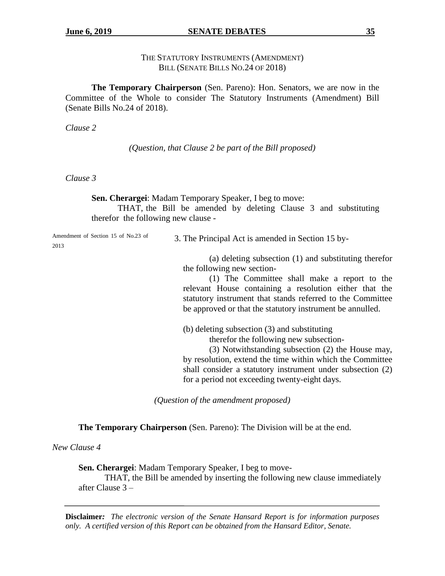### THE STATUTORY INSTRUMENTS (AMENDMENT) BILL (SENATE BILLS NO.24 OF 2018)

**The Temporary Chairperson** (Sen. Pareno): Hon. Senators, we are now in the Committee of the Whole to consider The Statutory Instruments (Amendment) Bill (Senate Bills No.24 of 2018).

*Clause 2*

*(Question, that Clause 2 be part of the Bill proposed)*

*Clause 3*

**Sen. Cherargei**: Madam Temporary Speaker, I beg to move:

THAT, the Bill be amended by deleting Clause 3 and substituting therefor the following new clause -

Amendment of Section 15 of No.23 of 2013

3. The Principal Act is amended in Section 15 by-

(a) deleting subsection (1) and substituting therefor the following new section-

(1) The Committee shall make a report to the relevant House containing a resolution either that the statutory instrument that stands referred to the Committee be approved or that the statutory instrument be annulled.

(b) deleting subsection (3) and substituting therefor the following new subsection-

(3) Notwithstanding subsection (2) the House may, by resolution, extend the time within which the Committee shall consider a statutory instrument under subsection (2) for a period not exceeding twenty-eight days.

*(Question of the amendment proposed)*

**The Temporary Chairperson** (Sen. Pareno): The Division will be at the end.

*New Clause 4*

**Sen. Cherargei**: Madam Temporary Speaker, I beg to move-

THAT, the Bill be amended by inserting the following new clause immediately after Clause 3 –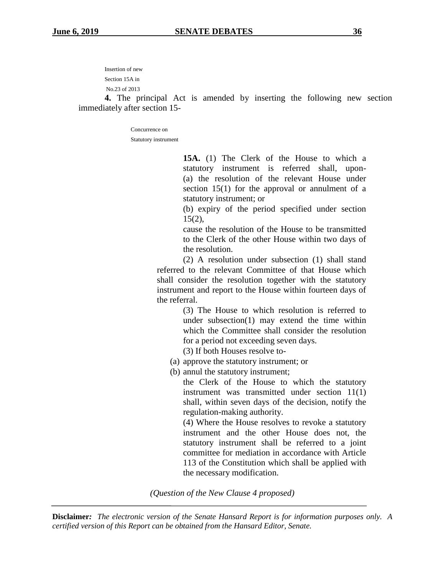Insertion of new

Section 15A in

No.23 of 2013

**4.** The principal Act is amended by inserting the following new section immediately after section 15-

> Concurrence on Statutory instrument

> > **15A.** (1) The Clerk of the House to which a statutory instrument is referred shall, upon- (a) the resolution of the relevant House under section 15(1) for the approval or annulment of a statutory instrument; or

> > (b) expiry of the period specified under section  $15(2)$ ,

> > cause the resolution of the House to be transmitted to the Clerk of the other House within two days of the resolution.

(2) A resolution under subsection (1) shall stand referred to the relevant Committee of that House which shall consider the resolution together with the statutory instrument and report to the House within fourteen days of the referral.

> (3) The House to which resolution is referred to under subsection(1) may extend the time within which the Committee shall consider the resolution for a period not exceeding seven days.

(3) If both Houses resolve to-

- (a) approve the statutory instrument; or
- (b) annul the statutory instrument;

the Clerk of the House to which the statutory instrument was transmitted under section 11(1) shall, within seven days of the decision, notify the regulation-making authority.

(4) Where the House resolves to revoke a statutory instrument and the other House does not, the statutory instrument shall be referred to a joint committee for mediation in accordance with Article 113 of the Constitution which shall be applied with the necessary modification.

*(Question of the New Clause 4 proposed)*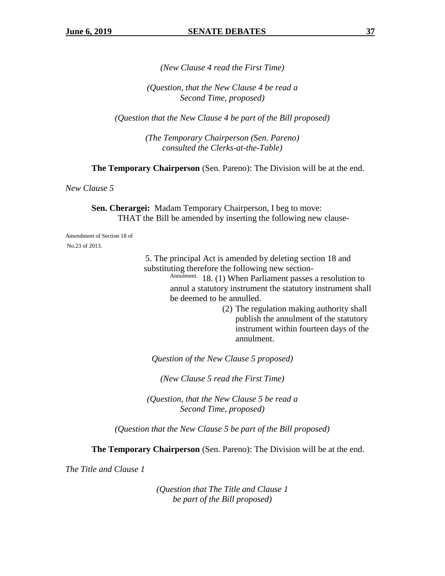*(New Clause 4 read the First Time)*

*(Question, that the New Clause 4 be read a Second Time, proposed)*

*(Question that the New Clause 4 be part of the Bill proposed)*

*(The Temporary Chairperson (Sen. Pareno) consulted the Clerks-at-the-Table)*

**The Temporary Chairperson** (Sen. Pareno): The Division will be at the end.

*New Clause 5*

**Sen. Cherargei:** Madam Temporary Chairperson, I beg to move: THAT the Bill be amended by inserting the following new clause-

Amendment of Section 18 of No.23 of 2013.

> 5. The principal Act is amended by deleting section 18 and substituting therefore the following new section-

Annulment. 18. (1) When Parliament passes a resolution to annul a statutory instrument the statutory instrument shall be deemed to be annulled.

> (2) The regulation making authority shall publish the annulment of the statutory instrument within fourteen days of the annulment.

*Question of the New Clause 5 proposed)*

*(New Clause 5 read the First Time)*

*(Question, that the New Clause 5 be read a Second Time, proposed)*

*(Question that the New Clause 5 be part of the Bill proposed)*

**The Temporary Chairperson** (Sen. Pareno): The Division will be at the end.

*The Title and Clause 1*

*(Question that The Title and Clause 1 be part of the Bill proposed)*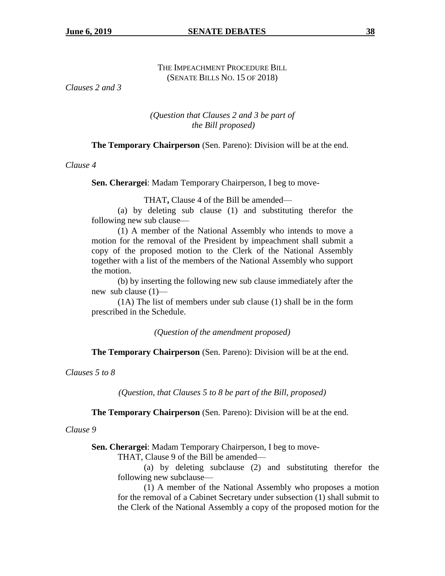# THE IMPEACHMENT PROCEDURE BILL (SENATE BILLS NO. 15 OF 2018)

*Clauses 2 and 3*

## *(Question that Clauses 2 and 3 be part of the Bill proposed)*

**The Temporary Chairperson** (Sen. Pareno): Division will be at the end.

*Clause 4*

**Sen. Cherargei**: Madam Temporary Chairperson, I beg to move-

THAT**,** Clause 4 of the Bill be amended—

(a) by deleting sub clause (1) and substituting therefor the following new sub clause—

(1) A member of the National Assembly who intends to move a motion for the removal of the President by impeachment shall submit a copy of the proposed motion to the Clerk of the National Assembly together with a list of the members of the National Assembly who support the motion.

(b) by inserting the following new sub clause immediately after the new sub clause (1)—

(1A) The list of members under sub clause (1) shall be in the form prescribed in the Schedule.

*(Question of the amendment proposed)*

**The Temporary Chairperson** (Sen. Pareno): Division will be at the end.

*Clauses 5 to 8*

*(Question, that Clauses 5 to 8 be part of the Bill, proposed)*

**The Temporary Chairperson** (Sen. Pareno): Division will be at the end.

*Clause 9*

**Sen. Cherargei**: Madam Temporary Chairperson, I beg to move-

THAT, Clause 9 of the Bill be amended—

(a) by deleting subclause (2) and substituting therefor the following new subclause—

(1) A member of the National Assembly who proposes a motion for the removal of a Cabinet Secretary under subsection (1) shall submit to the Clerk of the National Assembly a copy of the proposed motion for the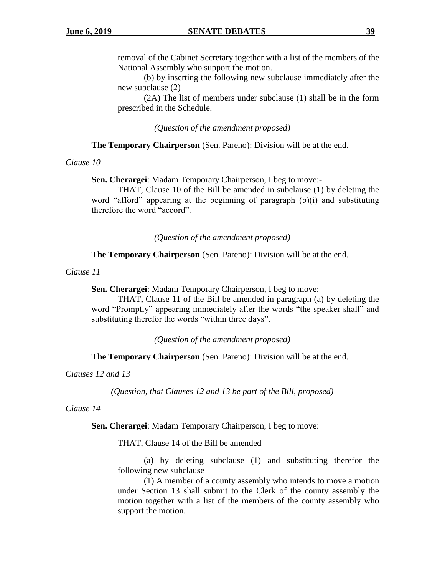removal of the Cabinet Secretary together with a list of the members of the National Assembly who support the motion.

(b) by inserting the following new subclause immediately after the new subclause (2)—

(2A) The list of members under subclause (1) shall be in the form prescribed in the Schedule.

*(Question of the amendment proposed)*

**The Temporary Chairperson** (Sen. Pareno): Division will be at the end.

*Clause 10*

**Sen. Cherargei**: Madam Temporary Chairperson, I beg to move:-

THAT, Clause 10 of the Bill be amended in subclause (1) by deleting the word "afford" appearing at the beginning of paragraph (b)(i) and substituting therefore the word "accord".

*(Question of the amendment proposed)*

**The Temporary Chairperson** (Sen. Pareno): Division will be at the end.

*Clause 11*

**Sen. Cherargei**: Madam Temporary Chairperson, I beg to move:

THAT**,** Clause 11 of the Bill be amended in paragraph (a) by deleting the word "Promptly" appearing immediately after the words "the speaker shall" and substituting therefor the words "within three days".

*(Question of the amendment proposed)*

**The Temporary Chairperson** (Sen. Pareno): Division will be at the end.

*Clauses 12 and 13*

*(Question, that Clauses 12 and 13 be part of the Bill, proposed)*

*Clause 14*

**Sen. Cherargei**: Madam Temporary Chairperson, I beg to move:

THAT, Clause 14 of the Bill be amended—

(a) by deleting subclause (1) and substituting therefor the following new subclause—

(1) A member of a county assembly who intends to move a motion under Section 13 shall submit to the Clerk of the county assembly the motion together with a list of the members of the county assembly who support the motion.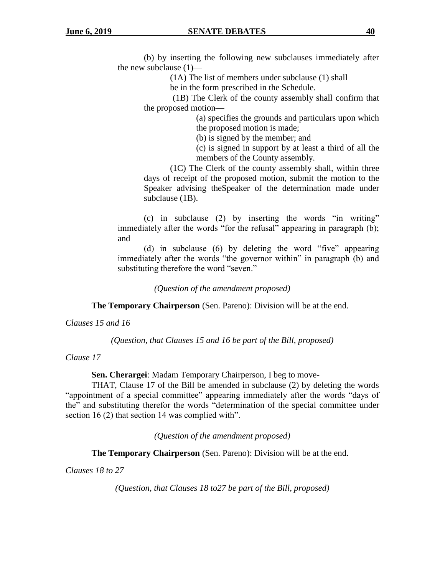(b) by inserting the following new subclauses immediately after the new subclause (1)—

(1A) The list of members under subclause (1) shall

be in the form prescribed in the Schedule.

(1B) The Clerk of the county assembly shall confirm that the proposed motion—

> (a) specifies the grounds and particulars upon which the proposed motion is made;

(b) is signed by the member; and

(c) is signed in support by at least a third of all the members of the County assembly.

(1C) The Clerk of the county assembly shall, within three days of receipt of the proposed motion, submit the motion to the Speaker advising theSpeaker of the determination made under subclause (1B).

(c) in subclause (2) by inserting the words "in writing" immediately after the words "for the refusal" appearing in paragraph (b); and

(d) in subclause (6) by deleting the word "five" appearing immediately after the words "the governor within" in paragraph (b) and substituting therefore the word "seven."

*(Question of the amendment proposed)*

**The Temporary Chairperson** (Sen. Pareno): Division will be at the end.

*Clauses 15 and 16*

*(Question, that Clauses 15 and 16 be part of the Bill, proposed)*

*Clause 17*

**Sen. Cherargei**: Madam Temporary Chairperson, I beg to move-

THAT, Clause 17 of the Bill be amended in subclause (2) by deleting the words "appointment of a special committee" appearing immediately after the words "days of the" and substituting therefor the words "determination of the special committee under section 16 (2) that section 14 was complied with".

*(Question of the amendment proposed)*

**The Temporary Chairperson** (Sen. Pareno): Division will be at the end.

*Clauses 18 to 27*

*(Question, that Clauses 18 to27 be part of the Bill, proposed)*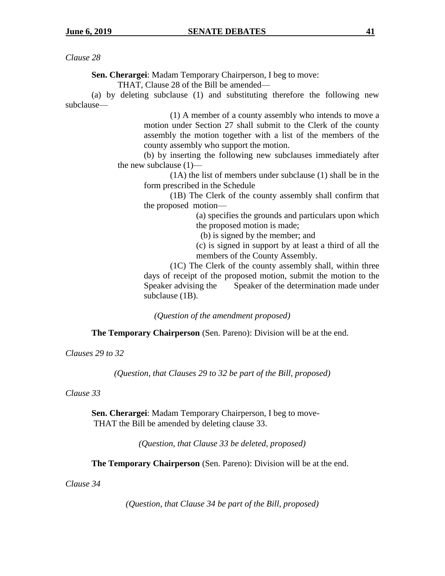**Sen. Cherargei**: Madam Temporary Chairperson, I beg to move:

THAT, Clause 28 of the Bill be amended—

(a) by deleting subclause (1) and substituting therefore the following new subclause—

> (1) A member of a county assembly who intends to move a motion under Section 27 shall submit to the Clerk of the county assembly the motion together with a list of the members of the county assembly who support the motion.

(b) by inserting the following new subclauses immediately after the new subclause (1)—

(1A) the list of members under subclause (1) shall be in the form prescribed in the Schedule

(1B) The Clerk of the county assembly shall confirm that the proposed motion—

> (a) specifies the grounds and particulars upon which the proposed motion is made;

(b) is signed by the member; and

(c) is signed in support by at least a third of all the members of the County Assembly.

(1C) The Clerk of the county assembly shall, within three days of receipt of the proposed motion, submit the motion to the Speaker advising the Speaker of the determination made under subclause (1B).

*(Question of the amendment proposed)*

**The Temporary Chairperson** (Sen. Pareno): Division will be at the end.

*Clauses 29 to 32*

*(Question, that Clauses 29 to 32 be part of the Bill, proposed)*

## *Clause 33*

**Sen. Cherargei**: Madam Temporary Chairperson, I beg to move-THAT the Bill be amended by deleting clause 33.

*(Question, that Clause 33 be deleted, proposed)*

**The Temporary Chairperson** (Sen. Pareno): Division will be at the end.

*Clause 34*

*(Question, that Clause 34 be part of the Bill, proposed)*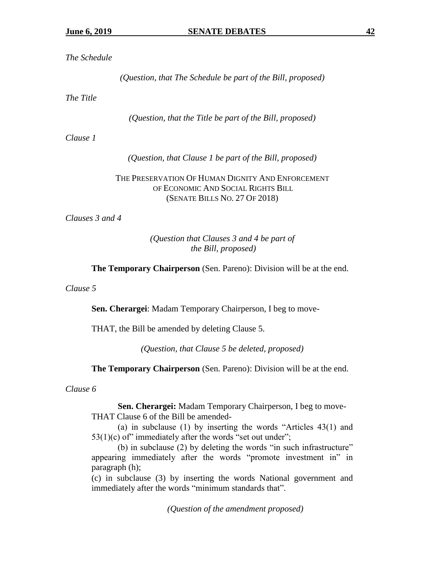# *The Schedule*

*(Question, that The Schedule be part of the Bill, proposed)*

*The Title*

*(Question, that the Title be part of the Bill, proposed)*

*Clause 1*

*(Question, that Clause 1 be part of the Bill, proposed)*

# THE PRESERVATION OF HUMAN DIGNITY AND ENFORCEMENT OF ECONOMIC AND SOCIAL RIGHTS BILL (SENATE BILLS NO. 27 OF 2018)

*Clauses 3 and 4*

# *(Question that Clauses 3 and 4 be part of the Bill, proposed)*

**The Temporary Chairperson** (Sen. Pareno): Division will be at the end.

*Clause 5*

**Sen. Cherargei**: Madam Temporary Chairperson, I beg to move-

THAT, the Bill be amended by deleting Clause 5.

*(Question, that Clause 5 be deleted, proposed)*

**The Temporary Chairperson** (Sen. Pareno): Division will be at the end.

*Clause 6*

**Sen. Cherargei:** Madam Temporary Chairperson, I beg to move-THAT Clause 6 of the Bill be amended-

(a) in subclause (1) by inserting the words "Articles 43(1) and  $53(1)(c)$  of" immediately after the words "set out under";

(b) in subclause (2) by deleting the words "in such infrastructure" appearing immediately after the words "promote investment in" in paragraph (h);

(c) in subclause (3) by inserting the words National government and immediately after the words "minimum standards that".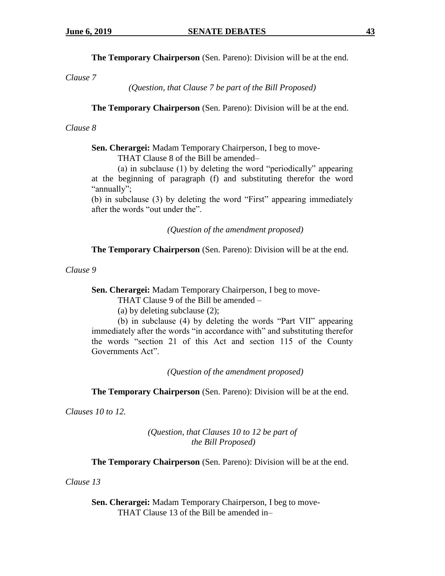**The Temporary Chairperson** (Sen. Pareno): Division will be at the end.

*Clause 7*

*(Question, that Clause 7 be part of the Bill Proposed)*

**The Temporary Chairperson** (Sen. Pareno): Division will be at the end.

# *Clause 8*

**Sen. Cherargei:** Madam Temporary Chairperson, I beg to move-

THAT Clause 8 of the Bill be amended–

(a) in subclause (1) by deleting the word "periodically" appearing at the beginning of paragraph (f) and substituting therefor the word "annually";

(b) in subclause (3) by deleting the word "First" appearing immediately after the words "out under the".

*(Question of the amendment proposed)*

**The Temporary Chairperson** (Sen. Pareno): Division will be at the end.

*Clause 9*

**Sen. Cherargei:** Madam Temporary Chairperson, I beg to move-

THAT Clause 9 of the Bill be amended –

(a) by deleting subclause (2);

(b) in subclause (4) by deleting the words "Part VII" appearing immediately after the words "in accordance with" and substituting therefor the words "section 21 of this Act and section 115 of the County Governments Act".

*(Question of the amendment proposed)*

**The Temporary Chairperson** (Sen. Pareno): Division will be at the end.

*Clauses 10 to 12.*

*(Question, that Clauses 10 to 12 be part of the Bill Proposed)*

**The Temporary Chairperson** (Sen. Pareno): Division will be at the end.

*Clause 13*

**Sen. Cherargei:** Madam Temporary Chairperson, I beg to move-THAT Clause 13 of the Bill be amended in–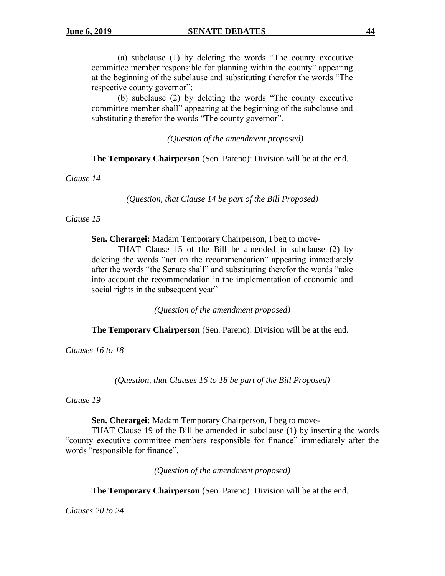(a) subclause (1) by deleting the words "The county executive committee member responsible for planning within the county" appearing at the beginning of the subclause and substituting therefor the words "The respective county governor";

(b) subclause (2) by deleting the words "The county executive committee member shall" appearing at the beginning of the subclause and substituting therefor the words "The county governor".

*(Question of the amendment proposed)*

**The Temporary Chairperson** (Sen. Pareno): Division will be at the end.

*Clause 14*

*(Question, that Clause 14 be part of the Bill Proposed)*

#### *Clause 15*

**Sen. Cherargei:** Madam Temporary Chairperson, I beg to move-

THAT Clause 15 of the Bill be amended in subclause (2) by deleting the words "act on the recommendation" appearing immediately after the words "the Senate shall" and substituting therefor the words "take into account the recommendation in the implementation of economic and social rights in the subsequent year"

*(Question of the amendment proposed)*

**The Temporary Chairperson** (Sen. Pareno): Division will be at the end.

*Clauses 16 to 18*

*(Question, that Clauses 16 to 18 be part of the Bill Proposed)*

*Clause 19*

**Sen. Cherargei:** Madam Temporary Chairperson, I beg to move-

THAT Clause 19 of the Bill be amended in subclause (1) by inserting the words "county executive committee members responsible for finance" immediately after the words "responsible for finance".

*(Question of the amendment proposed)*

**The Temporary Chairperson** (Sen. Pareno): Division will be at the end.

*Clauses 20 to 24*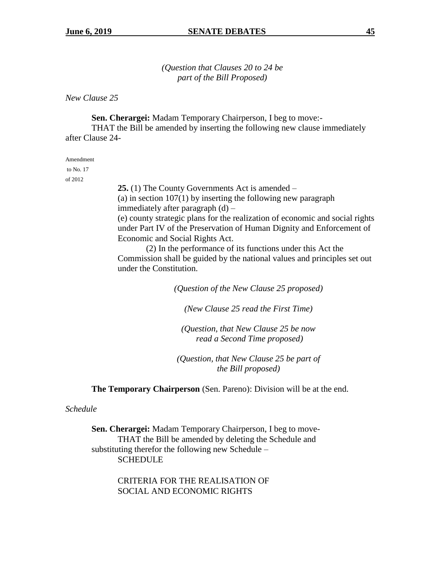*(Question that Clauses 20 to 24 be part of the Bill Proposed)*

*New Clause 25*

**Sen. Cherargei:** Madam Temporary Chairperson, I beg to move:-

THAT the Bill be amended by inserting the following new clause immediately after Clause 24-

Amendment

to No. 17 of 2012

> **25.** (1) The County Governments Act is amended – (a) in section  $107(1)$  by inserting the following new paragraph immediately after paragraph (d) – (e) county strategic plans for the realization of economic and social rights under Part IV of the Preservation of Human Dignity and Enforcement of Economic and Social Rights Act.

> (2) In the performance of its functions under this Act the Commission shall be guided by the national values and principles set out under the Constitution.

> > *(Question of the New Clause 25 proposed)*

*(New Clause 25 read the First Time)*

*(Question, that New Clause 25 be now read a Second Time proposed)*

*(Question, that New Clause 25 be part of the Bill proposed)*

**The Temporary Chairperson** (Sen. Pareno): Division will be at the end.

#### *Schedule*

**Sen. Cherargei:** Madam Temporary Chairperson, I beg to move-THAT the Bill be amended by deleting the Schedule and substituting therefor the following new Schedule – **SCHEDULE** 

> CRITERIA FOR THE REALISATION OF SOCIAL AND ECONOMIC RIGHTS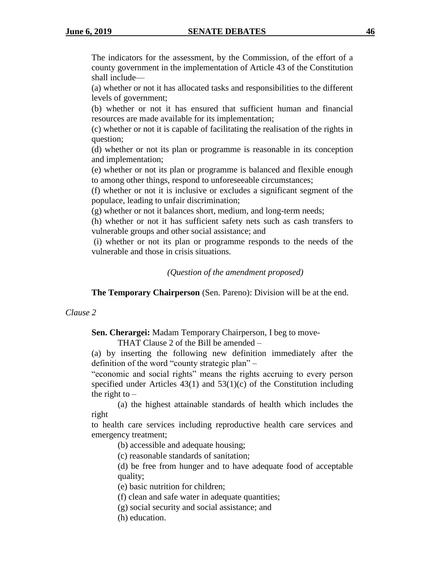The indicators for the assessment, by the Commission, of the effort of a county government in the implementation of Article 43 of the Constitution shall include—

(a) whether or not it has allocated tasks and responsibilities to the different levels of government;

(b) whether or not it has ensured that sufficient human and financial resources are made available for its implementation;

(c) whether or not it is capable of facilitating the realisation of the rights in question;

(d) whether or not its plan or programme is reasonable in its conception and implementation;

(e) whether or not its plan or programme is balanced and flexible enough to among other things, respond to unforeseeable circumstances;

(f) whether or not it is inclusive or excludes a significant segment of the populace, leading to unfair discrimination;

(g) whether or not it balances short, medium, and long-term needs;

(h) whether or not it has sufficient safety nets such as cash transfers to vulnerable groups and other social assistance; and

(i) whether or not its plan or programme responds to the needs of the vulnerable and those in crisis situations.

*(Question of the amendment proposed)*

**The Temporary Chairperson** (Sen. Pareno): Division will be at the end.

# *Clause 2*

**Sen. Cherargei:** Madam Temporary Chairperson, I beg to move-

THAT Clause 2 of the Bill be amended –

(a) by inserting the following new definition immediately after the definition of the word "county strategic plan" –

"economic and social rights" means the rights accruing to every person specified under Articles  $43(1)$  and  $53(1)(c)$  of the Constitution including the right to  $-$ 

(a) the highest attainable standards of health which includes the right

to health care services including reproductive health care services and emergency treatment;

(b) accessible and adequate housing;

(c) reasonable standards of sanitation;

(d) be free from hunger and to have adequate food of acceptable quality;

(e) basic nutrition for children;

(f) clean and safe water in adequate quantities;

(g) social security and social assistance; and

(h) education.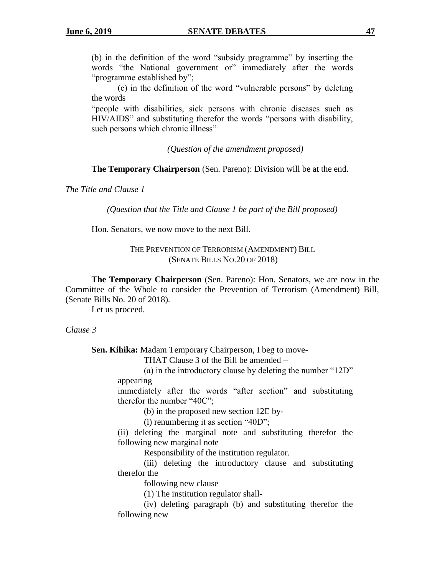(b) in the definition of the word "subsidy programme" by inserting the words "the National government or" immediately after the words "programme established by";

(c) in the definition of the word "vulnerable persons" by deleting the words

"people with disabilities, sick persons with chronic diseases such as HIV/AIDS" and substituting therefor the words "persons with disability, such persons which chronic illness"

*(Question of the amendment proposed)*

**The Temporary Chairperson** (Sen. Pareno): Division will be at the end.

*The Title and Clause 1*

*(Question that the Title and Clause 1 be part of the Bill proposed)*

Hon. Senators, we now move to the next Bill.

THE PREVENTION OF TERRORISM (AMENDMENT) BILL (SENATE BILLS NO.20 OF 2018)

**The Temporary Chairperson** (Sen. Pareno): Hon. Senators, we are now in the Committee of the Whole to consider the Prevention of Terrorism (Amendment) Bill, (Senate Bills No. 20 of 2018).

Let us proceed.

*Clause 3*

**Sen. Kihika:** Madam Temporary Chairperson, I beg to move-

THAT Clause 3 of the Bill be amended –

(a) in the introductory clause by deleting the number "12D" appearing

immediately after the words "after section" and substituting therefor the number "40C";

(b) in the proposed new section 12E by-

(i) renumbering it as section "40D";

(ii) deleting the marginal note and substituting therefor the following new marginal note –

Responsibility of the institution regulator.

(iii) deleting the introductory clause and substituting therefor the

following new clause–

(1) The institution regulator shall-

(iv) deleting paragraph (b) and substituting therefor the following new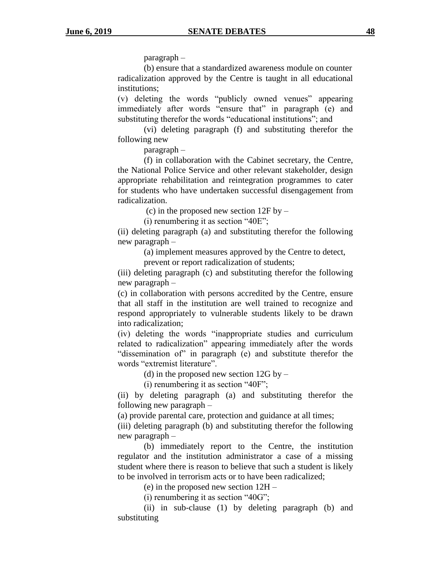paragraph –

(b) ensure that a standardized awareness module on counter radicalization approved by the Centre is taught in all educational institutions;

(v) deleting the words "publicly owned venues" appearing immediately after words "ensure that" in paragraph (e) and substituting therefor the words "educational institutions"; and

(vi) deleting paragraph (f) and substituting therefor the following new

paragraph –

(f) in collaboration with the Cabinet secretary, the Centre, the National Police Service and other relevant stakeholder, design appropriate rehabilitation and reintegration programmes to cater for students who have undertaken successful disengagement from radicalization.

(c) in the proposed new section  $12F$  by –

(i) renumbering it as section "40E";

(ii) deleting paragraph (a) and substituting therefor the following new paragraph –

(a) implement measures approved by the Centre to detect,

prevent or report radicalization of students;

(iii) deleting paragraph (c) and substituting therefor the following new paragraph –

(c) in collaboration with persons accredited by the Centre, ensure that all staff in the institution are well trained to recognize and respond appropriately to vulnerable students likely to be drawn into radicalization;

(iv) deleting the words "inappropriate studies and curriculum related to radicalization" appearing immediately after the words "dissemination of" in paragraph (e) and substitute therefor the words "extremist literature".

(d) in the proposed new section  $12G$  by –

(i) renumbering it as section "40F";

(ii) by deleting paragraph (a) and substituting therefor the following new paragraph –

(a) provide parental care, protection and guidance at all times;

(iii) deleting paragraph (b) and substituting therefor the following new paragraph –

(b) immediately report to the Centre, the institution regulator and the institution administrator a case of a missing student where there is reason to believe that such a student is likely to be involved in terrorism acts or to have been radicalized;

(e) in the proposed new section 12H –

(i) renumbering it as section "40G";

(ii) in sub-clause (1) by deleting paragraph (b) and substituting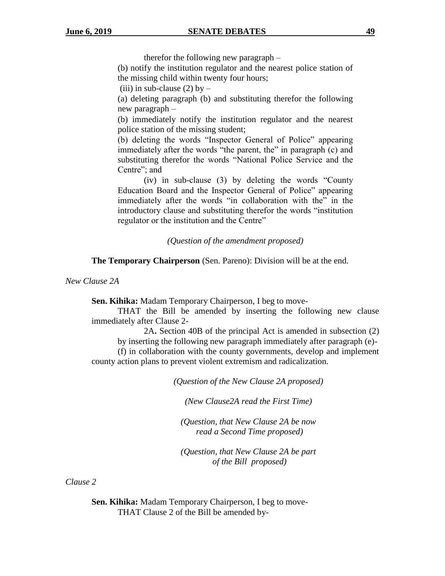therefor the following new paragraph –

(b) notify the institution regulator and the nearest police station of the missing child within twenty four hours;

(iii) in sub-clause (2) by  $-$ 

(a) deleting paragraph (b) and substituting therefor the following new paragraph –

(b) immediately notify the institution regulator and the nearest police station of the missing student;

(b) deleting the words "Inspector General of Police" appearing immediately after the words "the parent, the" in paragraph (c) and substituting therefor the words "National Police Service and the Centre"; and

(iv) in sub-clause (3) by deleting the words "County Education Board and the Inspector General of Police" appearing immediately after the words "in collaboration with the" in the introductory clause and substituting therefor the words "institution regulator or the institution and the Centre"

### *(Question of the amendment proposed)*

**The Temporary Chairperson** (Sen. Pareno): Division will be at the end.

*New Clause 2A*

**Sen. Kihika:** Madam Temporary Chairperson, I beg to move-

THAT the Bill be amended by inserting the following new clause immediately after Clause 2-

2A**.** Section 40B of the principal Act is amended in subsection (2) by inserting the following new paragraph immediately after paragraph (e)-

(f) in collaboration with the county governments, develop and implement county action plans to prevent violent extremism and radicalization.

*(Question of the New Clause 2A proposed)*

*(New Clause2A read the First Time)*

*(Question, that New Clause 2A be now read a Second Time proposed)*

*(Question, that New Clause 2A be part of the Bill proposed)*

*Clause 2*

**Sen. Kihika:** Madam Temporary Chairperson, I beg to move-THAT Clause 2 of the Bill be amended by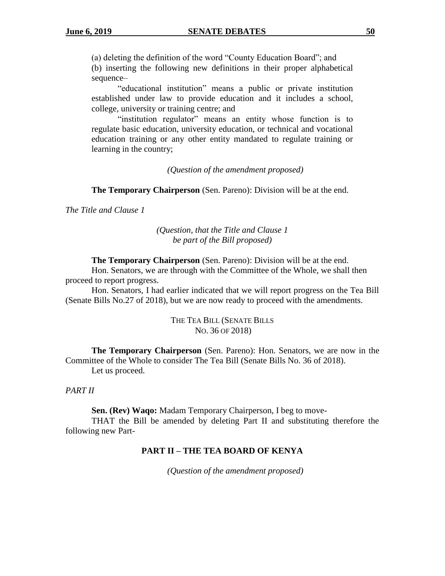(a) deleting the definition of the word "County Education Board"; and

(b) inserting the following new definitions in their proper alphabetical sequence–

"educational institution" means a public or private institution established under law to provide education and it includes a school, college, university or training centre; and

"institution regulator" means an entity whose function is to regulate basic education, university education, or technical and vocational education training or any other entity mandated to regulate training or learning in the country;

*(Question of the amendment proposed)*

**The Temporary Chairperson** (Sen. Pareno): Division will be at the end.

*The Title and Clause 1*

*(Question, that the Title and Clause 1 be part of the Bill proposed)*

**The Temporary Chairperson** (Sen. Pareno): Division will be at the end.

Hon. Senators, we are through with the Committee of the Whole, we shall then proceed to report progress.

Hon. Senators, I had earlier indicated that we will report progress on the Tea Bill (Senate Bills No.27 of 2018), but we are now ready to proceed with the amendments.

> THE TEA BILL (SENATE BILLS NO. 36 OF 2018)

**The Temporary Chairperson** (Sen. Pareno): Hon. Senators, we are now in the Committee of the Whole to consider The Tea Bill (Senate Bills No. 36 of 2018). Let us proceed.

#### *PART II*

**Sen. (Rev) Waqo:** Madam Temporary Chairperson, I beg to move-

THAT the Bill be amended by deleting Part II and substituting therefore the following new Part-

#### **PART II – THE TEA BOARD OF KENYA**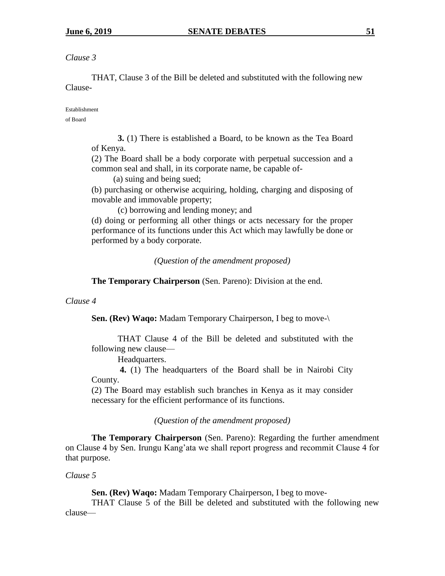THAT, Clause 3 of the Bill be deleted and substituted with the following new Clause-

Establishment

of Board

**3.** (1) There is established a Board, to be known as the Tea Board of Kenya.

(2) The Board shall be a body corporate with perpetual succession and a common seal and shall, in its corporate name, be capable of-

(a) suing and being sued;

(b) purchasing or otherwise acquiring, holding, charging and disposing of movable and immovable property;

(c) borrowing and lending money; and

(d) doing or performing all other things or acts necessary for the proper performance of its functions under this Act which may lawfully be done or performed by a body corporate.

*(Question of the amendment proposed)*

**The Temporary Chairperson** (Sen. Pareno): Division at the end.

## *Clause 4*

**Sen. (Rev) Waqo:** Madam Temporary Chairperson, I beg to move-\

THAT Clause 4 of the Bill be deleted and substituted with the following new clause—

Headquarters.

**4.** (1) The headquarters of the Board shall be in Nairobi City County.

(2) The Board may establish such branches in Kenya as it may consider necessary for the efficient performance of its functions.

*(Question of the amendment proposed)*

**The Temporary Chairperson** (Sen. Pareno): Regarding the further amendment on Clause 4 by Sen. Irungu Kang'ata we shall report progress and recommit Clause 4 for that purpose.

*Clause 5*

**Sen. (Rev) Waqo:** Madam Temporary Chairperson, I beg to move-

THAT Clause 5 of the Bill be deleted and substituted with the following new clause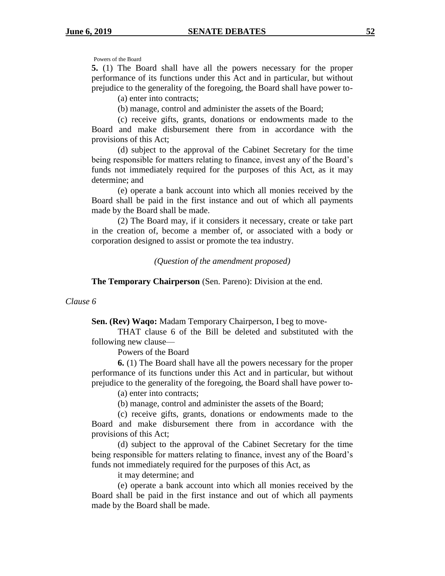Powers of the Board

**5.** (1) The Board shall have all the powers necessary for the proper performance of its functions under this Act and in particular, but without prejudice to the generality of the foregoing, the Board shall have power to-

(a) enter into contracts;

(b) manage, control and administer the assets of the Board;

(c) receive gifts, grants, donations or endowments made to the Board and make disbursement there from in accordance with the provisions of this Act;

(d) subject to the approval of the Cabinet Secretary for the time being responsible for matters relating to finance, invest any of the Board's funds not immediately required for the purposes of this Act, as it may determine; and

(e) operate a bank account into which all monies received by the Board shall be paid in the first instance and out of which all payments made by the Board shall be made.

(2) The Board may, if it considers it necessary, create or take part in the creation of, become a member of, or associated with a body or corporation designed to assist or promote the tea industry.

*(Question of the amendment proposed)*

**The Temporary Chairperson** (Sen. Pareno): Division at the end.

#### *Clause 6*

**Sen. (Rev) Waqo:** Madam Temporary Chairperson, I beg to move-

THAT clause 6 of the Bill be deleted and substituted with the following new clause—

Powers of the Board

**6.** (1) The Board shall have all the powers necessary for the proper performance of its functions under this Act and in particular, but without prejudice to the generality of the foregoing, the Board shall have power to-

(a) enter into contracts;

(b) manage, control and administer the assets of the Board;

(c) receive gifts, grants, donations or endowments made to the Board and make disbursement there from in accordance with the provisions of this Act;

(d) subject to the approval of the Cabinet Secretary for the time being responsible for matters relating to finance, invest any of the Board's funds not immediately required for the purposes of this Act, as

it may determine; and

(e) operate a bank account into which all monies received by the Board shall be paid in the first instance and out of which all payments made by the Board shall be made.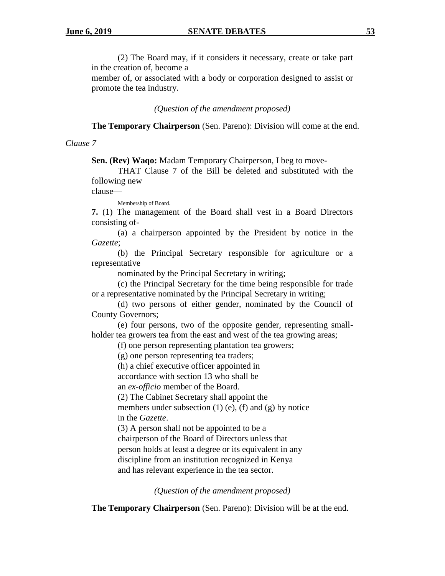(2) The Board may, if it considers it necessary, create or take part in the creation of, become a

member of, or associated with a body or corporation designed to assist or promote the tea industry.

*(Question of the amendment proposed)*

**The Temporary Chairperson** (Sen. Pareno): Division will come at the end.

### *Clause 7*

**Sen. (Rev) Waqo:** Madam Temporary Chairperson, I beg to move-

THAT Clause 7 of the Bill be deleted and substituted with the following new

clause—

Membership of Board.

**7.** (1) The management of the Board shall vest in a Board Directors consisting of-

(a) a chairperson appointed by the President by notice in the *Gazette*;

(b) the Principal Secretary responsible for agriculture or a representative

nominated by the Principal Secretary in writing;

(c) the Principal Secretary for the time being responsible for trade or a representative nominated by the Principal Secretary in writing;

(d) two persons of either gender, nominated by the Council of County Governors;

(e) four persons, two of the opposite gender, representing smallholder tea growers tea from the east and west of the tea growing areas;

(f) one person representing plantation tea growers;

(g) one person representing tea traders;

(h) a chief executive officer appointed in

accordance with section 13 who shall be

an *ex-officio* member of the Board.

(2) The Cabinet Secretary shall appoint the

members under subsection  $(1)$  (e),  $(f)$  and  $(g)$  by notice in the *Gazette*.

(3) A person shall not be appointed to be a chairperson of the Board of Directors unless that person holds at least a degree or its equivalent in any discipline from an institution recognized in Kenya and has relevant experience in the tea sector.

*(Question of the amendment proposed)*

**The Temporary Chairperson** (Sen. Pareno): Division will be at the end.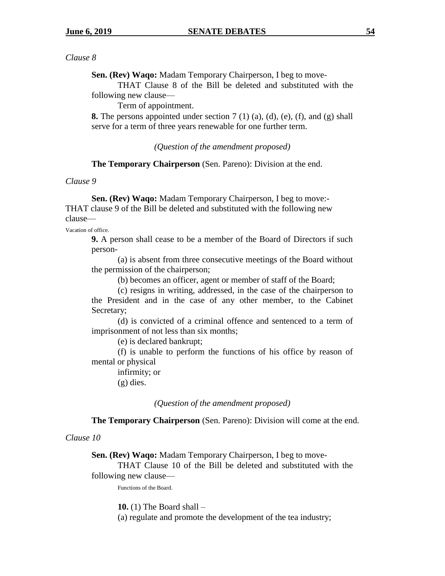**Sen. (Rev) Waqo:** Madam Temporary Chairperson, I beg to move-

THAT Clause 8 of the Bill be deleted and substituted with the following new clause—

Term of appointment.

**8.** The persons appointed under section 7 (1) (a), (d), (e), (f), and (g) shall serve for a term of three years renewable for one further term.

*(Question of the amendment proposed)*

**The Temporary Chairperson** (Sen. Pareno): Division at the end.

#### *Clause 9*

**Sen. (Rev) Waqo:** Madam Temporary Chairperson, I beg to move:- THAT clause 9 of the Bill be deleted and substituted with the following new clause—

Vacation of office.

**9.** A person shall cease to be a member of the Board of Directors if such person-

(a) is absent from three consecutive meetings of the Board without the permission of the chairperson;

(b) becomes an officer, agent or member of staff of the Board;

(c) resigns in writing, addressed, in the case of the chairperson to the President and in the case of any other member, to the Cabinet Secretary;

(d) is convicted of a criminal offence and sentenced to a term of imprisonment of not less than six months;

(e) is declared bankrupt;

(f) is unable to perform the functions of his office by reason of mental or physical

infirmity; or (g) dies.

*(Question of the amendment proposed)*

**The Temporary Chairperson** (Sen. Pareno): Division will come at the end.

*Clause 10*

**Sen. (Rev) Waqo:** Madam Temporary Chairperson, I beg to move-

THAT Clause 10 of the Bill be deleted and substituted with the following new clause—

Functions of the Board.

**10.** (1) The Board shall –

(a) regulate and promote the development of the tea industry;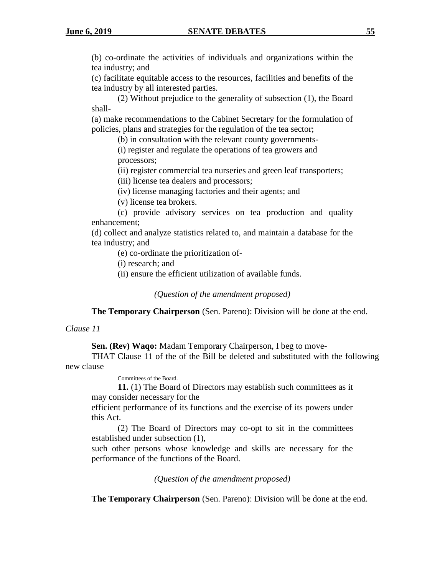(b) co-ordinate the activities of individuals and organizations within the tea industry; and

(c) facilitate equitable access to the resources, facilities and benefits of the tea industry by all interested parties.

(2) Without prejudice to the generality of subsection (1), the Board shall-

(a) make recommendations to the Cabinet Secretary for the formulation of policies, plans and strategies for the regulation of the tea sector;

(b) in consultation with the relevant county governments-

(i) register and regulate the operations of tea growers and processors;

(ii) register commercial tea nurseries and green leaf transporters;

(iii) license tea dealers and processors;

(iv) license managing factories and their agents; and

(v) license tea brokers.

(c) provide advisory services on tea production and quality enhancement;

(d) collect and analyze statistics related to, and maintain a database for the tea industry; and

(e) co-ordinate the prioritization of-

(i) research; and

(ii) ensure the efficient utilization of available funds.

*(Question of the amendment proposed)*

**The Temporary Chairperson** (Sen. Pareno): Division will be done at the end.

### *Clause 11*

**Sen. (Rev) Waqo:** Madam Temporary Chairperson, I beg to move-

THAT Clause 11 of the of the Bill be deleted and substituted with the following new clause—

Committees of the Board.

**11.** (1) The Board of Directors may establish such committees as it may consider necessary for the

efficient performance of its functions and the exercise of its powers under this Act.

(2) The Board of Directors may co-opt to sit in the committees established under subsection (1),

such other persons whose knowledge and skills are necessary for the performance of the functions of the Board.

*(Question of the amendment proposed)*

**The Temporary Chairperson** (Sen. Pareno): Division will be done at the end.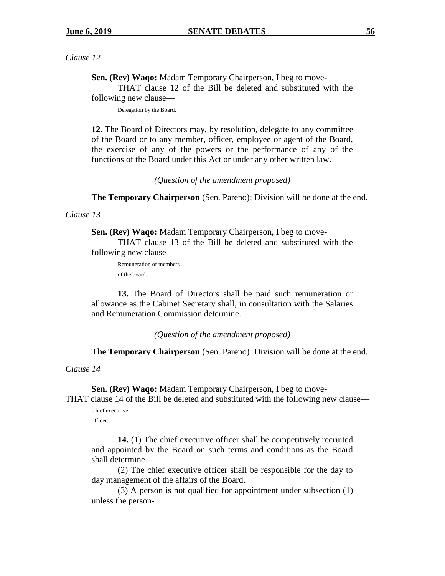**Sen. (Rev) Waqo:** Madam Temporary Chairperson, I beg to move-

THAT clause 12 of the Bill be deleted and substituted with the following new clause—

Delegation by the Board.

**12.** The Board of Directors may, by resolution, delegate to any committee of the Board or to any member, officer, employee or agent of the Board, the exercise of any of the powers or the performance of any of the functions of the Board under this Act or under any other written law.

*(Question of the amendment proposed)*

**The Temporary Chairperson** (Sen. Pareno): Division will be done at the end.

#### *Clause 13*

**Sen. (Rev) Waqo:** Madam Temporary Chairperson, I beg to move-THAT clause 13 of the Bill be deleted and substituted with the following new clause—

Remuneration of members

of the board.

**13.** The Board of Directors shall be paid such remuneration or allowance as the Cabinet Secretary shall, in consultation with the Salaries and Remuneration Commission determine.

*(Question of the amendment proposed)*

**The Temporary Chairperson** (Sen. Pareno): Division will be done at the end.

*Clause 14*

**Sen. (Rev) Waqo:** Madam Temporary Chairperson, I beg to move-THAT clause 14 of the Bill be deleted and substituted with the following new clause—

Chief executive officer.

**14.** (1) The chief executive officer shall be competitively recruited and appointed by the Board on such terms and conditions as the Board shall determine.

(2) The chief executive officer shall be responsible for the day to day management of the affairs of the Board.

(3) A person is not qualified for appointment under subsection (1) unless the person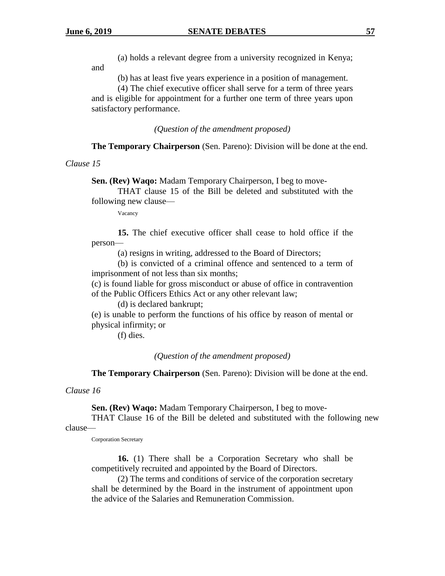and

(a) holds a relevant degree from a university recognized in Kenya;

(b) has at least five years experience in a position of management.

(4) The chief executive officer shall serve for a term of three years and is eligible for appointment for a further one term of three years upon satisfactory performance.

*(Question of the amendment proposed)*

**The Temporary Chairperson** (Sen. Pareno): Division will be done at the end.

#### *Clause 15*

**Sen. (Rev) Waqo:** Madam Temporary Chairperson, I beg to move-

THAT clause 15 of the Bill be deleted and substituted with the following new clause—

Vacancy

**15.** The chief executive officer shall cease to hold office if the person—

(a) resigns in writing, addressed to the Board of Directors;

(b) is convicted of a criminal offence and sentenced to a term of imprisonment of not less than six months;

(c) is found liable for gross misconduct or abuse of office in contravention of the Public Officers Ethics Act or any other relevant law;

(d) is declared bankrupt;

(e) is unable to perform the functions of his office by reason of mental or physical infirmity; or

(f) dies.

*(Question of the amendment proposed)*

**The Temporary Chairperson** (Sen. Pareno): Division will be done at the end.

*Clause 16* 

**Sen. (Rev) Waqo:** Madam Temporary Chairperson, I beg to move-

THAT Clause 16 of the Bill be deleted and substituted with the following new clause—

Corporation Secretary

**16.** (1) There shall be a Corporation Secretary who shall be competitively recruited and appointed by the Board of Directors.

(2) The terms and conditions of service of the corporation secretary shall be determined by the Board in the instrument of appointment upon the advice of the Salaries and Remuneration Commission.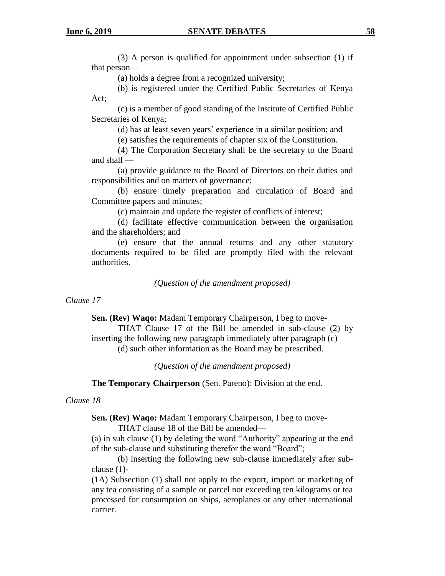(3) A person is qualified for appointment under subsection (1) if that person—

(a) holds a degree from a recognized university;

(b) is registered under the Certified Public Secretaries of Kenya Act;

(c) is a member of good standing of the Institute of Certified Public Secretaries of Kenya;

(d) has at least seven years' experience in a similar position; and

(e) satisfies the requirements of chapter six of the Constitution.

(4) The Corporation Secretary shall be the secretary to the Board and shall —

(a) provide guidance to the Board of Directors on their duties and responsibilities and on matters of governance;

(b) ensure timely preparation and circulation of Board and Committee papers and minutes;

(c) maintain and update the register of conflicts of interest;

(d) facilitate effective communication between the organisation and the shareholders; and

(e) ensure that the annual returns and any other statutory documents required to be filed are promptly filed with the relevant authorities.

*(Question of the amendment proposed)*

## *Clause 17*

**Sen. (Rev) Waqo:** Madam Temporary Chairperson, I beg to move-

THAT Clause 17 of the Bill be amended in sub-clause (2) by inserting the following new paragraph immediately after paragraph  $(c)$  – (d) such other information as the Board may be prescribed.

*(Question of the amendment proposed)*

**The Temporary Chairperson** (Sen. Pareno): Division at the end.

## *Clause 18*

**Sen. (Rev) Waqo:** Madam Temporary Chairperson, I beg to move-

THAT clause 18 of the Bill be amended—

(a) in sub clause (1) by deleting the word "Authority" appearing at the end of the sub-clause and substituting therefor the word "Board";

(b) inserting the following new sub-clause immediately after subclause (1)-

(1A) Subsection (1) shall not apply to the export, import or marketing of any tea consisting of a sample or parcel not exceeding ten kilograms or tea processed for consumption on ships, aeroplanes or any other international carrier.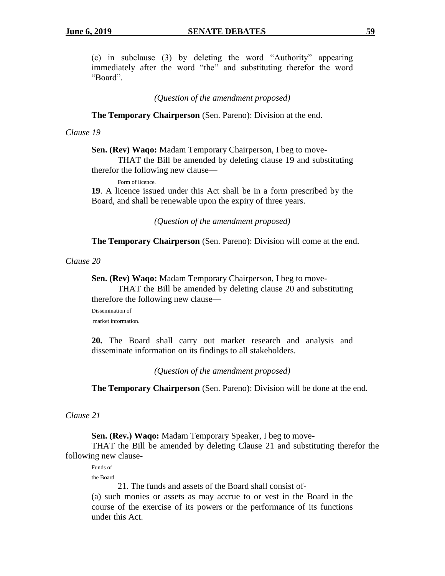(c) in subclause (3) by deleting the word "Authority" appearing immediately after the word "the" and substituting therefor the word "Board".

*(Question of the amendment proposed)*

**The Temporary Chairperson** (Sen. Pareno): Division at the end.

## *Clause 19*

**Sen. (Rev) Waqo:** Madam Temporary Chairperson, I beg to move-

THAT the Bill be amended by deleting clause 19 and substituting therefor the following new clause—

Form of licence.

**19**. A licence issued under this Act shall be in a form prescribed by the Board, and shall be renewable upon the expiry of three years.

*(Question of the amendment proposed)*

**The Temporary Chairperson** (Sen. Pareno): Division will come at the end.

*Clause 20*

**Sen. (Rev) Waqo:** Madam Temporary Chairperson, I beg to move-

THAT the Bill be amended by deleting clause 20 and substituting therefore the following new clause—

Dissemination of market information.

**20.** The Board shall carry out market research and analysis and disseminate information on its findings to all stakeholders.

*(Question of the amendment proposed)*

**The Temporary Chairperson** (Sen. Pareno): Division will be done at the end.

#### *Clause 21*

**Sen. (Rev.) Waqo:** Madam Temporary Speaker, I beg to move-

THAT the Bill be amended by deleting Clause 21 and substituting therefor the following new clause-

Funds of the Board

21. The funds and assets of the Board shall consist of-

(a) such monies or assets as may accrue to or vest in the Board in the course of the exercise of its powers or the performance of its functions under this Act.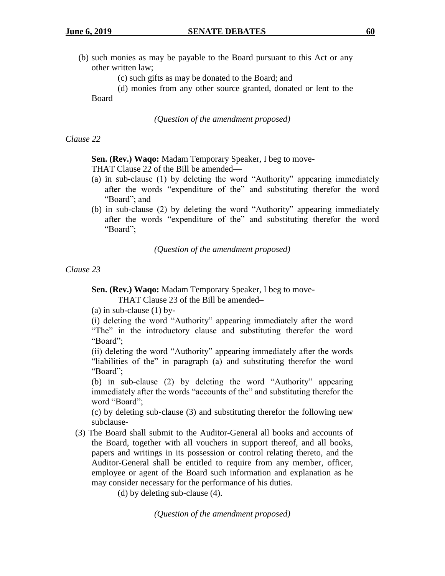- (b) such monies as may be payable to the Board pursuant to this Act or any other written law;
	- (c) such gifts as may be donated to the Board; and

(d) monies from any other source granted, donated or lent to the Board

*(Question of the amendment proposed)*

#### *Clause 22*

### **Sen. (Rev.) Waqo:** Madam Temporary Speaker, I beg to move-

THAT Clause 22 of the Bill be amended—

- (a) in sub-clause (1) by deleting the word "Authority" appearing immediately after the words "expenditure of the" and substituting therefor the word "Board"; and
- (b) in sub-clause (2) by deleting the word "Authority" appearing immediately after the words "expenditure of the" and substituting therefor the word "Board";

*(Question of the amendment proposed)*

*Clause 23*

**Sen. (Rev.) Waqo:** Madam Temporary Speaker, I beg to move-

THAT Clause 23 of the Bill be amended–

(a) in sub-clause  $(1)$  by-

(i) deleting the word "Authority" appearing immediately after the word "The" in the introductory clause and substituting therefor the word "Board";

(ii) deleting the word "Authority" appearing immediately after the words "liabilities of the" in paragraph (a) and substituting therefor the word "Board";

(b) in sub-clause (2) by deleting the word "Authority" appearing immediately after the words "accounts of the" and substituting therefor the word "Board";

(c) by deleting sub-clause (3) and substituting therefor the following new subclause-

(3) The Board shall submit to the Auditor-General all books and accounts of the Board, together with all vouchers in support thereof, and all books, papers and writings in its possession or control relating thereto, and the Auditor-General shall be entitled to require from any member, officer, employee or agent of the Board such information and explanation as he may consider necessary for the performance of his duties.

(d) by deleting sub-clause (4).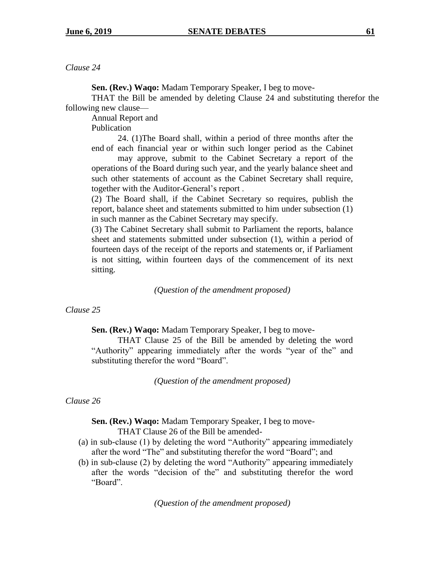**Sen. (Rev.) Waqo:** Madam Temporary Speaker, I beg to move-

THAT the Bill be amended by deleting Clause 24 and substituting therefor the following new clause—

Annual Report and

Publication

24. (1)The Board shall, within a period of three months after the end of each financial year or within such longer period as the Cabinet

may approve, submit to the Cabinet Secretary a report of the operations of the Board during such year, and the yearly balance sheet and such other statements of account as the Cabinet Secretary shall require, together with the Auditor-General's report .

(2) The Board shall, if the Cabinet Secretary so requires, publish the report, balance sheet and statements submitted to him under subsection (1) in such manner as the Cabinet Secretary may specify.

(3) The Cabinet Secretary shall submit to Parliament the reports, balance sheet and statements submitted under subsection (1), within a period of fourteen days of the receipt of the reports and statements or, if Parliament is not sitting, within fourteen days of the commencement of its next sitting.

*(Question of the amendment proposed)*

## *Clause 25*

**Sen. (Rev.) Waqo:** Madam Temporary Speaker, I beg to move-

THAT Clause 25 of the Bill be amended by deleting the word "Authority" appearing immediately after the words "year of the" and substituting therefor the word "Board".

*(Question of the amendment proposed)*

## *Clause 26*

**Sen. (Rev.) Waqo:** Madam Temporary Speaker, I beg to move-

THAT Clause 26 of the Bill be amended-

- (a) in sub-clause (1) by deleting the word "Authority" appearing immediately after the word "The" and substituting therefor the word "Board"; and
- (b) in sub-clause (2) by deleting the word "Authority" appearing immediately after the words "decision of the" and substituting therefor the word "Board".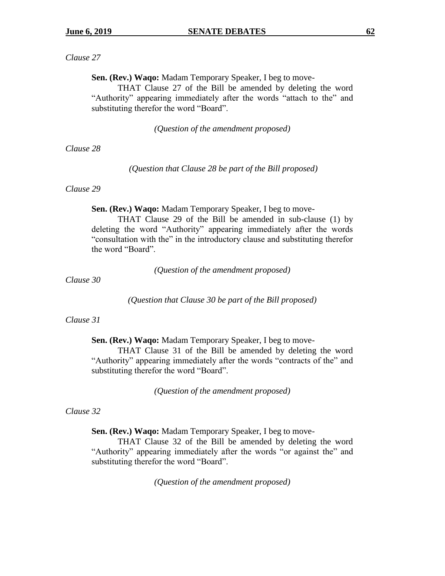**Sen. (Rev.) Waqo:** Madam Temporary Speaker, I beg to move-

THAT Clause 27 of the Bill be amended by deleting the word "Authority" appearing immediately after the words "attach to the" and substituting therefor the word "Board".

*(Question of the amendment proposed)*

*Clause 28*

*(Question that Clause 28 be part of the Bill proposed)*

## *Clause 29*

**Sen. (Rev.) Waqo:** Madam Temporary Speaker, I beg to move-

THAT Clause 29 of the Bill be amended in sub-clause (1) by deleting the word "Authority" appearing immediately after the words "consultation with the" in the introductory clause and substituting therefor the word "Board".

*(Question of the amendment proposed)*

*Clause 30*

*(Question that Clause 30 be part of the Bill proposed)*

#### *Clause 31*

**Sen. (Rev.) Waqo:** Madam Temporary Speaker, I beg to move-

THAT Clause 31 of the Bill be amended by deleting the word "Authority" appearing immediately after the words "contracts of the" and substituting therefor the word "Board".

*(Question of the amendment proposed)*

#### *Clause 32*

**Sen. (Rev.) Waqo:** Madam Temporary Speaker, I beg to move-

THAT Clause 32 of the Bill be amended by deleting the word "Authority" appearing immediately after the words "or against the" and substituting therefor the word "Board".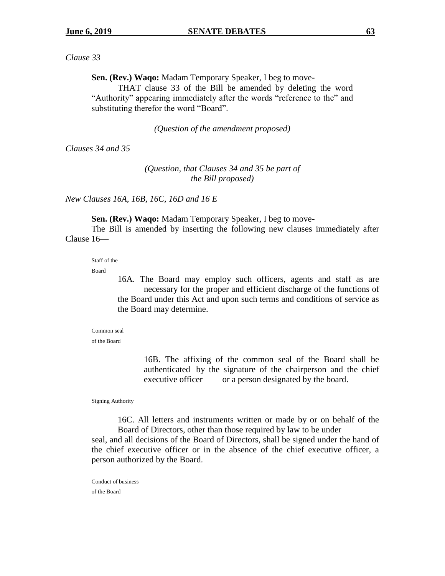**Sen. (Rev.) Waqo:** Madam Temporary Speaker, I beg to move-

THAT clause 33 of the Bill be amended by deleting the word "Authority" appearing immediately after the words "reference to the" and substituting therefor the word "Board".

*(Question of the amendment proposed)*

*Clauses 34 and 35*

*(Question, that Clauses 34 and 35 be part of the Bill proposed)*

*New Clauses 16A, 16B, 16C, 16D and 16 E*

**Sen. (Rev.) Waqo:** Madam Temporary Speaker, I beg to move-

The Bill is amended by inserting the following new clauses immediately after Clause 16—

Staff of the

Board

16A. The Board may employ such officers, agents and staff as are necessary for the proper and efficient discharge of the functions of the Board under this Act and upon such terms and conditions of service as the Board may determine.

Common seal

of the Board

16B. The affixing of the common seal of the Board shall be authenticated by the signature of the chairperson and the chief executive officer or a person designated by the board.

Signing Authority

16C. All letters and instruments written or made by or on behalf of the Board of Directors, other than those required by law to be under

seal, and all decisions of the Board of Directors, shall be signed under the hand of the chief executive officer or in the absence of the chief executive officer, a person authorized by the Board.

Conduct of business of the Board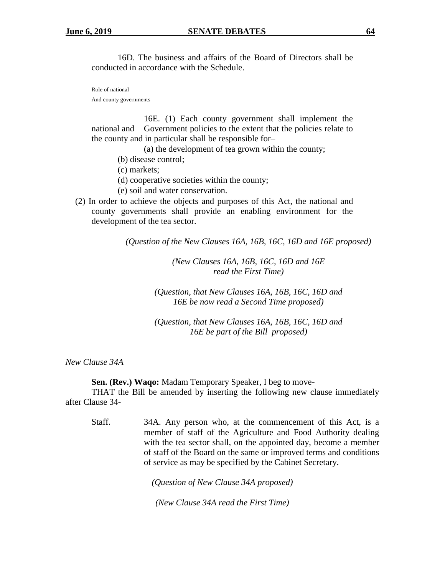16D. The business and affairs of the Board of Directors shall be conducted in accordance with the Schedule.

Role of national And county governments

16E. (1) Each county government shall implement the national and Government policies to the extent that the policies relate to the county and in particular shall be responsible for–

(a) the development of tea grown within the county;

- (b) disease control;
- (c) markets;
- (d) cooperative societies within the county;
- (e) soil and water conservation.
- (2) In order to achieve the objects and purposes of this Act, the national and county governments shall provide an enabling environment for the development of the tea sector.

*(Question of the New Clauses 16A, 16B, 16C, 16D and 16E proposed)*

*(New Clauses 16A, 16B, 16C, 16D and 16E read the First Time)*

*(Question, that New Clauses 16A, 16B, 16C, 16D and 16E be now read a Second Time proposed)*

*(Question, that New Clauses 16A, 16B, 16C, 16D and 16E be part of the Bill proposed)*

*New Clause 34A*

**Sen. (Rev.) Waqo:** Madam Temporary Speaker, I beg to move-

THAT the Bill be amended by inserting the following new clause immediately after Clause 34-

Staff. 34A. Any person who, at the commencement of this Act, is a member of staff of the Agriculture and Food Authority dealing with the tea sector shall, on the appointed day, become a member of staff of the Board on the same or improved terms and conditions of service as may be specified by the Cabinet Secretary.

*(Question of New Clause 34A proposed)*

*(New Clause 34A read the First Time)*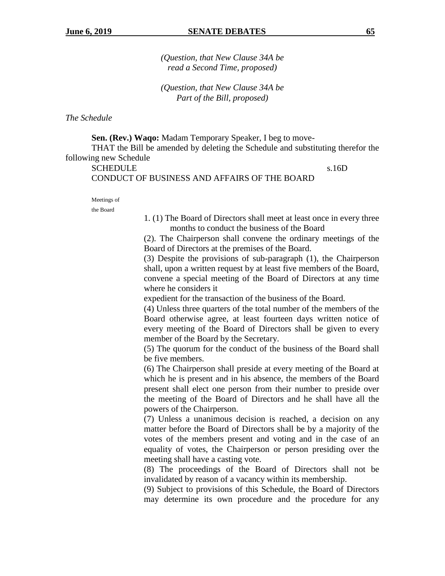*(Question, that New Clause 34A be read a Second Time, proposed)*

*(Question, that New Clause 34A be Part of the Bill, proposed)*

*The Schedule*

**Sen. (Rev.) Waqo:** Madam Temporary Speaker, I beg to move-THAT the Bill be amended by deleting the Schedule and substituting therefor the following new Schedule

SCHEDULE s.16D CONDUCT OF BUSINESS AND AFFAIRS OF THE BOARD

Meetings of

the Board

1. (1) The Board of Directors shall meet at least once in every three months to conduct the business of the Board

(2). The Chairperson shall convene the ordinary meetings of the Board of Directors at the premises of the Board.

(3) Despite the provisions of sub-paragraph (1), the Chairperson shall, upon a written request by at least five members of the Board, convene a special meeting of the Board of Directors at any time where he considers it

expedient for the transaction of the business of the Board.

(4) Unless three quarters of the total number of the members of the Board otherwise agree, at least fourteen days written notice of every meeting of the Board of Directors shall be given to every member of the Board by the Secretary.

(5) The quorum for the conduct of the business of the Board shall be five members.

(6) The Chairperson shall preside at every meeting of the Board at which he is present and in his absence, the members of the Board present shall elect one person from their number to preside over the meeting of the Board of Directors and he shall have all the powers of the Chairperson.

(7) Unless a unanimous decision is reached, a decision on any matter before the Board of Directors shall be by a majority of the votes of the members present and voting and in the case of an equality of votes, the Chairperson or person presiding over the meeting shall have a casting vote.

(8) The proceedings of the Board of Directors shall not be invalidated by reason of a vacancy within its membership.

(9) Subject to provisions of this Schedule, the Board of Directors may determine its own procedure and the procedure for any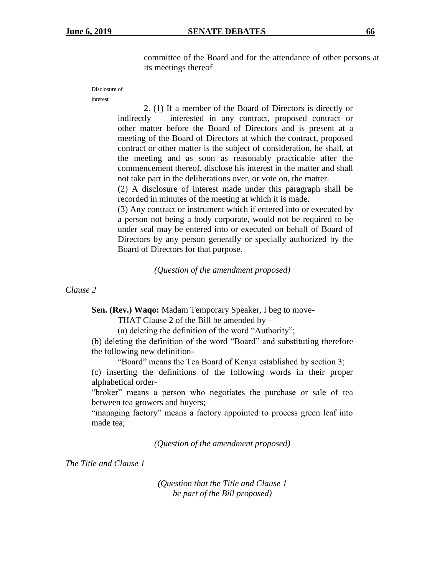committee of the Board and for the attendance of other persons at its meetings thereof

Disclosure of

interest

2. (1) If a member of the Board of Directors is directly or indirectly interested in any contract, proposed contract or other matter before the Board of Directors and is present at a meeting of the Board of Directors at which the contract, proposed contract or other matter is the subject of consideration, he shall, at the meeting and as soon as reasonably practicable after the commencement thereof, disclose his interest in the matter and shall not take part in the deliberations over, or vote on, the matter.

(2) A disclosure of interest made under this paragraph shall be recorded in minutes of the meeting at which it is made.

(3) Any contract or instrument which if entered into or executed by a person not being a body corporate, would not be required to be under seal may be entered into or executed on behalf of Board of Directors by any person generally or specially authorized by the Board of Directors for that purpose.

*(Question of the amendment proposed)*

*Clause 2*

**Sen. (Rev.) Waqo:** Madam Temporary Speaker, I beg to move-

THAT Clause 2 of the Bill be amended by –

(a) deleting the definition of the word "Authority";

(b) deleting the definition of the word "Board" and substituting therefore the following new definition-

"Board" means the Tea Board of Kenya established by section 3;

(c) inserting the definitions of the following words in their proper alphabetical order-

"broker" means a person who negotiates the purchase or sale of tea between tea growers and buyers;

"managing factory" means a factory appointed to process green leaf into made tea;

*(Question of the amendment proposed)*

*The Title and Clause 1*

*(Question that the Title and Clause 1 be part of the Bill proposed)*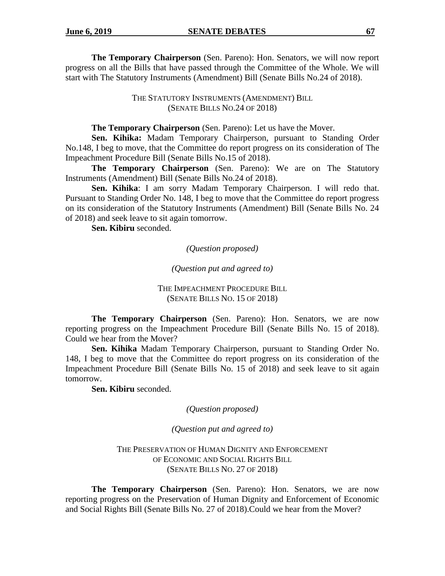**The Temporary Chairperson** (Sen. Pareno): Hon. Senators, we will now report progress on all the Bills that have passed through the Committee of the Whole. We will start with The Statutory Instruments (Amendment) Bill (Senate Bills No.24 of 2018).

> THE STATUTORY INSTRUMENTS (AMENDMENT) BILL (SENATE BILLS NO.24 OF 2018)

#### **The Temporary Chairperson** (Sen. Pareno): Let us have the Mover.

**Sen. Kihika:** Madam Temporary Chairperson, pursuant to Standing Order No.148, I beg to move, that the Committee do report progress on its consideration of The Impeachment Procedure Bill (Senate Bills No.15 of 2018).

**The Temporary Chairperson** (Sen. Pareno): We are on The Statutory Instruments (Amendment) Bill (Senate Bills No.24 of 2018).

**Sen. Kihika**: I am sorry Madam Temporary Chairperson. I will redo that. Pursuant to Standing Order No. 148, I beg to move that the Committee do report progress on its consideration of the Statutory Instruments (Amendment) Bill (Senate Bills No. 24 of 2018) and seek leave to sit again tomorrow.

**Sen. Kibiru** seconded.

*(Question proposed)*

*(Question put and agreed to)*

THE IMPEACHMENT PROCEDURE BILL (SENATE BILLS NO. 15 OF 2018)

**The Temporary Chairperson** (Sen. Pareno): Hon. Senators, we are now reporting progress on the Impeachment Procedure Bill (Senate Bills No. 15 of 2018). Could we hear from the Mover?

**Sen. Kihika** Madam Temporary Chairperson, pursuant to Standing Order No. 148, I beg to move that the Committee do report progress on its consideration of the Impeachment Procedure Bill (Senate Bills No. 15 of 2018) and seek leave to sit again tomorrow.

**Sen. Kibiru** seconded.

*(Question proposed)*

*(Question put and agreed to)*

THE PRESERVATION OF HUMAN DIGNITY AND ENFORCEMENT OF ECONOMIC AND SOCIAL RIGHTS BILL (SENATE BILLS NO. 27 OF 2018)

**The Temporary Chairperson** (Sen. Pareno): Hon. Senators, we are now reporting progress on the Preservation of Human Dignity and Enforcement of Economic and Social Rights Bill (Senate Bills No. 27 of 2018).Could we hear from the Mover?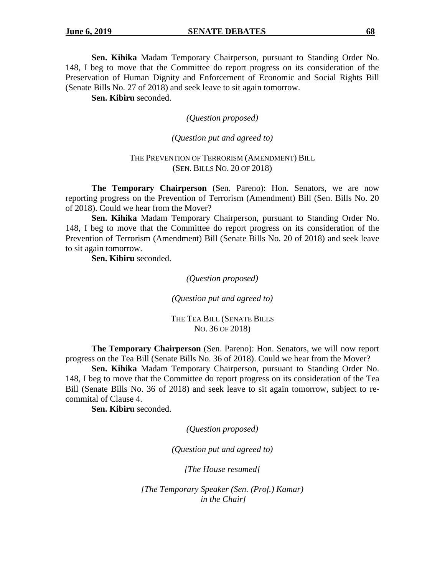**Sen. Kihika** Madam Temporary Chairperson, pursuant to Standing Order No. 148, I beg to move that the Committee do report progress on its consideration of the Preservation of Human Dignity and Enforcement of Economic and Social Rights Bill (Senate Bills No. 27 of 2018) and seek leave to sit again tomorrow.

**Sen. Kibiru** seconded.

*(Question proposed)*

*(Question put and agreed to)*

#### THE PREVENTION OF TERRORISM (AMENDMENT) BILL (SEN. BILLS NO. 20 OF 2018)

**The Temporary Chairperson** (Sen. Pareno): Hon. Senators, we are now reporting progress on the Prevention of Terrorism (Amendment) Bill (Sen. Bills No. 20 of 2018). Could we hear from the Mover?

**Sen. Kihika** Madam Temporary Chairperson, pursuant to Standing Order No. 148, I beg to move that the Committee do report progress on its consideration of the Prevention of Terrorism (Amendment) Bill (Senate Bills No. 20 of 2018) and seek leave to sit again tomorrow.

**Sen. Kibiru** seconded.

*(Question proposed)*

*(Question put and agreed to)*

THE TEA BILL (SENATE BILLS NO. 36 OF 2018)

**The Temporary Chairperson** (Sen. Pareno): Hon. Senators, we will now report progress on the Tea Bill (Senate Bills No. 36 of 2018). Could we hear from the Mover?

**Sen. Kihika** Madam Temporary Chairperson, pursuant to Standing Order No. 148, I beg to move that the Committee do report progress on its consideration of the Tea Bill (Senate Bills No. 36 of 2018) and seek leave to sit again tomorrow, subject to recommital of Clause 4.

**Sen. Kibiru** seconded.

*(Question proposed)*

*(Question put and agreed to)*

*[The House resumed]*

*[The Temporary Speaker (Sen. (Prof.) Kamar) in the Chair]*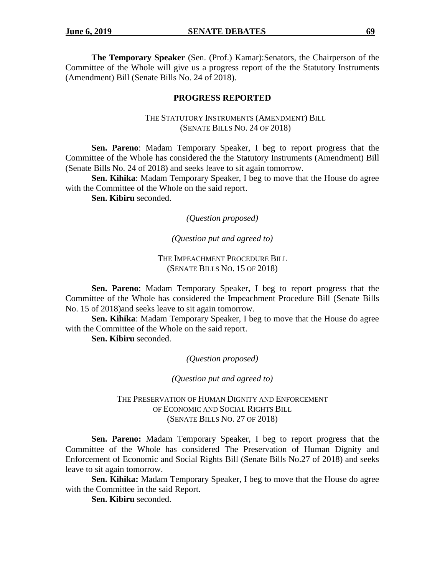**The Temporary Speaker** (Sen. (Prof.) Kamar):Senators, the Chairperson of the Committee of the Whole will give us a progress report of the the Statutory Instruments (Amendment) Bill (Senate Bills No. 24 of 2018).

## **PROGRESS REPORTED**

## THE STATUTORY INSTRUMENTS (AMENDMENT) BILL (SENATE BILLS NO. 24 OF 2018)

**Sen. Pareno**: Madam Temporary Speaker, I beg to report progress that the Committee of the Whole has considered the the Statutory Instruments (Amendment) Bill (Senate Bills No. 24 of 2018) and seeks leave to sit again tomorrow.

**Sen. Kihika**: Madam Temporary Speaker, I beg to move that the House do agree with the Committee of the Whole on the said report.

**Sen. Kibiru** seconded.

*(Question proposed)*

*(Question put and agreed to)*

THE IMPEACHMENT PROCEDURE BILL (SENATE BILLS NO. 15 OF 2018)

**Sen. Pareno**: Madam Temporary Speaker, I beg to report progress that the Committee of the Whole has considered the Impeachment Procedure Bill (Senate Bills No. 15 of 2018)and seeks leave to sit again tomorrow.

**Sen. Kihika**: Madam Temporary Speaker, I beg to move that the House do agree with the Committee of the Whole on the said report.

**Sen. Kibiru** seconded.

*(Question proposed)*

*(Question put and agreed to)*

THE PRESERVATION OF HUMAN DIGNITY AND ENFORCEMENT OF ECONOMIC AND SOCIAL RIGHTS BILL (SENATE BILLS NO. 27 OF 2018)

**Sen. Pareno:** Madam Temporary Speaker, I beg to report progress that the Committee of the Whole has considered The Preservation of Human Dignity and Enforcement of Economic and Social Rights Bill (Senate Bills No.27 of 2018) and seeks leave to sit again tomorrow.

**Sen. Kihika:** Madam Temporary Speaker, I beg to move that the House do agree with the Committee in the said Report.

**Sen. Kibiru** seconded.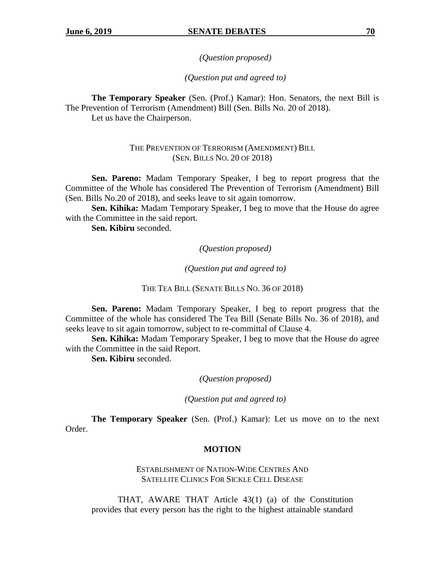*(Question proposed)*

*(Question put and agreed to)*

**The Temporary Speaker** (Sen. (Prof.) Kamar): Hon. Senators, the next Bill is The Prevention of Terrorism (Amendment) Bill (Sen. Bills No. 20 of 2018). Let us have the Chairperson.

> THE PREVENTION OF TERRORISM (AMENDMENT) BILL (SEN. BILLS NO. 20 OF 2018)

**Sen. Pareno:** Madam Temporary Speaker, I beg to report progress that the Committee of the Whole has considered The Prevention of Terrorism (Amendment) Bill (Sen. Bills No.20 of 2018), and seeks leave to sit again tomorrow.

**Sen. Kihika:** Madam Temporary Speaker, I beg to move that the House do agree with the Committee in the said report.

**Sen. Kibiru** seconded.

*(Question proposed)*

*(Question put and agreed to)*

THE TEA BILL (SENATE BILLS NO. 36 OF 2018)

**Sen. Pareno:** Madam Temporary Speaker, I beg to report progress that the Committee of the whole has considered The Tea Bill (Senate Bills No. 36 of 2018), and seeks leave to sit again tomorrow, subject to re-committal of Clause 4.

**Sen. Kihika:** Madam Temporary Speaker, I beg to move that the House do agree with the Committee in the said Report.

**Sen. Kibiru** seconded.

*(Question proposed)*

*(Question put and agreed to)*

**The Temporary Speaker** (Sen. (Prof.) Kamar): Let us move on to the next Order.

## **MOTION**

ESTABLISHMENT OF NATION-WIDE CENTRES AND SATELLITE CLINICS FOR SICKLE CELL DISEASE

THAT, AWARE THAT Article 43(1) (a) of the Constitution provides that every person has the right to the highest attainable standard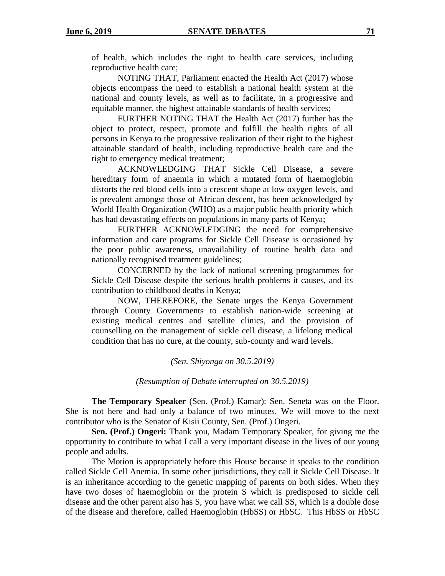of health, which includes the right to health care services, including reproductive health care;

NOTING THAT, Parliament enacted the Health Act (2017) whose objects encompass the need to establish a national health system at the national and county levels, as well as to facilitate, in a progressive and equitable manner, the highest attainable standards of health services;

FURTHER NOTING THAT the Health Act (2017) further has the object to protect, respect, promote and fulfill the health rights of all persons in Kenya to the progressive realization of their right to the highest attainable standard of health, including reproductive health care and the right to emergency medical treatment;

ACKNOWLEDGING THAT Sickle Cell Disease, a severe hereditary form of anaemia in which a mutated form of haemoglobin distorts the red blood cells into a crescent shape at low oxygen levels, and is prevalent amongst those of African descent, has been acknowledged by World Health Organization (WHO) as a major public health priority which has had devastating effects on populations in many parts of Kenya;

FURTHER ACKNOWLEDGING the need for comprehensive information and care programs for Sickle Cell Disease is occasioned by the poor public awareness, unavailability of routine health data and nationally recognised treatment guidelines;

CONCERNED by the lack of national screening programmes for Sickle Cell Disease despite the serious health problems it causes, and its contribution to childhood deaths in Kenya;

NOW, THEREFORE, the Senate urges the Kenya Government through County Governments to establish nation-wide screening at existing medical centres and satellite clinics, and the provision of counselling on the management of sickle cell disease, a lifelong medical condition that has no cure, at the county, sub-county and ward levels.

*(Sen. Shiyonga on 30.5.2019)*

*(Resumption of Debate interrupted on 30.5.2019)*

**The Temporary Speaker** (Sen. (Prof.) Kamar): Sen. Seneta was on the Floor. She is not here and had only a balance of two minutes. We will move to the next contributor who is the Senator of Kisii County, Sen. (Prof.) Ongeri.

**Sen. (Prof.) Ongeri:** Thank you, Madam Temporary Speaker, for giving me the opportunity to contribute to what I call a very important disease in the lives of our young people and adults.

The Motion is appropriately before this House because it speaks to the condition called Sickle Cell Anemia. In some other jurisdictions, they call it Sickle Cell Disease. It is an inheritance according to the genetic mapping of parents on both sides. When they have two doses of haemoglobin or the protein S which is predisposed to sickle cell disease and the other parent also has S, you have what we call SS, which is a double dose of the disease and therefore, called Haemoglobin (HbSS) or HbSC. This HbSS or HbSC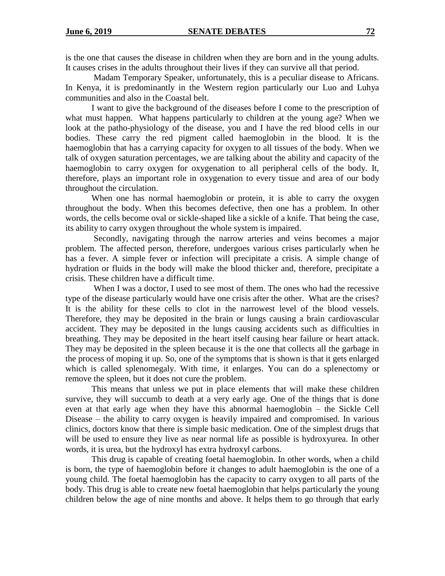is the one that causes the disease in children when they are born and in the young adults. It causes crises in the adults throughout their lives if they can survive all that period.

Madam Temporary Speaker, unfortunately, this is a peculiar disease to Africans. In Kenya, it is predominantly in the Western region particularly our Luo and Luhya communities and also in the Coastal belt.

I want to give the background of the diseases before I come to the prescription of what must happen. What happens particularly to children at the young age? When we look at the patho-physiology of the disease, you and I have the red blood cells in our bodies. These carry the red pigment called haemoglobin in the blood. It is the haemoglobin that has a carrying capacity for oxygen to all tissues of the body. When we talk of oxygen saturation percentages, we are talking about the ability and capacity of the haemoglobin to carry oxygen for oxygenation to all peripheral cells of the body. It, therefore, plays an important role in oxygenation to every tissue and area of our body throughout the circulation.

When one has normal haemoglobin or protein, it is able to carry the oxygen throughout the body. When this becomes defective, then one has a problem. In other words, the cells become oval or sickle-shaped like a sickle of a knife. That being the case, its ability to carry oxygen throughout the whole system is impaired.

Secondly, navigating through the narrow arteries and veins becomes a major problem. The affected person, therefore, undergoes various crises particularly when he has a fever. A simple fever or infection will precipitate a crisis. A simple change of hydration or fluids in the body will make the blood thicker and, therefore, precipitate a crisis. These children have a difficult time.

When I was a doctor, I used to see most of them. The ones who had the recessive type of the disease particularly would have one crisis after the other. What are the crises? It is the ability for these cells to clot in the narrowest level of the blood vessels. Therefore, they may be deposited in the brain or lungs causing a brain cardiovascular accident. They may be deposited in the lungs causing accidents such as difficulties in breathing. They may be deposited in the heart itself causing hear failure or heart attack. They may be deposited in the spleen because it is the one that collects all the garbage in the process of moping it up. So, one of the symptoms that is shown is that it gets enlarged which is called splenomegaly. With time, it enlarges. You can do a splenectomy or remove the spleen, but it does not cure the problem.

This means that unless we put in place elements that will make these children survive, they will succumb to death at a very early age. One of the things that is done even at that early age when they have this abnormal haemoglobin – the Sickle Cell Disease – the ability to carry oxygen is heavily impaired and compromised. In various clinics, doctors know that there is simple basic medication. One of the simplest drugs that will be used to ensure they live as near normal life as possible is hydroxyurea. In other words, it is urea, but the hydroxyl has extra hydroxyl carbons.

This drug is capable of creating foetal haemoglobin. In other words, when a child is born, the type of haemoglobin before it changes to adult haemoglobin is the one of a young child. The foetal haemoglobin has the capacity to carry oxygen to all parts of the body. This drug is able to create new foetal haemoglobin that helps particularly the young children below the age of nine months and above. It helps them to go through that early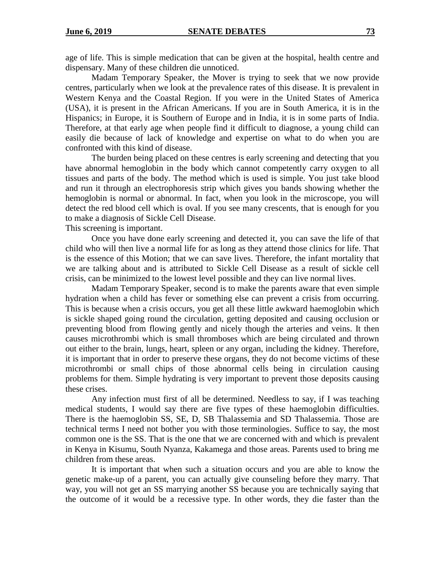age of life. This is simple medication that can be given at the hospital, health centre and dispensary. Many of these children die unnoticed.

Madam Temporary Speaker, the Mover is trying to seek that we now provide centres, particularly when we look at the prevalence rates of this disease. It is prevalent in Western Kenya and the Coastal Region. If you were in the United States of America (USA), it is present in the African Americans. If you are in South America, it is in the Hispanics; in Europe, it is Southern of Europe and in India, it is in some parts of India. Therefore, at that early age when people find it difficult to diagnose, a young child can easily die because of lack of knowledge and expertise on what to do when you are confronted with this kind of disease.

The burden being placed on these centres is early screening and detecting that you have abnormal hemoglobin in the body which cannot competently carry oxygen to all tissues and parts of the body. The method which is used is simple. You just take blood and run it through an electrophoresis strip which gives you bands showing whether the hemoglobin is normal or abnormal. In fact, when you look in the microscope, you will detect the red blood cell which is oval. If you see many crescents, that is enough for you to make a diagnosis of Sickle Cell Disease.

This screening is important.

Once you have done early screening and detected it, you can save the life of that child who will then live a normal life for as long as they attend those clinics for life. That is the essence of this Motion; that we can save lives. Therefore, the infant mortality that we are talking about and is attributed to Sickle Cell Disease as a result of sickle cell crisis, can be minimized to the lowest level possible and they can live normal lives.

Madam Temporary Speaker, second is to make the parents aware that even simple hydration when a child has fever or something else can prevent a crisis from occurring. This is because when a crisis occurs, you get all these little awkward haemoglobin which is sickle shaped going round the circulation, getting deposited and causing occlusion or preventing blood from flowing gently and nicely though the arteries and veins. It then causes microthrombi which is small thromboses which are being circulated and thrown out either to the brain, lungs, heart, spleen or any organ, including the kidney. Therefore, it is important that in order to preserve these organs, they do not become victims of these microthrombi or small chips of those abnormal cells being in circulation causing problems for them. Simple hydrating is very important to prevent those deposits causing these crises.

Any infection must first of all be determined. Needless to say, if I was teaching medical students, I would say there are five types of these haemoglobin difficulties. There is the haemoglobin SS, SE, D, SB Thalassemia and SD Thalassemia. Those are technical terms I need not bother you with those terminologies. Suffice to say, the most common one is the SS. That is the one that we are concerned with and which is prevalent in Kenya in Kisumu, South Nyanza, Kakamega and those areas. Parents used to bring me children from these areas.

It is important that when such a situation occurs and you are able to know the genetic make-up of a parent, you can actually give counseling before they marry. That way, you will not get an SS marrying another SS because you are technically saying that the outcome of it would be a recessive type. In other words, they die faster than the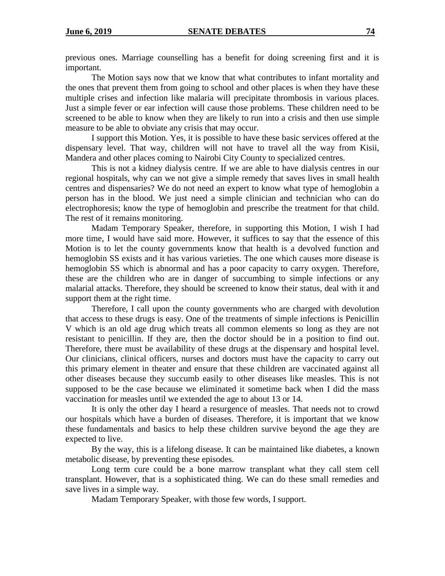previous ones. Marriage counselling has a benefit for doing screening first and it is important.

The Motion says now that we know that what contributes to infant mortality and the ones that prevent them from going to school and other places is when they have these multiple crises and infection like malaria will precipitate thrombosis in various places. Just a simple fever or ear infection will cause those problems. These children need to be screened to be able to know when they are likely to run into a crisis and then use simple measure to be able to obviate any crisis that may occur.

I support this Motion. Yes, it is possible to have these basic services offered at the dispensary level. That way, children will not have to travel all the way from Kisii, Mandera and other places coming to Nairobi City County to specialized centres.

This is not a kidney dialysis centre. If we are able to have dialysis centres in our regional hospitals, why can we not give a simple remedy that saves lives in small health centres and dispensaries? We do not need an expert to know what type of hemoglobin a person has in the blood. We just need a simple clinician and technician who can do electrophoresis; know the type of hemoglobin and prescribe the treatment for that child. The rest of it remains monitoring.

Madam Temporary Speaker, therefore, in supporting this Motion, I wish I had more time, I would have said more. However, it suffices to say that the essence of this Motion is to let the county governments know that health is a devolved function and hemoglobin SS exists and it has various varieties. The one which causes more disease is hemoglobin SS which is abnormal and has a poor capacity to carry oxygen. Therefore, these are the children who are in danger of succumbing to simple infections or any malarial attacks. Therefore, they should be screened to know their status, deal with it and support them at the right time.

Therefore, I call upon the county governments who are charged with devolution that access to these drugs is easy. One of the treatments of simple infections is Penicillin V which is an old age drug which treats all common elements so long as they are not resistant to penicillin. If they are, then the doctor should be in a position to find out. Therefore, there must be availability of these drugs at the dispensary and hospital level. Our clinicians, clinical officers, nurses and doctors must have the capacity to carry out this primary element in theater and ensure that these children are vaccinated against all other diseases because they succumb easily to other diseases like measles. This is not supposed to be the case because we eliminated it sometime back when I did the mass vaccination for measles until we extended the age to about 13 or 14.

It is only the other day I heard a resurgence of measles. That needs not to crowd our hospitals which have a burden of diseases. Therefore, it is important that we know these fundamentals and basics to help these children survive beyond the age they are expected to live.

By the way, this is a lifelong disease. It can be maintained like diabetes, a known metabolic disease, by preventing these episodes.

Long term cure could be a bone marrow transplant what they call stem cell transplant. However, that is a sophisticated thing. We can do these small remedies and save lives in a simple way.

Madam Temporary Speaker, with those few words, I support.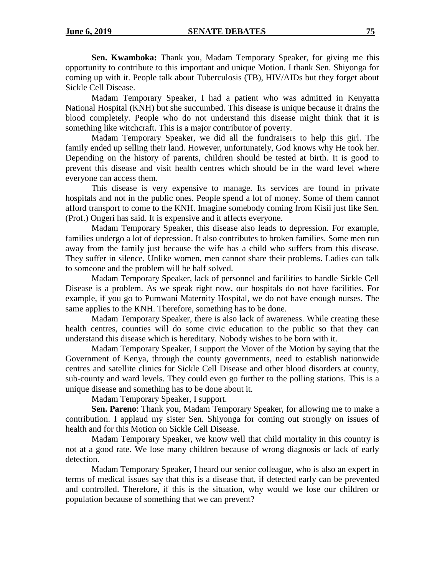**Sen. Kwamboka:** Thank you, Madam Temporary Speaker, for giving me this opportunity to contribute to this important and unique Motion. I thank Sen. Shiyonga for coming up with it. People talk about Tuberculosis (TB), HIV/AIDs but they forget about Sickle Cell Disease.

Madam Temporary Speaker, I had a patient who was admitted in Kenyatta National Hospital (KNH) but she succumbed. This disease is unique because it drains the blood completely. People who do not understand this disease might think that it is something like witchcraft. This is a major contributor of poverty.

Madam Temporary Speaker, we did all the fundraisers to help this girl. The family ended up selling their land. However, unfortunately, God knows why He took her. Depending on the history of parents, children should be tested at birth. It is good to prevent this disease and visit health centres which should be in the ward level where everyone can access them.

This disease is very expensive to manage. Its services are found in private hospitals and not in the public ones. People spend a lot of money. Some of them cannot afford transport to come to the KNH. Imagine somebody coming from Kisii just like Sen. (Prof.) Ongeri has said. It is expensive and it affects everyone.

Madam Temporary Speaker, this disease also leads to depression. For example, families undergo a lot of depression. It also contributes to broken families. Some men run away from the family just because the wife has a child who suffers from this disease. They suffer in silence. Unlike women, men cannot share their problems. Ladies can talk to someone and the problem will be half solved.

Madam Temporary Speaker, lack of personnel and facilities to handle Sickle Cell Disease is a problem. As we speak right now, our hospitals do not have facilities. For example, if you go to Pumwani Maternity Hospital, we do not have enough nurses. The same applies to the KNH. Therefore, something has to be done.

Madam Temporary Speaker, there is also lack of awareness. While creating these health centres, counties will do some civic education to the public so that they can understand this disease which is hereditary. Nobody wishes to be born with it.

Madam Temporary Speaker, I support the Mover of the Motion by saying that the Government of Kenya, through the county governments, need to establish nationwide centres and satellite clinics for Sickle Cell Disease and other blood disorders at county, sub-county and ward levels. They could even go further to the polling stations. This is a unique disease and something has to be done about it.

Madam Temporary Speaker, I support.

**Sen. Pareno**: Thank you, Madam Temporary Speaker, for allowing me to make a contribution. I applaud my sister Sen. Shiyonga for coming out strongly on issues of health and for this Motion on Sickle Cell Disease.

Madam Temporary Speaker, we know well that child mortality in this country is not at a good rate. We lose many children because of wrong diagnosis or lack of early detection.

Madam Temporary Speaker, I heard our senior colleague, who is also an expert in terms of medical issues say that this is a disease that, if detected early can be prevented and controlled. Therefore, if this is the situation, why would we lose our children or population because of something that we can prevent?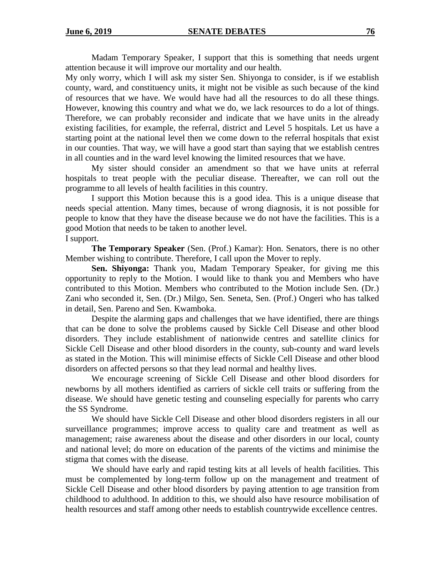Madam Temporary Speaker, I support that this is something that needs urgent attention because it will improve our mortality and our health.

My only worry, which I will ask my sister Sen. Shiyonga to consider, is if we establish county, ward, and constituency units, it might not be visible as such because of the kind of resources that we have. We would have had all the resources to do all these things. However, knowing this country and what we do, we lack resources to do a lot of things. Therefore, we can probably reconsider and indicate that we have units in the already existing facilities, for example, the referral, district and Level 5 hospitals. Let us have a starting point at the national level then we come down to the referral hospitals that exist in our counties. That way, we will have a good start than saying that we establish centres in all counties and in the ward level knowing the limited resources that we have.

My sister should consider an amendment so that we have units at referral hospitals to treat people with the peculiar disease. Thereafter, we can roll out the programme to all levels of health facilities in this country.

I support this Motion because this is a good idea. This is a unique disease that needs special attention. Many times, because of wrong diagnosis, it is not possible for people to know that they have the disease because we do not have the facilities. This is a good Motion that needs to be taken to another level.

## I support.

**The Temporary Speaker** (Sen. (Prof.) Kamar): Hon. Senators, there is no other Member wishing to contribute. Therefore, I call upon the Mover to reply.

**Sen. Shiyonga:** Thank you, Madam Temporary Speaker, for giving me this opportunity to reply to the Motion. I would like to thank you and Members who have contributed to this Motion. Members who contributed to the Motion include Sen. (Dr.) Zani who seconded it, Sen. (Dr.) Milgo, Sen. Seneta, Sen. (Prof.) Ongeri who has talked in detail, Sen. Pareno and Sen. Kwamboka.

Despite the alarming gaps and challenges that we have identified, there are things that can be done to solve the problems caused by Sickle Cell Disease and other blood disorders. They include establishment of nationwide centres and satellite clinics for Sickle Cell Disease and other blood disorders in the county, sub-county and ward levels as stated in the Motion. This will minimise effects of Sickle Cell Disease and other blood disorders on affected persons so that they lead normal and healthy lives.

We encourage screening of Sickle Cell Disease and other blood disorders for newborns by all mothers identified as carriers of sickle cell traits or suffering from the disease. We should have genetic testing and counseling especially for parents who carry the SS Syndrome.

We should have Sickle Cell Disease and other blood disorders registers in all our surveillance programmes; improve access to quality care and treatment as well as management; raise awareness about the disease and other disorders in our local, county and national level; do more on education of the parents of the victims and minimise the stigma that comes with the disease.

We should have early and rapid testing kits at all levels of health facilities. This must be complemented by long-term follow up on the management and treatment of Sickle Cell Disease and other blood disorders by paying attention to age transition from childhood to adulthood. In addition to this, we should also have resource mobilisation of health resources and staff among other needs to establish countrywide excellence centres.